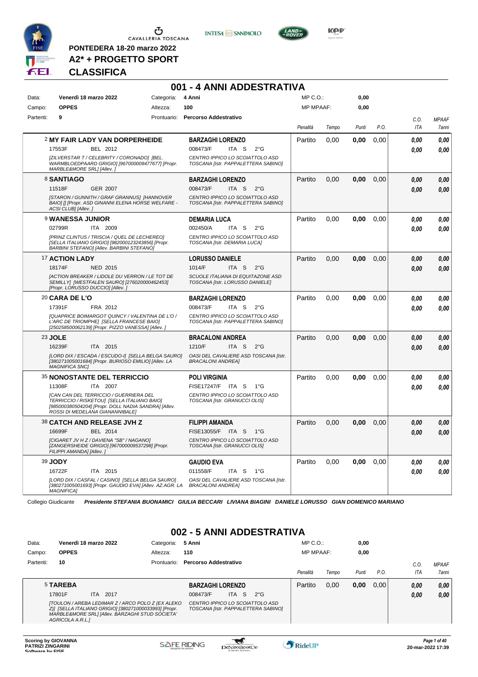

Ⴠ CAVALLERIA TOSCANA

**PONTEDERA 18-20 marzo 2022 A2\* + PROGETTO SPORT** **INTESA** M SANPAOLO

**001 - 4 ANNI ADDESTRATIVA**



**Kep** 

#### **CLASSIFICA**

| Data:     | Venerdì 18 marzo 2022                                                                                                                                                            | Categoria:  | 4 Anni                                                                      | $MP C. O.$ :     |       | 0,00  |      |                    |                       |
|-----------|----------------------------------------------------------------------------------------------------------------------------------------------------------------------------------|-------------|-----------------------------------------------------------------------------|------------------|-------|-------|------|--------------------|-----------------------|
| Campo:    | <b>OPPES</b>                                                                                                                                                                     | Altezza:    | 100                                                                         | <b>MP MPAAF:</b> |       | 0,00  |      |                    |                       |
| Partenti: | 9                                                                                                                                                                                | Prontuario: | <b>Percorso Addestrativo</b>                                                | Penalità         | Tempo | Punti | P.O. | C.O.<br><b>ITA</b> | <b>MPAAF</b><br>7anni |
|           | 2 MY FAIR LADY VAN DORPERHEIDE                                                                                                                                                   |             | <b>BARZAGHI LORENZO</b>                                                     | Partito          | 0,00  | 0,00  | 0,00 | 0.00               | 0.00                  |
|           | 17553F<br>BEL 2012                                                                                                                                                               |             | 008473/F<br>ITA <sub>S</sub><br>$2^{\circ}$ G                               |                  |       |       |      | 0.00               | 0.00                  |
|           | [ZILVERSTAR T / CELEBRITY / CORONADO] [BEL.<br>WARMBLOEDPAARD GRIGIO] [967000009477677] [Propr.<br>MARBLE&MORE SRL1 [Allev.]                                                     |             | CENTRO IPPICO LO SCOIATTOLO ASD<br>TOSCANA [Istr. PAPPALETTERA SABINO]      |                  |       |       |      |                    |                       |
|           | 8 SANTIAGO                                                                                                                                                                       |             | <b>BARZAGHI LORENZO</b>                                                     | Partito          | 0.00  | 0,00  | 0,00 | 0.00               | 0.00                  |
|           | 11518F<br><b>GER 2007</b>                                                                                                                                                        |             | 008473/F<br>ITA <sub>S</sub><br>$2^{\circ}$ G                               |                  |       |       |      | 0.00               | 0.00                  |
|           | [STARON / GUNNITH / GRAF GRANNUS] [HANNOVER<br>BAIO] [] [Propr. ASD GINANNI ELENA HORSE WELFARE -<br>ACSI CLUB] [Allev.]                                                         |             | CENTRO IPPICO LO SCOIATTOLO ASD<br>TOSCANA [Istr. PAPPALETTERA SABINO]      |                  |       |       |      |                    |                       |
|           | <b>9 WANESSA JUNIOR</b>                                                                                                                                                          |             | <b>DEMARIA LUCA</b>                                                         | Partito          | 0.00  | 0,00  | 0,00 | 0.00               | 0.00                  |
|           | 02799R<br>ITA 2009                                                                                                                                                               |             | 002450/A<br>ITA S<br>$2^{\circ}$ G                                          |                  |       |       |      | 0.00               | 0.00                  |
|           | [PRINZ CLINTUS / TRISCIA / QUEL DE LECHEREO]<br>[SELLA ITALIANO GRIGIO] [982000123243856] [Propr.<br><b>BARBINI STEFANO] [Allev. BARBINI STEFANO]</b>                            |             | CENTRO IPPICO LO SCOIATTOLO ASD<br>TOSCANA [Istr. DEMARIA LUCA]             |                  |       |       |      |                    |                       |
|           | 17 ACTION LADY                                                                                                                                                                   |             | <b>LORUSSO DANIELE</b>                                                      | Partito          | 0,00  | 0,00  | 0,00 | 0.00               | 0,00                  |
|           | 18174F<br><b>NED 2015</b>                                                                                                                                                        |             | 1014/F<br>ITA <sub>S</sub><br>$2^{\circ}$ G                                 |                  |       |       |      | 0.00               | 0.00                  |
|           | [ACTION BREAKER / LIDOLE DU VERRON / LE TOT DE<br>SEMILLY] [WESTFALEN SAURO] [276020000462453]<br>[Propr. LORUSSO DUCCIO] [Allev.]                                               |             | <b>SCUOLE ITALIANA DI EQUITAZONE ASD</b><br>TOSCANA [Istr. LORUSSO DANIELE] |                  |       |       |      |                    |                       |
|           | 20 CARA DE L'O                                                                                                                                                                   |             | <b>BARZAGHI LORENZO</b>                                                     | Partito          | 0,00  | 0,00  | 0,00 | 0.00               | 0.00                  |
|           | 17391F<br>FRA 2012                                                                                                                                                               |             | 008473/F<br>ITA <sub>S</sub><br>$2^{\circ}$ G                               |                  |       |       |      | 0.00               | 0.00                  |
|           | [QUAPRICE BOIMARGOT QUINCY / VALENTINA DE L'O /<br>L'ARC DE TRIOMPHE] [SELLA FRANCESE BAIO]<br>[250258500062139] [Propr. PIZZO VANESSA] [Allev. j                                |             | CENTRO IPPICO LO SCOIATTOLO ASD<br>TOSCANA [Istr. PAPPALETTERA SABINO]      |                  |       |       |      |                    |                       |
|           | 23 JOLE                                                                                                                                                                          |             | <b>BRACALONI ANDREA</b>                                                     | Partito          | 0.00  | 0,00  | 0,00 | 0.00               | 0.00                  |
|           | 16239F<br>ITA 2015                                                                                                                                                               |             | 1210/F<br>ITA <sub>S</sub><br>$2^{\circ}$ G                                 |                  |       |       |      | 0.00               | 0.00                  |
|           | [LORD DIX / ESCADA / ESCUDO-I] [SELLA BELGA SAURO]<br>[380271005001684] [Propr. BURIOSO EMILIO] [Allev. LA<br><b>MAGNIFICA SNC]</b>                                              |             | OASI DEL CAVALIERE ASD TOSCANA [Istr.<br><b>BRACALONI ANDREA]</b>           |                  |       |       |      |                    |                       |
|           | <b>35 NONOSTANTE DEL TERRICCIO</b>                                                                                                                                               |             | <b>POLI VIRGINIA</b>                                                        | Partito          | 0.00  | 0.00  | 0.00 | 0.00               | 0.00                  |
|           | ITA 2007<br>11308F                                                                                                                                                               |             | FISE17247/F ITA S<br>1°G                                                    |                  |       |       |      | 0.00               | 0.00                  |
|           | [CAN CAN DEL TERRICCIO / GUERRIERA DEL<br>TERRICCIO / RISKETOU] [SELLA ITALIANO BAIO]<br>[985000380504204] [Propr. DOLL NADIA SANDRA] [Allev.<br>ROSSI DI MEDELANA GIANANNIBALEI |             | CENTRO IPPICO LO SCOIATTOLO ASD<br>TOSCANA [Istr. GRANUCCI OLIS]            |                  |       |       |      |                    |                       |
|           | 38 CATCH AND RELEASE JVH Z                                                                                                                                                       |             | <b>FILIPPI AMANDA</b>                                                       | Partito          | 0.00  | 0.00  | 0.00 | 0,00               | 0,00                  |
|           | 16699F<br>BEL 2014                                                                                                                                                               |             | FISE13055/F ITA S<br>$1^{\circ}G$                                           |                  |       |       |      | 0.00               | 0.00                  |
|           | [CIGARET JV H Z / DAVIENA "SB" / NAGANO]<br>[ZANGERSHEIDE GRIGIO] [967000009537298] [Propr.<br>FILIPPI AMANDA] [Allev.]                                                          |             | CENTRO IPPICO LO SCOIATTOLO ASD<br>TOSCANA [Istr. GRANUCCI OLIS]            |                  |       |       |      |                    |                       |
|           | 39 JODY                                                                                                                                                                          |             | <b>GAUDIO EVA</b>                                                           | Partito          | 0,00  | 0,00  | 0,00 | 0.00               | 0.00                  |
|           | 16722F<br>ITA 2015                                                                                                                                                               |             | 011558/F<br>ITA <sub>S</sub><br>$1^{\circ}G$                                |                  |       |       |      | 0.00               | 0.00                  |
|           | [LORD DIX / CASFAL / CASINO] [SELLA BELGA SAURO]<br>[380271005001693] [Propr. GAUDIO EVA] [Allev. AZ.AGR. LA<br><b>MAGNIFICA1</b>                                                |             | OASI DEL CAVALIERE ASD TOSCANA [Istr.<br><b>BRACALONI ANDREA]</b>           |                  |       |       |      |                    |                       |

Collegio Giudicante *Presidente STEFANIA BUONAMICI GIULIA BECCARI LIVIANA BIAGINI DANIELE LORUSSO GIAN DOMENICO MARIANO*

#### **002 - 5 ANNI ADDESTRATIVA**

| Data:     | Venerdì 18 marzo 2022 |                                                                                                                                                               | Categoria:  | 5 Anni                              |            |                                     | $MP C. O.$ :     |       | 0,00  |      |            |                       |
|-----------|-----------------------|---------------------------------------------------------------------------------------------------------------------------------------------------------------|-------------|-------------------------------------|------------|-------------------------------------|------------------|-------|-------|------|------------|-----------------------|
| Campo:    | <b>OPPES</b>          |                                                                                                                                                               | Altezza:    | 110                                 |            |                                     | <b>MP MPAAF:</b> |       | 0,00  |      |            |                       |
| Partenti: | 10                    |                                                                                                                                                               | Prontuario: | <b>Percorso Addestrativo</b>        |            |                                     | Penalità         | Tempo | Punti | P.O. | C.O<br>ITA | <b>MPAAF</b><br>7anni |
|           | 5 TAREBA<br>17801F    | 2017<br>ITA.                                                                                                                                                  |             | <b>BARZAGHI LORENZO</b><br>008473/F | -S<br>ITA. | $2^{\circ}$ G                       | Partito          | 0.00  | 0,00  | 0.00 | 0.00       | 0.00                  |
|           | AGRICOLA A.R.L.1      | [TOULON / AREBA LEDIMAR Z / ARCO POLO Z (EX ALEKO<br>Z)] [SELLA ITALIANO GRIGIO] [380271000033993] [Propr.<br>MARBLE&MORE SRL] [Allev. BARZAGHI STUD SOCIETA' |             | CENTRO IPPICO LO SCOIATTOLO ASD     |            | TOSCANA [Istr. PAPPALETTERA SABINO] |                  |       |       |      | 0.00       | 0,00                  |

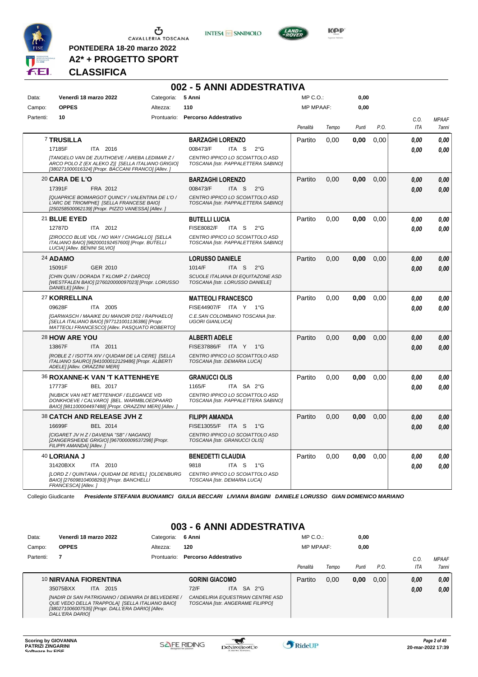

**PONTEDERA 18-20 marzo 2022 A2\* + PROGETTO SPORT**





**Kep** 

#### **CLASSIFICA**

|           |                               |                                                                                                                                                           |            | 002 - 5 ANNI ADDESTRATIVA                                              |                  |       |       |      |      |              |
|-----------|-------------------------------|-----------------------------------------------------------------------------------------------------------------------------------------------------------|------------|------------------------------------------------------------------------|------------------|-------|-------|------|------|--------------|
| Data:     |                               | Venerdì 18 marzo 2022                                                                                                                                     | Categoria: | 5 Anni                                                                 | MP C.O.:         |       | 0,00  |      |      |              |
| Campo:    | <b>OPPES</b>                  |                                                                                                                                                           | Altezza:   | 110                                                                    | <b>MP MPAAF:</b> |       | 0,00  |      |      |              |
| Partenti: | 10                            |                                                                                                                                                           |            | Prontuario: Percorso Addestrativo                                      |                  |       |       |      | C.0. | <b>MPAAF</b> |
|           |                               |                                                                                                                                                           |            |                                                                        | Penalità         | Tempo | Punti | P.O. | ITA  | 7anni        |
|           | <b>7 TRUSILLA</b>             |                                                                                                                                                           |            | <b>BARZAGHI LORENZO</b>                                                | Partito          | 0,00  | 0,00  | 0,00 | 0.00 | 0.00         |
|           | 17185F                        | ITA 2016                                                                                                                                                  |            | 008473/F<br>ITA S<br>$2^{\circ}$ G                                     |                  |       |       |      | 0.00 | 0,00         |
|           |                               | [TANGELO VAN DE ZUUTHOEVE / AREBA LEDIMAR Z /<br>ARCO POLO Z (EX ALEKO Z)] [SELLA ITALIANO GRIGIO]<br>[380271000016324] [Propr. BACCANI FRANCO] [Allev. ] |            | CENTRO IPPICO LO SCOIATTOLO ASD<br>TOSCANA [Istr. PAPPALETTERA SABINO] |                  |       |       |      |      |              |
|           | <b>20 CARA DE L'O</b>         |                                                                                                                                                           |            | <b>BARZAGHI LORENZO</b>                                                | Partito          | 0.00  | 0,00  | 0,00 | 0.00 | 0.00         |
|           | 17391F                        | FRA 2012                                                                                                                                                  |            | 008473/F<br>ITA <sub>S</sub><br>$2^{\circ}$ G                          |                  |       |       |      | 0.00 | 0,00         |
|           |                               | [QUAPRICE BOIMARGOT QUINCY / VALENTINA DE L'O /<br>L'ARC DE TRIOMPHE] [SELLA FRANCESE BAIO]<br>[250258500062139] [Propr. PIZZO VANESSA] [Allev. ]         |            | CENTRO IPPICO LO SCOIATTOLO ASD<br>TOSCANA [Istr. PAPPALETTERA SABINO] |                  |       |       |      |      |              |
|           | 21 BLUE EYED                  |                                                                                                                                                           |            | <b>BUTELLI LUCIA</b>                                                   | Partito          | 0,00  | 0,00  | 0.00 | 0.00 | 0,00         |
|           | 12787D                        | ITA 2012                                                                                                                                                  |            | <b>FISE8082/F</b><br>ITA S<br>$2^{\circ}G$                             |                  |       |       |      | 0.00 | 0.00         |
|           | LUCIAI [Allev. BENINI SILVIO] | [ZIROCCO BLUE VDL / NO WAY / CHAGALLO] [SELLA<br>ITALIANO BAIO] [982000192457600] [Propr. BUTELLI                                                         |            | CENTRO IPPICO LO SCOIATTOLO ASD<br>TOSCANA [Istr. PAPPALETTERA SABINO] |                  |       |       |      |      |              |
|           | 24 ADAMO                      |                                                                                                                                                           |            | <b>LORUSSO DANIELE</b>                                                 | Partito          | 0.00  | 0.00  | 0.00 | 0.00 | 0,00         |
|           | 15091F                        | GER 2010                                                                                                                                                  |            | 1014/F<br>ITA <sub>S</sub><br>$2^{\circ}$ G                            |                  |       |       |      | 0.00 | 0,00         |
|           | DANIELE] [Allev.]             | [CHIN QUIN / DORADA T KLOMP Z / DARCO]<br>[WESTFALEN BAIO] [276020000097023] [Propr. LORUSSO                                                              |            | SCUOLE ITALIANA DI EQUITAZONE ASD<br>TOSCANA [Istr. LORUSSO DANIELE]   |                  |       |       |      |      |              |
|           | 27 KORRELLINA                 |                                                                                                                                                           |            | <b>MATTEOLI FRANCESCO</b>                                              | Partito          | 0.00  | 0.00  | 0.00 | 0.00 | 0,00         |
|           | 09628F                        | ITA 2005                                                                                                                                                  |            | FISE44907/F ITA Y 1°G                                                  |                  |       |       |      | 0.00 | 0,00         |
|           |                               | [GARWASCH / MAAIKE DU MANOIR D'02 / RAPHAELO]<br>[SELLA ITALIANO BAIO] [977121001136386] [Propr.<br>MATTEOLI FRANCESCO] [Allev. PASQUATO ROBERTO]         |            | C.E.SAN COLOMBANO TOSCANA [Istr.<br><b>UGORI GIANLUCAI</b>             |                  |       |       |      |      |              |
|           | 28 HOW ARE YOU                |                                                                                                                                                           |            | <b>ALBERTI ADELE</b>                                                   | Partito          | 0.00  | 0.00  | 0.00 | 0.00 | 0,00         |
|           | 13867F                        | ITA 2011                                                                                                                                                  |            | FISE37886/F ITA Y 1°G                                                  |                  |       |       |      | 0.00 | 0.00         |
|           | ADELE] [Allev. ORAZZINI MERI] | [ROBLE Z / ISOTTA XIV / QUIDAM DE LA CERE] [SELLA<br>ITALIANO SAURO] [941000012129486] [Propr. ALBERTI                                                    |            | CENTRO IPPICO LO SCOIATTOLO ASD<br>TOSCANA [Istr. DEMARIA LUCA]        |                  |       |       |      |      |              |
|           |                               | <b>36 ROXANNE-K VAN 'T KATTENHEYE</b>                                                                                                                     |            | <b>GRANUCCI OLIS</b>                                                   | Partito          | 0.00  | 0.00  | 0.00 | 0.00 | 0,00         |
|           | 17773F                        | BEL 2017                                                                                                                                                  |            | 1165/F<br>ITA SA 2°G                                                   |                  |       |       |      | 0.00 | 0.00         |
|           |                               | <b>INUBICK VAN HET METTENHOF / ELEGANCE V/D</b><br>DONKHOEVE / CALVARO] [BEL. WARMBLOEDPAARD<br>BAIO] [981100004497488] [Propr. ORAZZINI MERI] [Allev. ]  |            | CENTRO IPPICO LO SCOIATTOLO ASD<br>TOSCANA [Istr. PAPPALETTERA SABINO] |                  |       |       |      |      |              |
|           |                               | 38 CATCH AND RELEASE JVH Z                                                                                                                                |            | FILIPPI AMANDA                                                         | Partito          | 0.00  | 0.00  | 0.00 | 0.00 | 0,00         |
|           | 16699F                        | BEL 2014                                                                                                                                                  |            | FISE13055/F ITA S<br>$1^{\circ}G$                                      |                  |       |       |      | 0.00 | 0.00         |
|           | FILIPPI AMANDA] [Allev.]      | [CIGARET JV H Z / DAVIENA "SB" / NAGANO]<br>[ZANGERSHEIDE GRIGIO] [967000009537298] [Propr.                                                               |            | CENTRO IPPICO LO SCOIATTOLO ASD<br>TOSCANA [Istr. GRANUCCI OLIS]       |                  |       |       |      |      |              |
|           | 40 LORIANA J                  |                                                                                                                                                           |            | <b>BENEDETTI CLAUDIA</b>                                               | Partito          | 0.00  | 0,00  | 0.00 | 0.00 | 0,00         |
|           | 31420BXX                      | ITA 2010                                                                                                                                                  |            | 9818<br>ITA S<br>1°G                                                   |                  |       |       |      | 0.00 | 0.00         |
|           | FRANCESCA] [Allev.]           | [LORD Z / QUINTANA / QUIDAM DE REVEL] [OLDENBURG<br>BAIO] [276098104008293] [Propr. BANCHELLI                                                             |            | CENTRO IPPICO LO SCOIATTOLO ASD<br>TOSCANA [Istr. DEMARIA LUCA]        |                  |       |       |      |      |              |

Collegio Giudicante *Presidente STEFANIA BUONAMICI GIULIA BECCARI LIVIANA BIAGINI DANIELE LORUSSO GIAN DOMENICO MARIANO*

### **003 - 6 ANNI ADDESTRATIVA**

| Data:     | Venerdì 18 marzo 2022                                                                                                                                                        | Categoria:  | 6 Anni                                                               | $MP C. O.$ :     |       | 0,00  |      |      |              |
|-----------|------------------------------------------------------------------------------------------------------------------------------------------------------------------------------|-------------|----------------------------------------------------------------------|------------------|-------|-------|------|------|--------------|
| Campo:    | <b>OPPES</b>                                                                                                                                                                 | Altezza:    | 120                                                                  | <b>MP MPAAF:</b> |       | 0,00  |      |      |              |
| Partenti: |                                                                                                                                                                              | Prontuario: | <b>Percorso Addestrativo</b>                                         |                  |       |       |      | C.0  | <b>MPAAF</b> |
|           |                                                                                                                                                                              |             |                                                                      | Penalità         | Tempo | Punti | P.O. | ITA  | 7anni        |
|           | 10 NIRVANA FIORENTINA                                                                                                                                                        |             | <b>GORINI GIACOMO</b>                                                | Partito          | 0.00  | 0,00  | 0.00 | 0,00 | 0,00         |
|           | 35075BXX<br>2015<br>ITA.                                                                                                                                                     |             | ITA SA $2^{\circ}$ G<br>72/F                                         |                  |       |       |      | 0,00 | 0,00         |
|           | INADIR DI SAN PATRIGNANO / DEIANIRA DI BELVEDERE /<br>QUE VEDO DELLA TRAPPOLA] [SELLA ITALIANO BAIO]<br>[380271006007535] [Propr. DALL'ERA DARIO] [Allev.<br>DALL'ERA DARIO] |             | CANDELIRIA EQUESTRIAN CENTRE ASD<br>TOSCANA [Istr. ANGERAME FILIPPO] |                  |       |       |      |      |              |

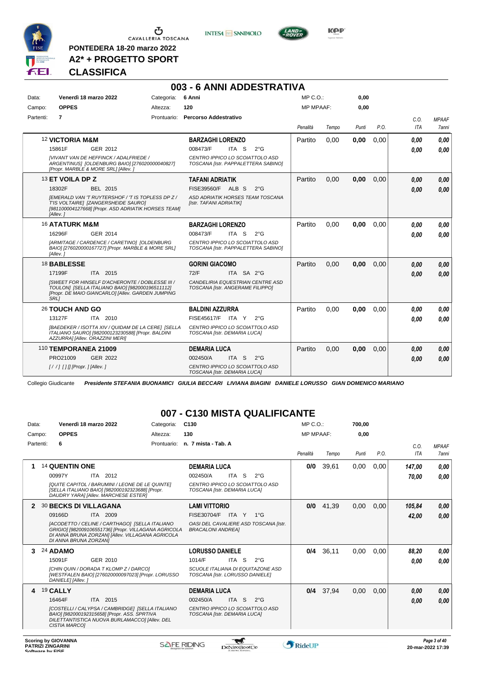

**PONTEDERA 18-20 marzo 2022 A2\* + PROGETTO SPORT** **INTESA** M SANPAOLO



**Kep** 

#### **CLASSIFICA**

|           |                                                                                                                                           |                                                                                                             | 003 - 6 ANNI ADDESTRATIVA                                                                                                               |                  |       |       |      |              |                       |
|-----------|-------------------------------------------------------------------------------------------------------------------------------------------|-------------------------------------------------------------------------------------------------------------|-----------------------------------------------------------------------------------------------------------------------------------------|------------------|-------|-------|------|--------------|-----------------------|
| Data:     | Venerdì 18 marzo 2022                                                                                                                     | Categoria:                                                                                                  | 6 Anni                                                                                                                                  | MP C.O.:         |       | 0,00  |      |              |                       |
| Campo:    | <b>OPPES</b>                                                                                                                              | Altezza:                                                                                                    | 120                                                                                                                                     | <b>MP MPAAF:</b> |       | 0.00  |      |              |                       |
| Partenti: | $\overline{7}$                                                                                                                            |                                                                                                             | Prontuario: Percorso Addestrativo                                                                                                       | Penalità         | Tempo | Punti | P.O. | C.O.<br>ITA  | <b>MPAAF</b><br>7anni |
|           | <b>12 VICTORIA M&amp;M</b><br>15861F<br>GER 2012<br><b>IVIVANT VAN DE HEFFINCK / ADALFRIEDE /</b><br>[Propr. MARBLE & MORE SRL] [Allev. ] | ARGENTINUS] [OLDENBURG BAIO] [276020000040827]                                                              | <b>BARZAGHI LORENZO</b><br>008473/F<br>ITA S<br>$2^{\circ}$ G<br>CENTRO IPPICO LO SCOIATTOLO ASD<br>TOSCANA [Istr. PAPPALETTERA SABINO] | Partito          | 0.00  | 0,00  | 0.00 | 0.00<br>0.00 | 0.00<br>0.00          |
|           | 13 ET VOILA DP Z<br>18302F<br>BEL 2015<br>T'IS VOLTAIRE] [ZANGERSHEIDE SAURO]<br>[Allev.]                                                 | IEMERALD VAN 'T RUYTERSHOF / 'T IS TOPLESS DP Z /<br>[981100004127668] [Propr. ASD ADRIATIK HORSES TEAM]    | <b>TAFANI ADRIATIK</b><br>FISE39560/F ALB S<br>$2^{\circ}$ G<br>ASD ADRIATIK HORSES TEAM TOSCANA<br>[Istr. TAFANI ADRIATIK]             | Partito          | 0.00  | 0,00  | 0.00 | 0,00<br>0.00 | 0,00<br>0.00          |
|           | <b>16 ATATURK M&amp;M</b><br>16296F<br>GER 2014<br>[ARMITAGE / CARDENCE / CARETINO] [OLDENBURG<br>[Allev.]                                | BAIO] [276020000167727] [Propr. MARBLE & MORE SRL]                                                          | <b>BARZAGHI LORENZO</b><br>008473/F<br>$2^{\circ}$ G<br>ITA S<br>CENTRO IPPICO LO SCOIATTOLO ASD<br>TOSCANA [Istr. PAPPALETTERA SABINO] | Partito          | 0.00  | 0,00  | 0.00 | 0.00<br>0.00 | 0.00<br>0.00          |
|           | <b>18 BABLESSE</b><br>ITA 2015<br>17199F<br>TOULON] [SELLA ITALIANO BAIO] [982000196511112]<br><b>SRL1</b>                                | <b>[SWEET FOR HINSELF D'ACHERONTE / DOBLESSE III /</b><br>[Propr. DE MAIO GIANCARLO] [Allev. GARDEN JUMPING | <b>GORINI GIACOMO</b><br>72/F<br>ITA SA 2°G<br>CANDELIRIA EQUESTRIAN CENTRE ASD<br>TOSCANA [Istr. ANGERAME FILIPPO]                     | Partito          | 0.00  | 0,00  | 0.00 | 0,00<br>0.00 | 0.00<br>0.00          |
|           | 26 TOUCH AND GO<br>13127F<br>ITA 2010<br>ITALIANO SAURO] [982000123230588] [Propr. BALDINI<br>AZZURRA] [Allev. ORAZZINI MERI]             | [BAEDEKER / ISOTTA XIV / QUIDAM DE LA CERE] [SELLA                                                          | <b>BALDINI AZZURRA</b><br>FISE45617/F ITA Y<br>$2^{\circ}$ G<br>CENTRO IPPICO LO SCOIATTOLO ASD<br>TOSCANA [Istr. DEMARIA LUCA]         | Partito          | 0.00  | 0.00  | 0.00 | 0.00<br>0.00 | 0.00<br>0.00          |
|           | 110 TEMPORANEA 21009<br>PRO21009<br>GER 2022<br>$[!//]$ [] [] [Propr. ] [Allev. ]                                                         |                                                                                                             | <b>DEMARIA LUCA</b><br>002450/A<br>ITA S<br>$2^{\circ}$ G<br>CENTRO IPPICO LO SCOIATTOLO ASD<br>TOSCANA [Istr. DEMARIA LUCA]            | Partito          | 0.00  | 0,00  | 0.00 | 0,00<br>0.00 | 0,00<br>0.00          |

Collegio Giudicante *Presidente STEFANIA BUONAMICI GIULIA BECCARI LIVIANA BIAGINI DANIELE LORUSSO GIAN DOMENICO MARIANO*

#### **007 - C130 MISTA QUALIFICANTE**

| Data:     | Venerdì 18 marzo 2022        |                                                                                         | Categoria:                                                                                                                                                 | C <sub>130</sub> |                                                                      |       |   |                                       | MP C. O.         |       | 700,00 |      |        |              |
|-----------|------------------------------|-----------------------------------------------------------------------------------------|------------------------------------------------------------------------------------------------------------------------------------------------------------|------------------|----------------------------------------------------------------------|-------|---|---------------------------------------|------------------|-------|--------|------|--------|--------------|
| Campo:    | <b>OPPES</b>                 |                                                                                         | Altezza:                                                                                                                                                   | 130              |                                                                      |       |   |                                       | <b>MP MPAAF:</b> |       | 0,00   |      |        |              |
| Partenti: | 6                            |                                                                                         | Prontuario:                                                                                                                                                |                  | n. 7 mista - Tab. A                                                  |       |   |                                       |                  |       |        |      | C.O.   | <b>MPAAF</b> |
|           |                              |                                                                                         |                                                                                                                                                            |                  |                                                                      |       |   |                                       | Penalità         | Tempo | Punti  | P.O. | ITA    | 7anni        |
| 1         | <b>14 QUENTIN ONE</b>        |                                                                                         |                                                                                                                                                            |                  | <b>DEMARIA LUCA</b>                                                  |       |   |                                       | 0/0              | 39,61 | 0,00   | 0,00 | 147,00 | 0,00         |
|           | 00997Y                       | ITA 2012                                                                                |                                                                                                                                                            |                  | 002450/A                                                             | ITA   | S | $2^{\circ}$ G                         |                  |       |        |      | 70,00  | 0,00         |
|           |                              | [SELLA ITALIANO BAIO] [982000192323688] [Propr.<br>DAUDRY YARA] [Allev. MARCHESE ESTER] | <b>IQUITE CAPITOL / BARUMINI / LEONE DE LE QUINTEI</b>                                                                                                     |                  | CENTRO IPPICO LO SCOIATTOLO ASD<br>TOSCANA [Istr. DEMARIA LUCA]      |       |   |                                       |                  |       |        |      |        |              |
|           | <b>30 BECKS DI VILLAGANA</b> |                                                                                         |                                                                                                                                                            |                  | <b>LAMI VITTORIO</b>                                                 |       |   |                                       | 0/0              | 41.39 | 0,00   | 0,00 | 105,84 | 0,00         |
|           | 09166D                       | <b>ITA 2009</b>                                                                         |                                                                                                                                                            |                  | FISE30704/F                                                          | ITA Y |   | $1^{\circ}G$                          |                  |       |        |      | 42,00  | 0,00         |
|           | DI ANNA BRUNA ZORZANI        |                                                                                         | [ACODETTO / CELINE / CARTHAGO] [SELLA ITALIANO<br>GRIGIO] [982009106551736] [Propr. VILLAGANA AGRICOLA<br>DI ANNA BRUNA ZORZAN] [Allev. VILLAGANA AGRICOLA |                  | <b>BRACALONI ANDREA1</b>                                             |       |   | OASI DEL CAVALIERE ASD TOSCANA [Istr. |                  |       |        |      |        |              |
| 3         | 24 ADAMO                     |                                                                                         |                                                                                                                                                            |                  | <b>LORUSSO DANIELE</b>                                               |       |   |                                       | 0/4              | 36,11 | 0,00   | 0.00 | 88,20  | 0,00         |
|           | 15091F                       | GER 2010                                                                                |                                                                                                                                                            |                  | 1014/F                                                               | ITA S |   | $2^{\circ}$ G                         |                  |       |        |      | 0.00   | 0.00         |
|           | DANIELE] [Allev.]            | [CHIN QUIN / DORADA T KLOMP Z / DARCO]                                                  | [WESTFALEN BAIO] [276020000097023] [Propr. LORUSSO                                                                                                         |                  | SCUOLE ITALIANA DI EQUITAZONE ASD<br>TOSCANA [Istr. LORUSSO DANIELE] |       |   |                                       |                  |       |        |      |        |              |
| 4         | 19 CALLY                     |                                                                                         |                                                                                                                                                            |                  | <b>DEMARIA LUCA</b>                                                  |       |   |                                       | 0/4              | 37,94 | 0,00   | 0,00 | 0,00   | 0,00         |
|           | 16464F                       | ITA 2015                                                                                |                                                                                                                                                            |                  | 002450/A                                                             | ITA S |   | $2^{\circ}G$                          |                  |       |        |      | 0,00   | 0,00         |
|           | <b>CISTIA MARCOI</b>         | BAIO] [982000192315658] [Propr. ASS. SPRTIVA                                            | [COSTELLI / CALYPSA / CAMBRIDGE] [SELLA ITALIANO<br>DILETTANTISTICA NUOVA BURLAMACCOI [Allev. DEL                                                          |                  | CENTRO IPPICO LO SCOIATTOLO ASD<br>TOSCANA [Istr. DEMARIA LUCA]      |       |   |                                       |                  |       |        |      |        |              |
|           |                              |                                                                                         |                                                                                                                                                            |                  |                                                                      |       |   |                                       |                  |       |        |      |        |              |

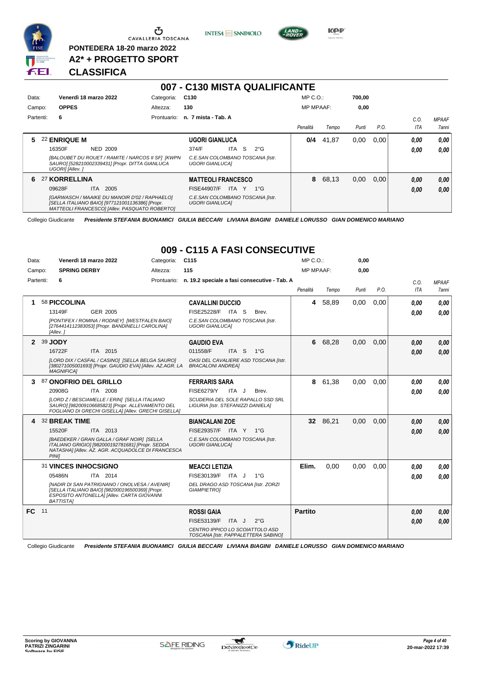

**PONTEDERA 18-20 marzo 2022 A2\* + PROGETTO SPORT** **INTESA** M SANPAOLO



**Kep** 

#### **CLASSIFICA**

| Data:     |                 | Venerdì 18 marzo 2022                                                                                                                             | Categoria:  | C <sub>130</sub>       |                                  |              | $MP C. O.$ :     |       | 700,00 |      |            |              |
|-----------|-----------------|---------------------------------------------------------------------------------------------------------------------------------------------------|-------------|------------------------|----------------------------------|--------------|------------------|-------|--------|------|------------|--------------|
| Campo:    | <b>OPPES</b>    |                                                                                                                                                   | Altezza:    | 130                    |                                  |              | <b>MP MPAAF:</b> |       | 0,00   |      |            |              |
| Partenti: | 6               |                                                                                                                                                   | Prontuario: | n. 7 mista - Tab. A    |                                  |              |                  |       |        |      | C.0.       | <b>MPAAF</b> |
|           |                 |                                                                                                                                                   |             |                        |                                  |              | Penalità         | Tempo | Punti  | P.O. | <b>ITA</b> | 7anni        |
|           | 22 ENRIQUE M    |                                                                                                                                                   |             | <b>UGORI GIANLUCA</b>  |                                  |              | 0/4              | 41.87 | 0,00   | 0.00 | 0.00       | 0.00         |
|           | 16350F          | NED 2009                                                                                                                                          |             | 374/F                  | S<br>ITA                         | $2^{\circ}G$ |                  |       |        |      | 0.00       | 0.00         |
|           | UGORII [Allev.] | [BALOUBET DU ROUET / RAMITE / NARCOS II SF] [KWPN<br>SAURO] [528210002339431] [Propr. DITTA GIANLUCA                                              |             | <b>UGORI GIANLUCAI</b> | C.E.SAN COLOMBANO TOSCANA [Istr. |              |                  |       |        |      |            |              |
| 6.        | 27 KORRELLINA   |                                                                                                                                                   |             |                        | <b>MATTEOLI FRANCESCO</b>        |              | 8                | 68,13 | 0,00   | 0.00 | 0,00       | 0,00         |
|           | 09628F          | ITA.<br>2005                                                                                                                                      |             | FISE44907/F            | ITA Y                            | $1^{\circ}G$ |                  |       |        |      | 0,00       | 0.00         |
|           |                 | [GARWASCH / MAAIKE DU MANOIR D'02 / RAPHAELO]<br>[SELLA ITALIANO BAIO] [977121001136386] [Propr.<br>MATTEOLI FRANCESCOI [Allev. PASQUATO ROBERTO] |             | <b>UGORI GIANLUCAI</b> | C.E.SAN COLOMBANO TOSCANA [Istr. |              |                  |       |        |      |            |              |

**007 - C130 MISTA QUALIFICANTE**

Collegio Giudicante *Presidente STEFANIA BUONAMICI GIULIA BECCARI LIVIANA BIAGINI DANIELE LORUSSO GIAN DOMENICO MARIANO*

#### **009 - C115 A FASI CONSECUTIVE**

| Data:     |    | Venerdì 18 marzo 2022                              |                                                                                                                                                                       | Categoria: | C <sub>115</sub>                                                                                                                        | MP C. O.         |          | 0,00  |      |                    |                              |
|-----------|----|----------------------------------------------------|-----------------------------------------------------------------------------------------------------------------------------------------------------------------------|------------|-----------------------------------------------------------------------------------------------------------------------------------------|------------------|----------|-------|------|--------------------|------------------------------|
| Campo:    |    | <b>SPRING DERBY</b>                                |                                                                                                                                                                       | Altezza:   | 115                                                                                                                                     | <b>MP MPAAF:</b> |          | 0.00  |      |                    |                              |
| Partenti: |    | 6                                                  |                                                                                                                                                                       |            | Prontuario: n. 19.2 speciale a fasi consecutive - Tab. A                                                                                | Penalità         | Tempo    | Punti | P.O. | C.O.<br><b>ITA</b> | <b>MPAAF</b><br><b>7anni</b> |
|           |    | 58 PICCOLINA<br>13149F<br>[Allev. 1                | <b>GER 2005</b><br>[PONTIFEX / ROMINA / RODNEY] [WESTFALEN BAIO]<br>[2764414112383053] [Propr. BANDINELLI CAROLINA]                                                   |            | <b>CAVALLINI DUCCIO</b><br>FISE25228/F ITA S<br>Brev.<br>C.E.SAN COLOMBANO TOSCANA [Istr.<br><b>UGORI GIANLUCAI</b>                     | 4                | 58,89    | 0,00  | 0,00 | 0.00<br>0.00       | 0,00<br>0.00                 |
|           |    | 2 39 JODY<br>16722F<br><b>MAGNIFICA1</b>           | ITA 2015<br>[LORD DIX / CASFAL / CASINO] [SELLA BELGA SAURO]<br>[380271005001693] [Propr. GAUDIO EVA] [Allev. AZ.AGR. LA                                              |            | <b>GAUDIO EVA</b><br>011558/F<br>ITA <sub>S</sub><br>$1^{\circ}$ G<br>OASI DEL CAVALIERE ASD TOSCANA [Istr.<br><b>BRACALONI ANDREA1</b> | 6                | 68,28    | 0,00  | 0,00 | 0.00<br>0.00       | 0,00<br>0.00                 |
| 3         |    | 87 ONOFRIO DEL GRILLO<br>20908G                    | ITA 2008<br>[LORD Z / BESCIAMELLE / ERIN] [SELLA ITALIANO<br>SAURO] [982009106685823] [Propr. ALLEVAMENTO DEL<br>FOGLIANO DI GRECHI GISELLA   [Allev. GRECHI GISELLA] |            | <b>FERRARIS SARA</b><br><b>FISE6279/Y</b><br>ITA J<br>Brev.<br>SCUDERIA DEL SOLE RAPALLO SSD SRL<br>LIGURIA [Istr. STEFANIZZI DANIELA]  | 8                | 61,38    | 0.00  | 0.00 | 0.00<br>0.00       | 0,00<br>0.00                 |
|           |    | 32 BREAK TIME<br>15520F<br><b>PINII</b>            | ITA 2013<br>[BAEDEKER / GRAN GALLA / GRAF NOIR] [SELLA<br>ITALIANO GRIGIO] [982000192781681] [Propr. SEDDA<br>NATASHAI [Allev. AZ. AGR. ACQUADOLCE DI FRANCESCA       |            | <b>BIANCALANI ZOE</b><br>FISE29357/F ITA Y 1°G<br>C.E.SAN COLOMBANO TOSCANA [Istr.<br><b>UGORI GIANLUCAI</b>                            |                  | 32 86,21 | 0,00  | 0,00 | 0.00<br>0.00       | 0.00<br>0.00                 |
|           |    | 31 VINCES INHOCSIGNO<br>05486N<br><b>BATTISTAI</b> | ITA 2014<br>[NADIR DI SAN PATRIGNANO / ONOLVESA / AVENIR]<br>[SELLA ITALIANO BAIO] [982000196500369] [Propr.<br>ESPOSITO ANTONELLA] [Allev. CARTA GIOVANNI            |            | <b>MEACCI LETIZIA</b><br>FISE30139/F ITA J<br>$1^{\circ}$ G<br>DEL DRAGO ASD TOSCANA [Istr. ZORZI<br><b>GIAMPIETROI</b>                 | Elim.            | 0,00     | 0,00  | 0,00 | 0.00<br>0.00       | 0.00<br>0.00                 |
| FC        | 11 |                                                    |                                                                                                                                                                       |            | <b>ROSSI GAIA</b><br>FISE53139/F<br>ITA J<br>$2^{\circ}$ G<br>CENTRO IPPICO LO SCOIATTOLO ASD<br>TOSCANA [Istr. PAPPALETTERA SABINO]    | <b>Partito</b>   |          |       |      | 0,00<br>0.00       | 0,00<br>0.00                 |

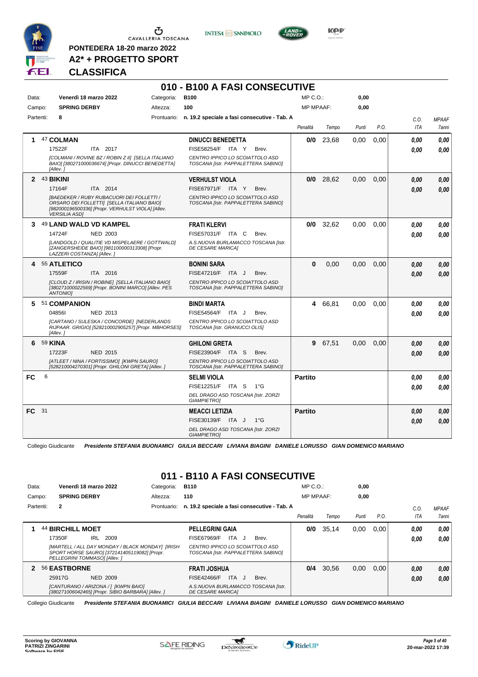

**PONTEDERA 18-20 marzo 2022 A2\* + PROGETTO SPORT** **INTESA** M SANPAOLO



**KPP** 

#### **CLASSIFICA**

#### **010 - B100 A FASI CONSECUTIVE**

| Data:        |           | Venerdì 18 marzo 2022                                                                                                                                                       | Categoria: | <b>B100</b>                                                            |              | MP C. O.         |             | 0,00     |      |      |              |
|--------------|-----------|-----------------------------------------------------------------------------------------------------------------------------------------------------------------------------|------------|------------------------------------------------------------------------|--------------|------------------|-------------|----------|------|------|--------------|
| Campo:       |           | <b>SPRING DERBY</b>                                                                                                                                                         | Altezza:   | 100                                                                    |              | <b>MP MPAAF:</b> |             | 0,00     |      |      |              |
|              | Partenti: | 8                                                                                                                                                                           |            | Prontuario: n. 19.2 speciale a fasi consecutive - Tab. A               |              |                  |             |          |      | C.O. | <b>MPAAF</b> |
|              |           |                                                                                                                                                                             |            |                                                                        |              | Penalità         | Tempo       | Punti    | P.O. | ITA  | 7anni        |
|              |           | 47 COLMAN                                                                                                                                                                   |            | <b>DINUCCI BENEDETTA</b>                                               |              | 0/0              | 23,68       | 0,00     | 0,00 | 0.00 | 0.00         |
|              |           | 17522F<br>ITA 2017                                                                                                                                                          |            | FISE58254/F ITA Y                                                      | Brev.        |                  |             |          |      | 0.00 | 0.00         |
|              |           | [COLMANI / ROVINE BZ / ROBIN Z II] [SELLA ITALIANO<br>BAIO] [380271000036674] [Propr. DINUCCI BENEDETTA]<br>[Allev.]                                                        |            | CENTRO IPPICO LO SCOIATTOLO ASD<br>TOSCANA [Istr. PAPPALETTERA SABINO] |              |                  |             |          |      |      |              |
|              |           | 2 43 BIKINI                                                                                                                                                                 |            | <b>VERHULST VIOLA</b>                                                  |              |                  | $0/0$ 28,62 | 0,00     | 0,00 | 0.00 | 0.00         |
|              |           | 17164F<br>ITA 2014                                                                                                                                                          |            | FISE67971/F ITA Y                                                      | Brev.        |                  |             |          |      | 0.00 | 0,00         |
|              |           | <b>IBAEDEKER / RUBY RUBACUORI DEI FOLLETTI /</b><br>ORSARO DEI FOLLETTI] [SELLA ITALIANO BAIO]<br>[982000196500336] [Propr. VERHULST VIOLA] [Allev.<br><b>VERSILIA ASDI</b> |            | CENTRO IPPICO LO SCOIATTOLO ASD<br>TOSCANA [Istr. PAPPALETTERA SABINO] |              |                  |             |          |      |      |              |
| 3            |           | 49 LAND WALD VD KAMPEL                                                                                                                                                      |            | <b>FRATI KLERVI</b>                                                    |              | 0/0              | 32,62       | 0.00     | 0.00 | 0.00 | 0,00         |
|              |           | 14724F<br><b>NED 2003</b>                                                                                                                                                   |            | FISE57031/F ITA C                                                      | Brev.        |                  |             |          |      | 0.00 | 0.00         |
|              |           | [LANDGOLD / QUALITIE VD MISPELAERE / GOTTWALD]<br>[ZANGERSHEIDE BAIO] [981100000313308] [Propr.<br>LAZZERI COSTANZAI [Allev.]                                               |            | A.S.NUOVA BURLAMACCO TOSCANA [Istr.<br><b>DE CESARE MARICAI</b>        |              |                  |             |          |      |      |              |
| 4            |           | 55 ATLETICO                                                                                                                                                                 |            | <b>BONINI SARA</b>                                                     |              | $\bf{0}$         | 0,00        | 0,00     | 0,00 | 0.00 | 0,00         |
|              |           | 17559F<br>ITA 2016                                                                                                                                                          |            | FISE47216/F ITA J                                                      | Brev.        |                  |             |          |      | 0.00 | 0.00         |
|              |           | [CLOUD Z / IRISIN / ROBINE] [SELLA ITALIANO BAIO]<br>[380271000022569] [Propr. BONINI MARCO] [Alley, PES<br>ANTONIO1                                                        |            | CENTRO IPPICO LO SCOIATTOLO ASD<br>TOSCANA [Istr. PAPPALETTERA SABINO] |              |                  |             |          |      |      |              |
| 5.           |           | 51 COMPANION                                                                                                                                                                |            | <b>BINDI MARTA</b>                                                     |              |                  | 4 66,81     | $0.00\,$ | 0.00 | 0.00 | 0,00         |
|              |           | 048561<br>NED 2013                                                                                                                                                          |            | FISE54564/F ITA J                                                      | Brev.        |                  |             |          |      | 0.00 | 0.00         |
|              |           | [CARTANO / SULESKA / CONCORDE] [NEDERLANDS<br>RIJPAAR. GRIGIO] [528210002905257] [Propr. MBHORSES]<br>[Allev.]                                                              |            | CENTRO IPPICO LO SCOIATTOLO ASD<br>TOSCANA [Istr. GRANUCCI OLIS]       |              |                  |             |          |      |      |              |
| 6            |           | 59 KINA                                                                                                                                                                     |            | <b>GHILONI GRETA</b>                                                   |              |                  | 9 67,51     | 0,00     | 0,00 | 0.00 | 0,00         |
|              |           | 17223F<br><b>NED 2015</b>                                                                                                                                                   |            | FISE23904/F ITA S                                                      | Brev.        |                  |             |          |      | 0.00 | 0.00         |
|              |           | [ATLEET / NINA / FORTISSIMO] [KWPN SAURO]<br>[528210004270301] [Propr. GHILONI GRETA] [Allev. ]                                                                             |            | CENTRO IPPICO LO SCOIATTOLO ASD<br>TOSCANA [Istr. PAPPALETTERA SABINO] |              |                  |             |          |      |      |              |
| <b>FC</b>    | 6         |                                                                                                                                                                             |            | <b>SELMI VIOLA</b>                                                     |              | <b>Partito</b>   |             |          |      | 0.00 | 0,00         |
|              |           |                                                                                                                                                                             |            | FISE12251/F ITA S                                                      | $1^{\circ}G$ |                  |             |          |      | 0.00 | 0.00         |
|              |           |                                                                                                                                                                             |            | DEL DRAGO ASD TOSCANA [Istr. ZORZI<br><b>GIAMPIETROI</b>               |              |                  |             |          |      |      |              |
| <b>FC</b> 31 |           |                                                                                                                                                                             |            | <b>MEACCI LETIZIA</b>                                                  |              | <b>Partito</b>   |             |          |      | 0.00 | 0,00         |
|              |           |                                                                                                                                                                             |            | FISE30139/F ITA J                                                      | $1^{\circ}G$ |                  |             |          |      | 0.00 | 0.00         |
|              |           |                                                                                                                                                                             |            | DEL DRAGO ASD TOSCANA [Istr. ZORZI<br><b>GIAMPIETROI</b>               |              |                  |             |          |      |      |              |

Collegio Giudicante *Presidente STEFANIA BUONAMICI GIULIA BECCARI LIVIANA BIAGINI DANIELE LORUSSO GIAN DOMENICO MARIANO*

#### **011 - B110 A FASI CONSECUTIVE**

| Data:  |           |                     | Venerdì 18 marzo 2022                                                                                                            | Categoria:  | <b>B110</b>                                                            | $MP C. O.$ :     |       | 0,00  |      |      |                     |
|--------|-----------|---------------------|----------------------------------------------------------------------------------------------------------------------------------|-------------|------------------------------------------------------------------------|------------------|-------|-------|------|------|---------------------|
| Campo: |           | <b>SPRING DERBY</b> |                                                                                                                                  | Altezza:    | 110                                                                    | <b>MP MPAAF:</b> |       | 0,00  |      |      |                     |
|        | Partenti: | $\mathbf{2}$        |                                                                                                                                  | Prontuario: | n. 19.2 speciale a fasi consecutive - Tab. A                           |                  |       |       |      | C.0  | <b>MPAAF</b>        |
|        |           |                     |                                                                                                                                  |             |                                                                        | Penalità         | Tempo | Punti | P.O. | ITA  | <i><b>7anni</b></i> |
|        |           | 44 BIRCHILL MOET    |                                                                                                                                  |             | <b>PELLEGRINI GAIA</b>                                                 | 0/0              | 35.14 | 0,00  | 0.00 | 0,00 | 0,00                |
|        |           | 17350F              | 2009<br>IRL                                                                                                                      |             | ITA.<br>FISE67969/F<br>Brev.<br>- J                                    |                  |       |       |      | 0,00 | 0.00                |
|        |           |                     | [MARTELL / ALL DAY MONDAY / BLACK MONDAY] [IRISH<br>SPORT HORSE SAURO] [372141405119082] [Propr.<br>PELLEGRINI TOMMASO] [Allev.] |             | CENTRO IPPICO LO SCOIATTOLO ASD<br>TOSCANA IIstr. PAPPALETTERA SABINOI |                  |       |       |      |      |                     |
| 2      |           | 56 EASTBORNE        |                                                                                                                                  |             | <b>FRATI JOSHUA</b>                                                    | 0/4              | 30,56 | 0,00  | 0.00 | 0,00 | 0.00                |
|        |           | 25917G              | <b>NED 2009</b>                                                                                                                  |             | ITA.<br>FISE42466/F<br>Brev.<br>ل -                                    |                  |       |       |      | 0,00 | 0.00                |
|        |           |                     | [CANTURANO / ARIZONA / 1 [KWPN BAIO]<br>[380271006042465] [Propr. SIBIO BARBARA] [Allev. ]                                       |             | A.S.NUOVA BURLAMACCO TOSCANA [Istr.<br><b>DE CESARE MARICAI</b>        |                  |       |       |      |      |                     |

 $\mathcal{L}$ 

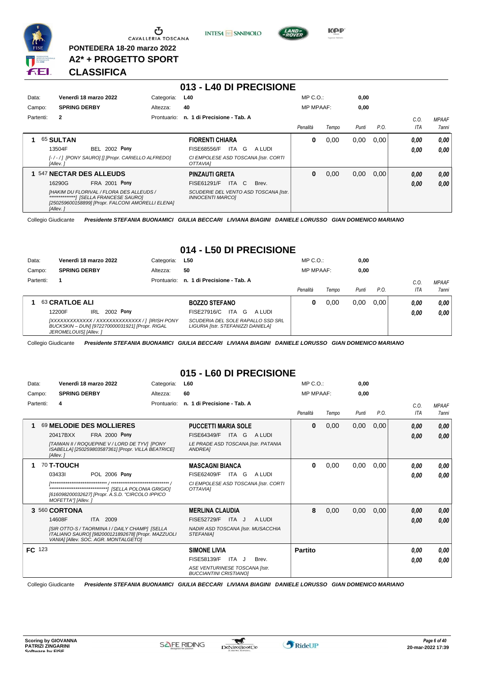

<u>ය</u> CAVALLERIA TOSCANA

**PONTEDERA 18-20 marzo 2022 A2\* + PROGETTO SPORT**





**KPP** 

#### **CLASSIFICA**

|           |                                                                                                                                                                 |             | 013 - L40 DI PRECISIONE                                          |                  |       |       |      |      |              |
|-----------|-----------------------------------------------------------------------------------------------------------------------------------------------------------------|-------------|------------------------------------------------------------------|------------------|-------|-------|------|------|--------------|
| Data:     | Venerdì 18 marzo 2022                                                                                                                                           | Categoria:  | <b>L40</b>                                                       | $MP C. O.$ :     |       | 0.00  |      |      |              |
| Campo:    | <b>SPRING DERBY</b>                                                                                                                                             | Altezza:    | 40                                                               | <b>MP MPAAF:</b> |       | 0,00  |      |      |              |
| Partenti: | $\overline{2}$                                                                                                                                                  | Prontuario: | n. 1 di Precisione - Tab. A                                      |                  |       |       |      | C.0. | <b>MPAAF</b> |
|           |                                                                                                                                                                 |             |                                                                  | Penalità         | Tempo | Punti | P.O. | ITA  | 7anni        |
|           | 65 SULTAN                                                                                                                                                       |             | <b>FIORENTI CHIARA</b>                                           | 0                | 0,00  | 0,00  | 0,00 | 0,00 | 0.00         |
|           | 2002 Pony<br>13504F<br>BEL.                                                                                                                                     |             | ITA G<br><b>FISE68556/F</b><br>A LUDI                            |                  |       |       |      | 0,00 | 0.00         |
|           | [-/-/] [PONY SAURO] [] [Propr. CARIELLO ALFREDO]<br>[Allev.]                                                                                                    |             | CI EMPOLESE ASD TOSCANA [Istr. CORTI<br>OTTAVIAI                 |                  |       |       |      |      |              |
|           | 547 NECTAR DES ALLEUDS                                                                                                                                          |             | <b>PINZAUTI GRETA</b>                                            | 0                | 0,00  | 0,00  | 0.00 | 0,00 | 0,00         |
|           | FRA 2001 Pony<br>16290G                                                                                                                                         |             | ITA C<br><b>FISE61291/F</b><br>Brev.                             |                  |       |       |      | 0.00 | 0.00         |
|           | [HAKIM DU FLORIVAL / FLORA DES ALLEUDS /<br>**************************/ ISELLA FRANCESE SAUROI<br>[250259600158899] [Propr. FALCONI AMORELLI ELENA]<br>[Allev.] |             | SCUDERIE DEL VENTO ASD TOSCANA [Istr.<br><b>INNOCENTI MARCOI</b> |                  |       |       |      |      |              |

Collegio Giudicante *Presidente STEFANIA BUONAMICI GIULIA BECCARI LIVIANA BIAGINI DANIELE LORUSSO GIAN DOMENICO MARIANO*

#### **014 - L50 DI PRECISIONE**

| Data:     | Venerdì 18 marzo 2022      | Categoria:  | L50                            | $MP C. O.$ :     |       | 0,00  |      |      |              |
|-----------|----------------------------|-------------|--------------------------------|------------------|-------|-------|------|------|--------------|
| Campo:    | <b>SPRING DERBY</b>        | Altezza:    | 50                             | <b>MP MPAAF:</b> |       | 0,00  |      |      |              |
| Partenti: |                            | Prontuario: | n. 1 di Precisione - Tab. A    |                  |       |       |      | C.0  | <b>MPAAF</b> |
|           |                            |             |                                | Penalità         | Tempo | Punti | P.O. | ITA  | <b>7anni</b> |
|           |                            |             |                                |                  |       |       |      |      |              |
|           | 63 CRATLOE ALI             |             | <b>BOZZO STEFANO</b>           | υ                | 0.00  | 0,00  | 0.00 | 0.00 | 0.00         |
|           | 2002 Pony<br>IRL<br>12200F |             | ITA G<br>FISE27916/C<br>A LUDI |                  |       |       |      | 0.00 | 0.00         |

Collegio Giudicante *Presidente STEFANIA BUONAMICI GIULIA BECCARI LIVIANA BIAGINI DANIELE LORUSSO GIAN DOMENICO MARIANO*

#### **015 - L60 DI PRECISIONE**

| Data:     |                     | Venerdì 18 marzo 2022                                                                                                                        | Categoria:  | L60                                                             | MP C.O.:         |       | 0,00  |      |      |              |
|-----------|---------------------|----------------------------------------------------------------------------------------------------------------------------------------------|-------------|-----------------------------------------------------------------|------------------|-------|-------|------|------|--------------|
| Campo:    | <b>SPRING DERBY</b> |                                                                                                                                              | Altezza:    | 60                                                              | <b>MP MPAAF:</b> |       | 0,00  |      |      |              |
| Partenti: | 4                   |                                                                                                                                              | Prontuario: | n. 1 di Precisione - Tab. A                                     |                  |       |       |      | C.O. | <b>MPAAF</b> |
|           |                     |                                                                                                                                              |             |                                                                 | Penalità         | Tempo | Punti | P.O. | ITA  | <b>7anni</b> |
|           |                     | 69 MELODIE DES MOLLIERES                                                                                                                     |             | <b>PUCCETTI MARIA SOLE</b>                                      | 0                | 0,00  | 0,00  | 0,00 | 0,00 | 0,00         |
|           | 20417BXX            | <b>FRA 2000 Pony</b>                                                                                                                         |             | FISE64349/F<br><b>ITA</b><br>G<br>A LUDI                        |                  |       |       |      | 0,00 | 0,00         |
|           | [Allev.]            | [TAIWAN II / ROQUEPINE V / LORD DE TYV] [PONY<br>ISABELLA] [250259803587361] [Propr. VILLA BEATRICE]                                         |             | LE PRADE ASD TOSCANA [Istr. PATANIA<br><b>ANDREA1</b>           |                  |       |       |      |      |              |
|           | <b>70 T-TOUCH</b>   |                                                                                                                                              |             | <b>MASCAGNI BIANCA</b>                                          | 0                | 0,00  | 0,00  | 0,00 | 0.00 | 0,00         |
|           | 034331              | <b>POL 2006 Pony</b>                                                                                                                         |             | FISE62409/F<br>ITA G<br>A LUDI                                  |                  |       |       |      | 0,00 | 0.00         |
|           | MOFETTA"] [Allev. ] | [616098200032627] [Propr. A.S.D. "CIRCOLO IPPICO                                                                                             |             | CI EMPOLESE ASD TOSCANA [Istr. CORTI<br>OTTAVIAI                |                  |       |       |      |      |              |
|           | 3 560 CORTONA       |                                                                                                                                              |             | <b>MERLINA CLAUDIA</b>                                          | 8                | 0,00  | 0,00  | 0,00 | 0,00 | 0,00         |
|           | 14608F              | 2009<br><b>ITA</b>                                                                                                                           |             | <b>FISE52729/F</b><br>ITA J<br>A LUDI                           |                  |       |       |      | 0,00 | 0,00         |
|           |                     | [SIR OTTO-S / TAORMINA I / DAILY CHAMP] [SELLA<br>ITALIANO SAURO] [982000121892678] [Propr. MAZZUOLI<br>VANIA] [Allev. SOC. AGR. MONTALGETO] |             | NADIR ASD TOSCANA [Istr. MUSACCHIA<br>STEFANIA]                 |                  |       |       |      |      |              |
| FC 123    |                     |                                                                                                                                              |             | <b>SIMONE LIVIA</b>                                             | <b>Partito</b>   |       |       |      | 0.00 | 0,00         |
|           |                     |                                                                                                                                              |             | FISE58139/F<br>ITA J<br>Brev.                                   |                  |       |       |      | 0,00 | 0.00         |
|           |                     |                                                                                                                                              |             | ASE VENTURINESE TOSCANA [Istr.<br><b>BUCCIANTINI CRISTIANOI</b> |                  |       |       |      |      |              |

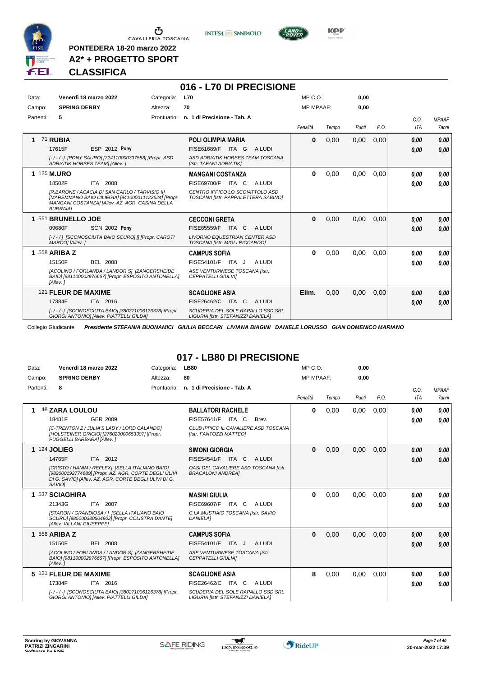

**PONTEDERA 18-20 marzo 2022 A2\* + PROGETTO SPORT** **INTESA** M SANPAOLO



**CLASSIFICA**

#### **016 - L70 DI PRECISIONE**

| Data:     | Venerdì 18 marzo 2022                                                                                                                                                       | Categoria:  | <b>L70</b>                                                              | MP C. O.         |       | 0,00  |      |            |              |
|-----------|-----------------------------------------------------------------------------------------------------------------------------------------------------------------------------|-------------|-------------------------------------------------------------------------|------------------|-------|-------|------|------------|--------------|
| Campo:    | <b>SPRING DERBY</b>                                                                                                                                                         | Altezza:    | 70                                                                      | <b>MP MPAAF:</b> |       | 0,00  |      |            |              |
| Partenti: | 5                                                                                                                                                                           | Prontuario: | n. 1 di Precisione - Tab. A                                             |                  |       |       |      | C.0.       | <b>MPAAF</b> |
|           |                                                                                                                                                                             |             |                                                                         | Penalità         | Tempo | Punti | P.O. | <b>ITA</b> | <b>7anni</b> |
|           | <b>71 RUBIA</b>                                                                                                                                                             |             | <b>POLI OLIMPIA MARIA</b>                                               | $\bf{0}$         | 0,00  | 0,00  | 0,00 | 0,00       | 0,00         |
|           | <b>ESP 2012 Pony</b><br>17615F                                                                                                                                              |             | FISE61689/F<br>ITA G<br>A LUDI                                          |                  |       |       |      | 0.00       | 0,00         |
|           | [-/-/-] [PONY SAURO] [724110000337588] [Propr. ASD<br>ADRIATIK HORSES TEAM] [Allev. ]                                                                                       |             | ASD ADRIATIK HORSES TEAM TOSCANA<br>[Istr. TAFANI ADRIATIK]             |                  |       |       |      |            |              |
|           | 1 125 M.URO                                                                                                                                                                 |             | <b>MANGANI COSTANZA</b>                                                 | $\bf{0}$         | 0,00  | 0,00  | 0.00 | 0,00       | 0,00         |
|           | 18502F<br>ITA 2008                                                                                                                                                          |             | <b>FISE69780/F ITA C</b><br>A LUDI                                      |                  |       |       |      | 0,00       | 0.00         |
|           | IR.BARONE / ACACIA DI SAN CARLO / TARVISIO III<br>[MAREMMANO BAIO CILIEGIA] [941000011122624] [Propr.<br>MANGANI COSTANZA] [Allev. AZ. AGR. CASINA DELLA<br><b>BURRAIAI</b> |             | CENTRO IPPICO LO SCOIATTOLO ASD<br>TOSCANA [Istr. PAPPALETTERA SABINO]  |                  |       |       |      |            |              |
|           | 551 BRUNELLO JOE                                                                                                                                                            |             | <b>CECCONI GRETA</b>                                                    | $\bf{0}$         | 0,00  | 0,00  | 0,00 | 0,00       | 0,00         |
|           | <b>SCN 2002 Pony</b><br>09680F                                                                                                                                              |             | <b>FISE65559/F</b><br>ITA C<br>A LUDI                                   |                  |       |       |      | 0.00       | 0,00         |
|           | [-/-/] [SCONOSCIUTA BAIO SCURO] [] [Propr. CAROTI<br>MARCO] [Allev.]                                                                                                        |             | <b>LIVORNO EQUESTRIAN CENTER ASD</b><br>TOSCANA [Istr. MIGLI RICCARDO]  |                  |       |       |      |            |              |
|           | 1 558 ARIBA Z                                                                                                                                                               |             | <b>CAMPUS SOFIA</b>                                                     | 0                | 0,00  | 0.00  | 0.00 | 0,00       | 0,00         |
|           | 15150F<br><b>BEL 2008</b>                                                                                                                                                   |             | FISE54101/F ITA J<br>A LUDI                                             |                  |       |       |      | 0,00       | 0.00         |
|           | [ACOLINO / FORLANDA / LANDOR S] [ZANGERSHEIDE<br>BAIO] [981100002976667] [Propr. ESPOSITO ANTONELLA]<br>[Allev.]                                                            |             | ASE VENTURINESE TOSCANA [Istr.<br><b>CEPPATELLI GIULIAI</b>             |                  |       |       |      |            |              |
|           | 121 FLEUR DE MAXIME                                                                                                                                                         |             | <b>SCAGLIONE ASIA</b>                                                   | Elim.            | 0,00  | 0,00  | 0,00 | 0,00       | 0,00         |
|           | 17384F<br>ITA 2016                                                                                                                                                          |             | FISE26462/C<br>ITA C<br>A LUDI                                          |                  |       |       |      | 0,00       | 0,00         |
|           | [-/-/-] [SCONOSCIUTA BAIO] [380271006126378] [Propr.<br>GIORGI ANTONIO] [Allev. PIATTELLI GILDA]                                                                            |             | SCUDERIA DEL SOLE RAPALLO SSD SRL<br>LIGURIA [Istr. STEFANIZZI DANIELA] |                  |       |       |      |            |              |

Collegio Giudicante *Presidente STEFANIA BUONAMICI GIULIA BECCARI LIVIANA BIAGINI DANIELE LORUSSO GIAN DOMENICO MARIANO*

### **017 - LB80 DI PRECISIONE**

| Data:     | Venerdì 18 marzo 2022                                                                                                                                                                                                               | Categoria:  | <b>LB80</b>                                                                                                                        | MP C. O.         |       | 0,00  |      |                    |                              |
|-----------|-------------------------------------------------------------------------------------------------------------------------------------------------------------------------------------------------------------------------------------|-------------|------------------------------------------------------------------------------------------------------------------------------------|------------------|-------|-------|------|--------------------|------------------------------|
| Campo:    | <b>SPRING DERBY</b>                                                                                                                                                                                                                 | Altezza:    | 80                                                                                                                                 | <b>MP MPAAF:</b> |       | 0,00  |      |                    |                              |
| Partenti: | 8                                                                                                                                                                                                                                   | Prontuario: | n. 1 di Precisione - Tab. A                                                                                                        | Penalità         | Tempo | Punti | P.O. | C.O.<br><b>ITA</b> | <b>MPAAF</b><br><b>7anni</b> |
| 1         | <b>48 ZARA LOULOU</b><br>18481F<br>GER 2009<br>[C-TRENTON Z / JULIA'S LADY / LORD CALANDO]<br>[HOLSTEINER GRIGIO] [276020000653307] [Propr.<br>PUGGELLI BARBARA] [Allev.]                                                           |             | <b>BALLATORI RACHELE</b><br>FISE57641/F<br>ITA C<br>Brev.<br>CLUB IPPICO IL CAVALIERE ASD TOSCANA<br>[Istr. FANTOZZI MATTEO]       | 0                | 0,00  | 0,00  | 0,00 | 0.00<br>0.00       | 0.00<br>0.00                 |
|           | <b>1 124 JOLIEG</b><br>ITA 2012<br>14765F<br>[CRISTO / HANIM / REFLEX] [SELLA ITALIANO BAIO]<br>[982000192774689] [Propr. AZ. AGR. CORTE DEGLI ULIVI<br>DI G. SAVIOI [Allev. AZ. AGR. CORTE DEGLI ULIVI DI G.<br>SAVIO <sub>I</sub> |             | <b>SIMONI GIORGIA</b><br>FISE54541/F ITA C<br>A LUDI<br>OASI DEL CAVALIERE ASD TOSCANA [Istr.<br><b>BRACALONI ANDREA]</b>          | $\Omega$         | 0,00  | 0,00  | 0,00 | 0,00<br>0.00       | 0.00<br>0,00                 |
|           | 1 537 SCIAGHIRA<br>21343G<br>ITA 2007<br>[STARON / GRANDIOSA / ] [SELLA ITALIANO BAIO<br>SCURO] [985000380504902] [Propr. COLISTRA DANTE]<br>[Allev. VILLANI GIUSEPPE]                                                              |             | <b>MASINI GIULIA</b><br>FISE69607/F<br>ITA C<br>A LUDI<br>C.I.A.MUSTIAIO TOSCANA [Istr. SAVIO<br><b>DANIELA1</b>                   | 0                | 0,00  | 0,00  | 0,00 | 0.00<br>0.00       | 0.00<br>0.00                 |
|           | 1 $558$ ARIBA Z<br>15150F<br><b>BEL 2008</b><br>[ACOLINO / FORLANDA / LANDOR S] [ZANGERSHEIDE<br>BAIO] [981100002976667] [Propr. ESPOSITO ANTONELLA]<br>[Allev.]                                                                    |             | <b>CAMPUS SOFIA</b><br>FISE54101/F<br>ITA J<br>A LUDI<br>ASE VENTURINESE TOSCANA [Istr.<br><b>CEPPATELLI GIULIAI</b>               | $\bf{0}$         | 0,00  | 0,00  | 0.00 | 0.00<br>0.00       | 0,00<br>0,00                 |
|           | 5 121 FLEUR DE MAXIME<br>17384F<br>ITA 2016<br>[-/-/-] [SCONOSCIUTA BAIO] [380271006126378] [Propr.<br>GIORGI ANTONIO] [Allev. PIATTELLI GILDA]                                                                                     |             | <b>SCAGLIONE ASIA</b><br>FISE26462/C<br>A LUDI<br>ITA C<br>SCUDERIA DEL SOLE RAPALLO SSD SRL<br>LIGURIA [Istr. STEFANIZZI DANIELA] | 8                | 0,00  | 0,00  | 0,00 | 0.00<br>0.00       | 0.00<br>0.00                 |

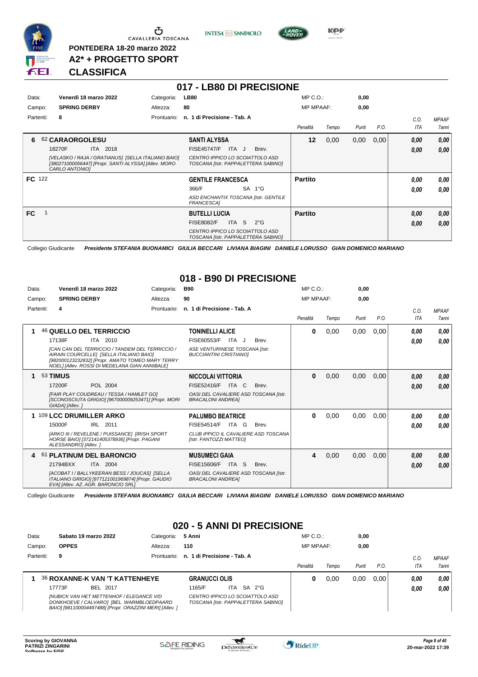

 $\sigma$  cavalleria toscana

**PONTEDERA 18-20 marzo 2022 A2\* + PROGETTO SPORT** **INTESA** M SANPAOLO

**017 - LB80 DI PRECISIONE**



#### **CLASSIFICA**

| Data:         | Venerdì 18 marzo 2022                                                                                                        | Categoria:  | <b>LB80</b>                                                            | $MP C. O.$ :     |       | 0,00  |      |            |              |
|---------------|------------------------------------------------------------------------------------------------------------------------------|-------------|------------------------------------------------------------------------|------------------|-------|-------|------|------------|--------------|
| Campo:        | <b>SPRING DERBY</b>                                                                                                          | Altezza:    | 80                                                                     | <b>MP MPAAF:</b> |       | 0,00  |      |            |              |
| Partenti:     | 8                                                                                                                            | Prontuario: | n. 1 di Precisione - Tab. A                                            |                  |       |       |      | C.O.       | <b>MPAAF</b> |
|               |                                                                                                                              |             |                                                                        | Penalità         | Tempo | Punti | P.O. | <b>ITA</b> | 7anni        |
| 6             | 62 CARAORGOLESU                                                                                                              |             | <b>SANTI ALYSSA</b>                                                    | 12               | 0,00  | 0,00  | 0,00 | 0,00       | 0,00         |
|               | ITA 2018<br>18270F                                                                                                           |             | ITA J<br><b>FISE45747/F</b><br>Brev.                                   |                  |       |       |      | 0.00       | 0,00         |
|               | [VELASKO / RAJA / GRATIANUS] [SELLA ITALIANO BAIO]<br>[380271000056447] [Propr. SANTI ALYSSA] [Allev. MORO<br>CARLO ANTONIO1 |             | CENTRO IPPICO LO SCOIATTOLO ASD<br>TOSCANA [Istr. PAPPALETTERA SABINO] |                  |       |       |      |            |              |
| <b>FC</b> 122 |                                                                                                                              |             | <b>GENTILE FRANCESCA</b>                                               | <b>Partito</b>   |       |       |      | 0.00       | 0,00         |
|               |                                                                                                                              |             | SA 1°G<br>366/F                                                        |                  |       |       |      | 0.00       | 0.00         |
|               |                                                                                                                              |             | ASD ENCHANTIX TOSCANA [Istr. GENTILE<br><b>FRANCESCA1</b>              |                  |       |       |      |            |              |
| <b>FC</b>     |                                                                                                                              |             | <b>BUTELLI LUCIA</b>                                                   | <b>Partito</b>   |       |       |      | 0,00       | 0,00         |
|               |                                                                                                                              |             | S.<br><b>FISE8082/F</b><br><b>ITA</b><br>$2^{\circ}G$                  |                  |       |       |      | 0,00       | 0,00         |
|               |                                                                                                                              |             | CENTRO IPPICO LO SCOIATTOLO ASD<br>TOSCANA [Istr. PAPPALETTERA SABINO] |                  |       |       |      |            |              |

Collegio Giudicante *Presidente STEFANIA BUONAMICI GIULIA BECCARI LIVIANA BIAGINI DANIELE LORUSSO GIAN DOMENICO MARIANO*

#### **018 - B90 DI PRECISIONE**

| Data:     | Venerdì 18 marzo 2022                                                                                                                                                                            | Categoria:  | <b>B90</b>                                                        | MP C. O.         |       | 0,00  |      |            |              |
|-----------|--------------------------------------------------------------------------------------------------------------------------------------------------------------------------------------------------|-------------|-------------------------------------------------------------------|------------------|-------|-------|------|------------|--------------|
| Campo:    | <b>SPRING DERBY</b>                                                                                                                                                                              | Altezza:    | 90                                                                | <b>MP MPAAF:</b> |       | 0.00  |      |            |              |
| Partenti: | 4                                                                                                                                                                                                | Prontuario: | n. 1 di Precisione - Tab. A                                       |                  |       |       |      | C.0.       | <b>MPAAF</b> |
|           |                                                                                                                                                                                                  |             |                                                                   | Penalità         | Tempo | Punti | P.O. | <b>ITA</b> | <b>7anni</b> |
|           | 46 QUELLO DEL TERRICCIO                                                                                                                                                                          |             | <b>TONINELLI ALICE</b>                                            | $\bf{0}$         | 0,00  | 0,00  | 0,00 | 0.00       | 0,00         |
|           | ITA 2010<br>17138F                                                                                                                                                                               |             | FISE60553/F<br>ITA J<br>Brev.                                     |                  |       |       |      | 0.00       | 0,00         |
|           | [CAN CAN DEL TERRICCIO / TANDEM DEL TERRICCIO /<br>AIRAIN COURCELLEI [SELLA ITALIANO BAIO]<br>[982000123232832] [Propr. AMATO TOMEO MARY TERRY<br>NOEL] [Allev. ROSSI DI MEDELANA GIAN ANNIBALE] |             | ASE VENTURINESE TOSCANA [Istr.<br><b>BUCCIANTINI CRISTIANOI</b>   |                  |       |       |      |            |              |
|           | 53 TIMUS                                                                                                                                                                                         |             | <b>NICCOLAI VITTORIA</b>                                          | $\bf{0}$         | 0,00  | 0.00  | 0,00 | 0,00       | 0,00         |
|           | 17200F<br>POL 2004                                                                                                                                                                               |             | ITA C<br>FISE52416/F<br>Brev.                                     |                  |       |       |      | 0.00       | 0.00         |
|           | <b>IFAIR PLAY COUDREAU / TESSA / HAMLET GOI</b><br>[SCONOSCIUTA GRIGIO] [967000009253471] [Propr. MORI<br>GIADA] [Allev.]                                                                        |             | OASI DEL CAVALIERE ASD TOSCANA [Istr.<br><b>BRACALONI ANDREAI</b> |                  |       |       |      |            |              |
|           | 1 109 LCC DRUMILLER ARKO                                                                                                                                                                         |             | <b>PALUMBO BEATRICE</b>                                           | $\bf{0}$         | 0,00  | 0,00  | 0,00 | 0.00       | 0,00         |
|           | 15000F<br>IRL 2011                                                                                                                                                                               |             | FISE54514/F<br>ITA G<br>Brev.                                     |                  |       |       |      | 0.00       | 0.00         |
|           | [ARKO III / REVELENE / PUISSANCE] [IRISH SPORT<br>HORSE BAIO] [372141405378936] [Propr. PAGANI<br>ALESSANDROI [Allev.]                                                                           |             | CLUB IPPICO IL CAVALIERE ASD TOSCANA<br>[Istr. FANTOZZI MATTEO]   |                  |       |       |      |            |              |
| 4         | 61 PLATINUM DEL BARONCIO                                                                                                                                                                         |             | <b>MUSUMECI GAIA</b>                                              | 4                | 0,00  | 0,00  | 0,00 | 0,00       | 0,00         |
|           | 21794BXX<br>ITA 2004                                                                                                                                                                             |             | FISE15606/F<br><b>ITA</b><br>-S<br>Brev.                          |                  |       |       |      | 0.00       | 0,00         |
|           | [ACOBAT I / BALLYKEERAN BESS / JOUCAS] [SELLA<br>ITALIANO GRIGIO] [977121001969874] [Propr. GAUDIO<br>EVAI [Allev. AZ. AGR. BARONCIO SRL]                                                        |             | OASI DEL CAVALIERE ASD TOSCANA [Istr.<br><b>BRACALONI ANDREA]</b> |                  |       |       |      |            |              |

Collegio Giudicante *Presidente STEFANIA BUONAMICI GIULIA BECCARI LIVIANA BIAGINI DANIELE LORUSSO GIAN DOMENICO MARIANO*

### **020 - 5 ANNI DI PRECISIONE**

| Data:     | Sabato 19 marzo 2022<br>Categoria:                                                                                                                       |             | 5 Anni                                                                 |       |        | $MP C. O.$ :     |       | 0,00  |      |      |              |
|-----------|----------------------------------------------------------------------------------------------------------------------------------------------------------|-------------|------------------------------------------------------------------------|-------|--------|------------------|-------|-------|------|------|--------------|
| Campo:    | <b>OPPES</b><br>Altezza:                                                                                                                                 |             | 110                                                                    |       |        | <b>MP MPAAF:</b> |       | 0,00  |      |      |              |
| Partenti: | 9                                                                                                                                                        | Prontuario: | n. 1 di Precisione - Tab. A                                            |       |        |                  |       |       |      | C.O. | <b>MPAAF</b> |
|           |                                                                                                                                                          |             |                                                                        |       |        | Penalità         | Tempo | Punti | P.O. | ITA  | <b>7anni</b> |
|           | <b>36 ROXANNE-K VAN 'T KATTENHEYE</b>                                                                                                                    |             | <b>GRANUCCI OLIS</b>                                                   |       |        | o                | 0.00  | 0.00  | 0.00 | 0.00 | 0,00         |
|           | 17773F<br>BEL 2017                                                                                                                                       |             | 1165/F                                                                 | ITA I | SA 2°G |                  |       |       |      | 0,00 | 0,00         |
|           | <b>INUBICK VAN HET METTENHOF / ELEGANCE V/D</b><br>DONKHOEVE / CALVARO] [BEL. WARMBLOEDPAARD<br>BAIO] [981100004497488] [Propr. ORAZZINI MERI] [Allev. ] |             | CENTRO IPPICO LO SCOIATTOLO ASD<br>TOSCANA [Istr. PAPPALETTERA SABINO] |       |        |                  |       |       |      |      |              |

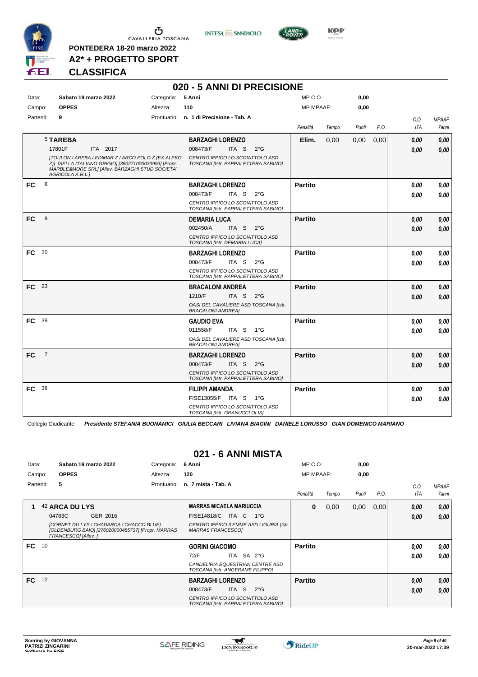

**PONTEDERA 18-20 marzo 2022 A2\* + PROGETTO SPORT**



**020 - 5 ANNI DI PRECISIONE**



**Kep** 

#### **CLASSIFICA**

| Data:     |                | Sabato 19 marzo 2022                                                                                                                                                              | Categoria: | 5 Anni                                                                 | MP C.O.:         |       | 0,00  |      |            |              |
|-----------|----------------|-----------------------------------------------------------------------------------------------------------------------------------------------------------------------------------|------------|------------------------------------------------------------------------|------------------|-------|-------|------|------------|--------------|
| Campo:    |                | <b>OPPES</b>                                                                                                                                                                      | Altezza:   | 110                                                                    | <b>MP MPAAF:</b> |       | 0,00  |      |            |              |
| Partenti: |                | 9                                                                                                                                                                                 |            | Prontuario: n. 1 di Precisione - Tab. A                                |                  |       |       |      | C.O.       | <b>MPAAF</b> |
|           |                |                                                                                                                                                                                   |            |                                                                        | Penalità         | Tempo | Punti | P.O. | <b>ITA</b> | 7anni        |
|           |                | 5 TAREBA                                                                                                                                                                          |            | <b>BARZAGHI LORENZO</b>                                                | Elim.            | 0,00  | 0,00  | 0,00 | 0.00       | 0,00         |
|           |                | 17801F<br>ITA 2017                                                                                                                                                                |            | 008473/F<br>ITA S<br>$2^{\circ}G$                                      |                  |       |       |      | 0.00       | 0,00         |
|           |                | [TOULON / AREBA LEDIMAR Z / ARCO POLO Z (EX ALEKO<br>Z)] [SELLA ITALIANO GRIGIO] [380271000033993] [Propr.<br>MARBLE&MORE SRL] [Allev. BARZAGHI STUD SOCIETA'<br>AGRICOLA A.R.L.1 |            | CENTRO IPPICO LO SCOIATTOLO ASD<br>TOSCANA [Istr. PAPPALETTERA SABINO] |                  |       |       |      |            |              |
| <b>FC</b> | 8              |                                                                                                                                                                                   |            | <b>BARZAGHI LORENZO</b>                                                | <b>Partito</b>   |       |       |      | 0.00       | 0,00         |
|           |                |                                                                                                                                                                                   |            | 008473/F<br>ITA S<br>$2^{\circ}G$                                      |                  |       |       |      | 0.00       | 0,00         |
|           |                |                                                                                                                                                                                   |            | CENTRO IPPICO LO SCOIATTOLO ASD<br>TOSCANA [Istr. PAPPALETTERA SABINO] |                  |       |       |      |            |              |
| <b>FC</b> | 9              |                                                                                                                                                                                   |            | <b>DEMARIA LUCA</b>                                                    | <b>Partito</b>   |       |       |      | 0,00       | 0,00         |
|           |                |                                                                                                                                                                                   |            | 002450/A<br>ITA S 2°G                                                  |                  |       |       |      | 0.00       | 0,00         |
|           |                |                                                                                                                                                                                   |            | CENTRO IPPICO LO SCOIATTOLO ASD<br>TOSCANA [Istr. DEMARIA LUCA]        |                  |       |       |      |            |              |
| FC 20     |                |                                                                                                                                                                                   |            | <b>BARZAGHI LORENZO</b>                                                | <b>Partito</b>   |       |       |      | 0.00       | 0,00         |
|           |                |                                                                                                                                                                                   |            | 008473/F<br>ITA S<br>$2^{\circ}G$                                      |                  |       |       |      | 0.00       | 0.00         |
|           |                |                                                                                                                                                                                   |            | CENTRO IPPICO LO SCOIATTOLO ASD<br>TOSCANA [Istr. PAPPALETTERA SABINO] |                  |       |       |      |            |              |
| FC 23     |                |                                                                                                                                                                                   |            | <b>BRACALONI ANDREA</b>                                                | <b>Partito</b>   |       |       |      | 0.00       | 0,00         |
|           |                |                                                                                                                                                                                   |            | 1210/F<br>ITA S<br>$2^{\circ}$ G                                       |                  |       |       |      | 0,00       | 0,00         |
|           |                |                                                                                                                                                                                   |            | OASI DEL CAVALIERE ASD TOSCANA [Istr.<br><b>BRACALONI ANDREA1</b>      |                  |       |       |      |            |              |
| FC        | -39            |                                                                                                                                                                                   |            | <b>GAUDIO EVA</b>                                                      | <b>Partito</b>   |       |       |      | 0.00       | 0,00         |
|           |                |                                                                                                                                                                                   |            | ITA S 1°G<br>011558/F                                                  |                  |       |       |      | 0.00       | 0.00         |
|           |                |                                                                                                                                                                                   |            | OASI DEL CAVALIERE ASD TOSCANA [Istr.<br><b>BRACALONI ANDREA]</b>      |                  |       |       |      |            |              |
| FC        | $\overline{7}$ |                                                                                                                                                                                   |            | <b>BARZAGHI LORENZO</b>                                                | <b>Partito</b>   |       |       |      | 0,00       | 0,00         |
|           |                |                                                                                                                                                                                   |            | 008473/F<br>ITA S<br>$2^{\circ}$ G                                     |                  |       |       |      | 0.00       | 0.00         |
|           |                |                                                                                                                                                                                   |            | CENTRO IPPICO LO SCOIATTOLO ASD<br>TOSCANA [Istr. PAPPALETTERA SABINO] |                  |       |       |      |            |              |
| <b>FC</b> | - 38           |                                                                                                                                                                                   |            | FILIPPI AMANDA                                                         | <b>Partito</b>   |       |       |      | 0.00       | 0,00         |
|           |                |                                                                                                                                                                                   |            | FISE13055/F ITA S 1°G                                                  |                  |       |       |      | 0.00       | 0.00         |
|           |                |                                                                                                                                                                                   |            | CENTRO IPPICO LO SCOIATTOLO ASD<br>TOSCANA [Istr. GRANUCCI OLIS]       |                  |       |       |      |            |              |

Collegio Giudicante *Presidente STEFANIA BUONAMICI GIULIA BECCARI LIVIANA BIAGINI DANIELE LORUSSO GIAN DOMENICO MARIANO*

## **021 - 6 ANNI MISTA**

| Data:<br>Campo: |                                                                                                                      | Sabato 19 marzo 2022<br><b>OPPES</b> | Categoria:<br>Altezza:                                              | 6 Anni<br>120                                                          | $MP C. O.$ :<br><b>MP MPAAF:</b> |       | 0,00<br>0,00 |      |      |              |
|-----------------|----------------------------------------------------------------------------------------------------------------------|--------------------------------------|---------------------------------------------------------------------|------------------------------------------------------------------------|----------------------------------|-------|--------------|------|------|--------------|
| Partenti:       |                                                                                                                      | 5                                    | Prontuario:                                                         | n. 7 mista - Tab. A                                                    |                                  |       |              |      | C.0. | <b>MPAAF</b> |
|                 |                                                                                                                      |                                      |                                                                     |                                                                        | Penalità                         | Tempo | Punti        | P.O. | ITA  | 7anni        |
|                 |                                                                                                                      | 42 ARCA DU LYS                       |                                                                     | <b>MARRAS MICAELA MARIUCCIA</b>                                        | 0                                | 0,00  | 0,00         | 0,00 | 0,00 | 0,00         |
|                 |                                                                                                                      | GER 2016<br>04783C                   |                                                                     | FISE14818/C<br>ITA C<br>$1^{\circ}G$                                   |                                  |       |              |      | 0,00 | 0.00         |
|                 | [CORNET DU LYS / CHADARCA / CHACCO BLUE]<br>[OLDENBURG BAIO] [276020000485737] [Propr. MARRAS<br>FRANCESCO1 [Allev.] |                                      | CENTRO IPPICO 3 EMME ASD LIGURIA [Istr.<br><b>MARRAS FRANCESCOI</b> |                                                                        |                                  |       |              |      |      |              |
| FC 10           |                                                                                                                      |                                      |                                                                     | <b>GORINI GIACOMO</b>                                                  | <b>Partito</b>                   |       |              |      | 0.00 | 0,00         |
|                 |                                                                                                                      |                                      |                                                                     | ITA SA 2°G<br>72/F                                                     |                                  |       |              |      | 0.00 | 0.00         |
|                 |                                                                                                                      |                                      |                                                                     | CANDELIRIA EQUESTRIAN CENTRE ASD<br>TOSCANA [Istr. ANGERAME FILIPPO]   |                                  |       |              |      |      |              |
| FC.             | 12                                                                                                                   |                                      |                                                                     | <b>BARZAGHI LORENZO</b>                                                | <b>Partito</b>                   |       |              |      | 0,00 | 0,00         |
|                 |                                                                                                                      |                                      |                                                                     | 008473/F<br>ITA S<br>$2^{\circ}$ G                                     |                                  |       |              |      | 0,00 | 0,00         |
|                 |                                                                                                                      |                                      |                                                                     | CENTRO IPPICO LO SCOIATTOLO ASD<br>TOSCANA [Istr. PAPPALETTERA SABINO] |                                  |       |              |      |      |              |

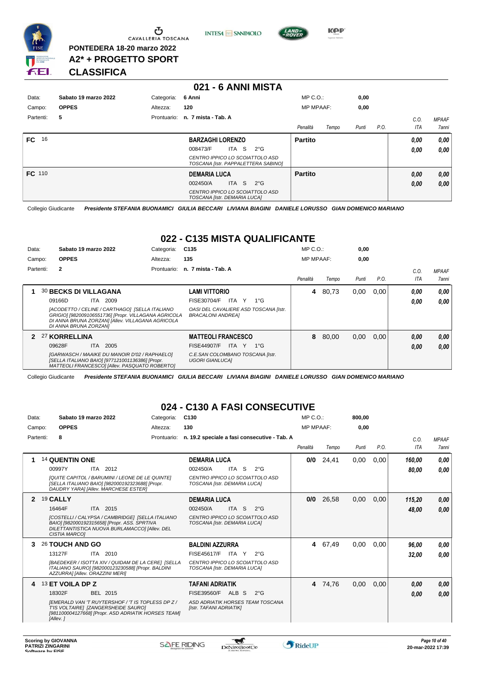

Ⴇ CAVALLERIA TOSCANA

**PONTEDERA 18-20 marzo 2022 A2\* + PROGETTO SPORT** **INTESA M** SANPAOLO



**KPP** 

### **CLASSIFICA**

#### **021 - 6 ANNI MISTA** Data: Sabato 19 marzo 2022 **Categoria: 6 Anni** Prontuario: **n. 7 mista - Tab. A** Campo: **OPPES** Partenti: **5** Altezza: **120** MP C.O.: MP MPAAF: **0,00 0,00** *Penalità Tempo Punti P.O. C.O. ITA MPAAF 7anni* **FC** 16 **BARZAGHI LORENZO** *CENTRO IPPICO LO SCOIATTOLO ASD TOSCANA [Istr. PAPPALETTERA SABINO]* ITA S 2°G 008473/F *0,00* **Partito** *0,00 0,00 0,00* **FC** 110 **DEMARIA LUCA** *CENTRO IPPICO LO SCOIATTOLO ASD TOSCANA [Istr. DEMARIA LUCA]* ITA S 2°G 002450/A *0,00* **Partito** *0,00 0,00 0,00*

Collegio Giudicante *Presidente STEFANIA BUONAMICI GIULIA BECCARI LIVIANA BIAGINI DANIELE LORUSSO GIAN DOMENICO MARIANO*

#### **022 - C135 MISTA QUALIFICANTE**

| Data:  |           | Sabato 19 marzo 2022         |                                                                                                                                                            | Categoria: | C <sub>135</sub>                                    |           |                                       | $MP C. O.$ :     |       | 0,00  |      |      |              |
|--------|-----------|------------------------------|------------------------------------------------------------------------------------------------------------------------------------------------------------|------------|-----------------------------------------------------|-----------|---------------------------------------|------------------|-------|-------|------|------|--------------|
| Campo: |           | <b>OPPES</b>                 |                                                                                                                                                            | Altezza:   | 135                                                 |           |                                       | <b>MP MPAAF:</b> |       | 0,00  |      |      |              |
|        | Partenti: | $\mathbf{2}$                 |                                                                                                                                                            |            | Prontuario: n. 7 mista - Tab. A                     |           |                                       |                  |       |       |      | C.O. | <b>MPAAF</b> |
|        |           |                              |                                                                                                                                                            |            |                                                     |           |                                       | Penalità         | Tempo | Punti | P.O. | ITA  | 7anni        |
|        |           | <b>30 BECKS DI VILLAGANA</b> |                                                                                                                                                            |            | LAMI VITTORIO                                       |           |                                       | 4                | 80.73 | 0,00  | 0.00 | 0.00 | 0.00         |
|        |           | 09166D                       | <b>ITA 2009</b>                                                                                                                                            |            | <b>FISE30704/F</b>                                  | ITA Y     | 1°G                                   |                  |       |       |      | 0.00 | 0.00         |
|        |           | DI ANNA BRUNA ZORZANI        | [ACODETTO / CELINE / CARTHAGO] [SELLA ITALIANO<br>GRIGIO] [982009106551736] [Propr. VILLAGANA AGRICOLA<br>DI ANNA BRUNA ZORZAN] [Allev. VILLAGANA AGRICOLA |            | BRACALONI ANDREA]                                   |           | OASI DEL CAVALIERE ASD TOSCANA [Istr. |                  |       |       |      |      |              |
|        |           | 2 27 KORRELLINA              |                                                                                                                                                            |            | <b>MATTEOLI FRANCESCO</b>                           |           |                                       | 8                | 80,00 | 0,00  | 0.00 | 0,00 | 0,00         |
|        |           | 09628F                       | 2005<br>ITA I                                                                                                                                              |            | <b>FISE44907/F</b>                                  | ITA Y 1°G |                                       |                  |       |       |      | 0,00 | 0.00         |
|        |           |                              | [GARWASCH / MAAIKE DU MANOIR D'02 / RAPHAELO]<br>[SELLA ITALIANO BAIO] [977121001136386] [Propr.<br>MATTEOLI FRANCESCOI [Allev. PASQUATO ROBERTO]          |            | C.E.SAN COLOMBANO TOSCANA [Istr.<br>UGORI GIANLUCA] |           |                                       |                  |       |       |      |      |              |

Collegio Giudicante *Presidente STEFANIA BUONAMICI GIULIA BECCARI LIVIANA BIAGINI DANIELE LORUSSO GIAN DOMENICO MARIANO*

#### **024 - C130 A FASI CONSECUTIVE**

| Data:     | Sabato 19 marzo 2022<br>Categoria: |                      |                                                                                                                                                   | C <sub>130</sub> |                                                                 |       | MP C. O. |                                              | 800,00           |         |       |      |            |              |
|-----------|------------------------------------|----------------------|---------------------------------------------------------------------------------------------------------------------------------------------------|------------------|-----------------------------------------------------------------|-------|----------|----------------------------------------------|------------------|---------|-------|------|------------|--------------|
| Campo:    |                                    | <b>OPPES</b>         |                                                                                                                                                   | Altezza:         | 130                                                             |       |          |                                              | <b>MP MPAAF:</b> |         | 0.00  |      |            |              |
| Partenti: |                                    | 8                    |                                                                                                                                                   | Prontuario:      |                                                                 |       |          | n. 19.2 speciale a fasi consecutive - Tab. A |                  |         |       |      | C.0.       | <b>MPAAF</b> |
|           |                                    |                      |                                                                                                                                                   |                  |                                                                 |       |          |                                              | Penalità         | Tempo   | Punti | P.O. | <b>ITA</b> | 7anni        |
| 1         |                                    | 14 QUENTIN ONE       |                                                                                                                                                   |                  | <b>DEMARIA LUCA</b>                                             |       |          |                                              | 0/0              | 24,41   | 0,00  | 0,00 | 160.00     | 0,00         |
|           |                                    | 00997Y               | ITA 2012                                                                                                                                          |                  | 002450/A                                                        | ITA S |          | $2^{\circ}G$                                 |                  |         |       |      | 80,00      | 0,00         |
|           |                                    |                      | [QUITE CAPITOL / BARUMINI / LEONE DE LE QUINTE]<br>[SELLA ITALIANO BAIO] [982000192323688] [Propr.<br>DAUDRY YARA] [Allev. MARCHESE ESTER]        |                  | CENTRO IPPICO LO SCOIATTOLO ASD<br>TOSCANA [Istr. DEMARIA LUCA] |       |          |                                              |                  |         |       |      |            |              |
| 2         |                                    | 19 CALLY             |                                                                                                                                                   |                  | <b>DEMARIA LUCA</b>                                             |       |          |                                              | 0/0              | 26,58   | 0,00  | 0,00 | 115,20     | 0,00         |
|           |                                    | 16464F               | ITA 2015                                                                                                                                          |                  | 002450/A                                                        | ITA S |          | $2^{\circ}$ G                                |                  |         |       |      | 48,00      | 0.00         |
|           |                                    | <b>CISTIA MARCOI</b> | [COSTELLI / CALYPSA / CAMBRIDGE] [SELLA ITALIANO<br>BAIO] [982000192315658] [Propr. ASS. SPRTIVA<br>DILETTANTISTICA NUOVA BURLAMACCOI [Allev. DEL |                  | CENTRO IPPICO LO SCOIATTOLO ASD<br>TOSCANA [Istr. DEMARIA LUCA] |       |          |                                              |                  |         |       |      |            |              |
| 3         |                                    | 26 TOUCH AND GO      |                                                                                                                                                   |                  | <b>BALDINI AZZURRA</b>                                          |       |          |                                              | 4                | 67,49   | 0,00  | 0,00 | 96,00      | 0,00         |
|           |                                    | 13127F               | ITA 2010                                                                                                                                          |                  | FISE45617/F                                                     | ITA Y |          | $2^{\circ}G$                                 |                  |         |       |      | 32,00      | 0.00         |
|           |                                    |                      | [BAEDEKER / ISOTTA XIV / QUIDAM DE LA CERE] [SELLA<br>ITALIANO SAURO] [982000123230588] [Propr. BALDINI<br>AZZURRA] [Allev. ORAZZINI MERI]        |                  | CENTRO IPPICO LO SCOIATTOLO ASD<br>TOSCANA [Istr. DEMARIA LUCA] |       |          |                                              |                  |         |       |      |            |              |
| 4         |                                    | 13 ET VOILA DP Z     |                                                                                                                                                   |                  | <b>TAFANI ADRIATIK</b>                                          |       |          |                                              |                  | 4 74,76 | 0,00  | 0,00 | 0.00       | 0,00         |
|           |                                    | 18302F               | BEL 2015                                                                                                                                          |                  | FISE39560/F                                                     | ALB S |          | $2^{\circ}$ G                                |                  |         |       |      | 0,00       | 0.00         |
|           |                                    | [Allev.]             | [EMERALD VAN 'T RUYTERSHOF / 'T IS TOPLESS DP Z /<br>TIS VOLTAIRE] [ZANGERSHEIDE SAURO]<br>[981100004127668] [Propr. ASD ADRIATIK HORSES TEAM]    |                  | ASD ADRIATIK HORSES TEAM TOSCANA<br>[Istr. TAFANI ADRIATIK]     |       |          |                                              |                  |         |       |      |            |              |

 $\blacktriangledown$ 

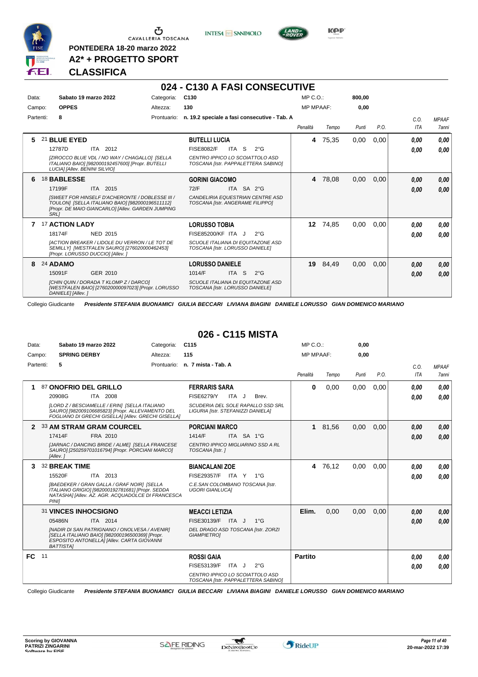

Ⴠ CAVALLERIA TOSCANA

**PONTEDERA 18-20 marzo 2022 A2\* + PROGETTO SPORT** **INTESA** M SANPAOLO



**Kep** 

#### **CLASSIFICA**

#### **024 - C130 A FASI CONSECUTIVE**

| Data:     | Sabato 19 marzo 2022             |                                                                                                                                                         | Categoria:  | C130                             |       |                                                                        | MP C. O.         |       | 800.00 |      |            |              |
|-----------|----------------------------------|---------------------------------------------------------------------------------------------------------------------------------------------------------|-------------|----------------------------------|-------|------------------------------------------------------------------------|------------------|-------|--------|------|------------|--------------|
| Campo:    | <b>OPPES</b>                     |                                                                                                                                                         | Altezza:    | 130                              |       |                                                                        | <b>MP MPAAF:</b> |       | 0,00   |      |            |              |
| Partenti: | 8                                |                                                                                                                                                         | Prontuario: |                                  |       | n. 19.2 speciale a fasi consecutive - Tab. A                           |                  |       |        |      | C.O.       | <b>MPAAF</b> |
|           |                                  |                                                                                                                                                         |             |                                  |       |                                                                        | Penalità         | Tempo | Punti  | P.O. | <b>ITA</b> | <b>7anni</b> |
| 5         | 21 BLUE EYED                     |                                                                                                                                                         |             | <b>BUTELLI LUCIA</b>             |       |                                                                        | 4                | 75,35 | 0,00   | 0,00 | 0.00       | 0,00         |
|           | 12787D                           | ITA 2012                                                                                                                                                |             | <b>FISE8082/F</b>                | ITA S | $2^{\circ}G$                                                           |                  |       |        |      | 0.00       | 0,00         |
|           | LUCIA] [Allev. BENINI SILVIO]    | [ZIROCCO BLUE VDL / NO WAY / CHAGALLO] [SELLA<br>ITALIANO BAIO] [982000192457600] [Propr. BUTELLI                                                       |             |                                  |       | CENTRO IPPICO LO SCOIATTOLO ASD<br>TOSCANA [Istr. PAPPALETTERA SABINO] |                  |       |        |      |            |              |
| 6         | <b>18 BABLESSE</b>               |                                                                                                                                                         |             | <b>GORINI GIACOMO</b>            |       |                                                                        | 4                | 78,08 | 0,00   | 0,00 | 0,00       | 0,00         |
|           | 17199F                           | ITA 2015                                                                                                                                                |             | 72/F                             |       | ITA SA 2°G                                                             |                  |       |        |      | 0,00       | 0,00         |
|           | <b>SRL1</b>                      | ISWEET FOR HINSELF D'ACHERONTE / DOBLESSE III /<br>TOULON] [SELLA ITALIANO BAIO] [982000196511112]<br>[Propr. DE MAIO GIANCARLO] [Allev. GARDEN JUMPING |             | TOSCANA [Istr. ANGERAME FILIPPO] |       | CANDELIRIA EQUESTRIAN CENTRE ASD                                       |                  |       |        |      |            |              |
|           | 17 ACTION LADY                   |                                                                                                                                                         |             | <b>LORUSSO TOBIA</b>             |       |                                                                        | 12               | 74,85 | 0,00   | 0,00 | 0.00       | 0,00         |
|           | 18174F                           | NED 2015                                                                                                                                                |             | <b>FISE85200/KF ITA J</b>        |       | $2^{\circ}$ G                                                          |                  |       |        |      | 0.00       | 0.00         |
|           | [Propr. LORUSSO DUCCIO] [Allev.] | <b>IACTION BREAKER / LIDOLE DU VERRON / LE TOT DE</b><br>SEMILLY] [WESTFALEN SAURO] [276020000462453]                                                   |             | TOSCANA [Istr. LORUSSO DANIELE]  |       | SCUOLE ITALIANA DI EQUITAZONE ASD                                      |                  |       |        |      |            |              |
| 8         | 24 ADAMO                         |                                                                                                                                                         |             | <b>LORUSSO DANIELE</b>           |       |                                                                        | 19               | 84,49 | 0,00   | 0,00 | 0,00       | 0,00         |
|           | 15091F                           | GER 2010                                                                                                                                                |             | 1014/F                           | ITA S | $2^{\circ}$ G                                                          |                  |       |        |      | 0,00       | 0,00         |
|           | DANIELE] [Allev.]                | ICHIN QUIN / DORADA T KLOMP Z / DARCOI<br>[WESTFALEN BAIO] [276020000097023] [Propr. LORUSSO                                                            |             | TOSCANA [Istr. LORUSSO DANIELE]  |       | SCUOLE ITALIANA DI EQUITAZONE ASD                                      |                  |       |        |      |            |              |

Collegio Giudicante *Presidente STEFANIA BUONAMICI GIULIA BECCARI LIVIANA BIAGINI DANIELE LORUSSO GIAN DOMENICO MARIANO*

#### **026 - C115 MISTA**

| Data:  |                            | Sabato 19 marzo 2022                                                                                                                                                                          | Categoria:  | C <sub>115</sub>                                                                                                     |       |              | $MP C. O.$ :     |       | 0,00  |      |              |                              |
|--------|----------------------------|-----------------------------------------------------------------------------------------------------------------------------------------------------------------------------------------------|-------------|----------------------------------------------------------------------------------------------------------------------|-------|--------------|------------------|-------|-------|------|--------------|------------------------------|
| Campo: |                            | <b>SPRING DERBY</b>                                                                                                                                                                           | Altezza:    | 115                                                                                                                  |       |              | <b>MP MPAAF:</b> |       | 0,00  |      |              |                              |
|        | Partenti:<br>5             |                                                                                                                                                                                               | Prontuario: | n. 7 mista - Tab. A                                                                                                  |       |              | Penalità         | Tempo | Punti | P.O. | C.0.<br>ITA  | <b>MPAAF</b><br><b>7anni</b> |
|        | 20908G                     | 87 ONOFRIO DEL GRILLO<br>ITA 2008<br>ILORD Z / BESCIAMELLE / ERINJ [SELLA ITALIANO<br>SAURO] [982009106685823] [Propr. ALLEVAMENTO DEL<br>FOGLIANO DI GRECHI GISELLA] [Allev. GRECHI GISELLA] |             | <b>FERRARIS SARA</b><br><b>FISE6279/Y</b><br>SCUDERIA DEL SOLE RAPALLO SSD SRL<br>LIGURIA [Istr. STEFANIZZI DANIELA] | ITA J | Brev.        | 0                | 0,00  | 0,00  | 0,00 | 0.00<br>0.00 | 0.00<br>0.00                 |
| 2      | 17414F<br>[Allev.]         | <b>33 AM STRAM GRAM COURCEL</b><br>FRA 2010<br>[JARNAC / DANCING BRIDE / ALME] [SELLA FRANCESE<br>SAURO] [250259701016794] [Propr. PORCIANI MARCO]                                            |             | <b>PORCIANI MARCO</b><br>1414/F<br>CENTRO IPPICO MIGLIARINO SSD A RL<br>TOSCANA [Istr.]                              |       | ITA SA 1°G   | 1                | 81,56 | 0,00  | 0,00 | 0,00<br>0.00 | 0.00<br>0.00                 |
| 3      | 15520F<br>PINI1            | <b>32 BREAK TIME</b><br>ITA 2013<br>[BAEDEKER / GRAN GALLA / GRAF NOIR] [SELLA<br>ITALIANO GRIGIO] [982000192781681] [Propr. SEDDA<br>NATASHAI [Allev. AZ. AGR. ACQUADOLCE DI FRANCESCA       |             | <b>BIANCALANI ZOE</b><br>FISE29357/F ITA Y 1°G<br>C.E.SAN COLOMBANO TOSCANA [Istr.<br><b>UGORI GIANLUCAI</b>         |       |              | 4                | 76,12 | 0,00  | 0,00 | 0.00<br>0.00 | 0.00<br>0.00                 |
|        | 05486N<br><b>BATTISTAI</b> | 31 VINCES INHOCSIGNO<br>ITA 2014<br>[NADIR DI SAN PATRIGNANO / ONOLVESA / AVENIR]<br>[SELLA ITALIANO BAIO] [982000196500369] [Propr.<br>ESPOSITO ANTONELLA] [Allev. CARTA GIOVANNI            |             | <b>MEACCI LETIZIA</b><br>FISE30139/F<br>DEL DRAGO ASD TOSCANA [Istr. ZORZI<br><b>GIAMPIETROI</b>                     | ITA J | $1^{\circ}G$ | Elim.            | 0,00  | 0,00  | 0,00 | 0,00<br>0.00 | 0,00<br>0.00                 |
| FC.    | 11                         |                                                                                                                                                                                               |             | <b>ROSSI GAIA</b><br>FISE53139/F<br>CENTRO IPPICO LO SCOIATTOLO ASD<br>TOSCANA [Istr. PAPPALETTERA SABINO]           | ITA J | $2^{\circ}G$ | <b>Partito</b>   |       |       |      | 0.00<br>0.00 | 0.00<br>0.00                 |

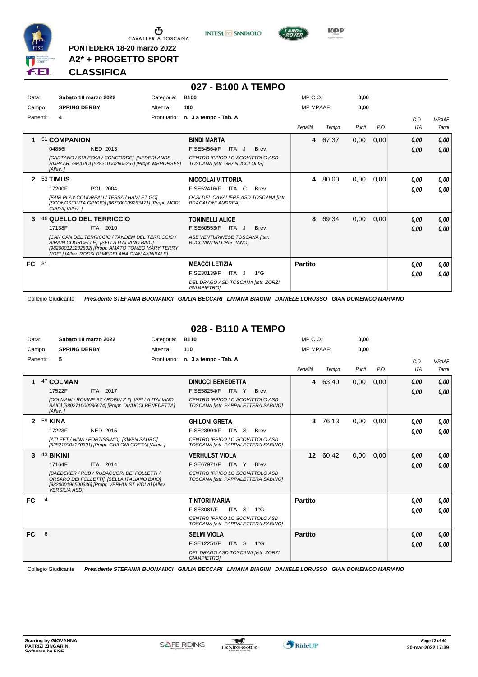

 $\sigma$  cavalleria toscana

**PONTEDERA 18-20 marzo 2022 A2\* + PROGETTO SPORT** **INTESA** M SANPAOLO

**027 - B100 A TEMPO**



**KPP** 

### **CLASSIFICA**

| Data:<br>Campo: | Sabato 19 marzo 2022<br><b>SPRING DERBY</b>                                                                                                                                                                                                       | Categoria:<br>Altezza: | <b>B100</b><br>100                                                                                                             | MP C. O.<br><b>MP MPAAF:</b> |       | 0,00<br>0,00 |      |                    |                              |
|-----------------|---------------------------------------------------------------------------------------------------------------------------------------------------------------------------------------------------------------------------------------------------|------------------------|--------------------------------------------------------------------------------------------------------------------------------|------------------------------|-------|--------------|------|--------------------|------------------------------|
| Partenti:       | 4                                                                                                                                                                                                                                                 | Prontuario:            | n. 3 a tempo - Tab. A                                                                                                          | Penalità                     | Tempo | Punti        | P.O. | C.O.<br><b>ITA</b> | <b>MPAAF</b><br><b>7anni</b> |
|                 | 51 COMPANION<br>048561<br>NED 2013<br>[CARTANO / SULESKA / CONCORDE] [NEDERLANDS<br>RIJPAAR. GRIGIO] [528210002905257] [Propr. MBHORSES]<br>[Allev.]                                                                                              |                        | <b>BINDI MARTA</b><br><b>FISE54564/F</b><br>ITA J<br>Brev.<br>CENTRO IPPICO LO SCOIATTOLO ASD<br>TOSCANA [Istr. GRANUCCI OLIS] | 4                            | 67,37 | 0,00         | 0,00 | 0,00<br>0,00       | 0,00<br>0,00                 |
| $\mathbf{2}$    | <b>53 TIMUS</b><br>17200F<br>POL 2004<br>[FAIR PLAY COUDREAU / TESSA / HAMLET GO]<br>[SCONOSCIUTA GRIGIO] [967000009253471] [Propr. MORI<br>GIADA] [Allev.]                                                                                       |                        | NICCOLAI VITTORIA<br>FISE52416/F<br>ITA C<br>Brev.<br>OASI DEL CAVALIERE ASD TOSCANA [Istr.<br><b>BRACALONI ANDREAI</b>        | 4                            | 80,00 | 0,00         | 0,00 | 0.00<br>0.00       | 0,00<br>0.00                 |
| 3               | 46 QUELLO DEL TERRICCIO<br>17138F<br>ITA 2010<br>[CAN CAN DEL TERRICCIO / TANDEM DEL TERRICCIO /<br>AIRAIN COURCELLEI [SELLA ITALIANO BAIO]<br>[982000123232832] [Propr. AMATO TOMEO MARY TERRY<br>NOEL] [Allev. ROSSI DI MEDELANA GIAN ANNIBALE] |                        | <b>TONINELLI ALICE</b><br>FISE60553/F<br>ITA J<br>Brev.<br>ASE VENTURINESE TOSCANA [Istr.<br><b>BUCCIANTINI CRISTIANOI</b>     | 8                            | 69,34 | 0.00         | 0,00 | 0,00<br>0,00       | 0,00<br>0,00                 |
| FC 31           |                                                                                                                                                                                                                                                   |                        | <b>MEACCI LETIZIA</b><br>FISE30139/F<br>ITA J<br>$1^{\circ}$ G<br>DEL DRAGO ASD TOSCANA [Istr. ZORZI<br><b>GIAMPIETRO1</b>     | <b>Partito</b>               |       |              |      | 0.00<br>0,00       | 0,00<br>0,00                 |

Collegio Giudicante *Presidente STEFANIA BUONAMICI GIULIA BECCARI LIVIANA BIAGINI DANIELE LORUSSO GIAN DOMENICO MARIANO*

#### **028 - B110 A TEMPO**

| Data:        |         | Sabato 19 marzo 2022                                                                                                                                                 | Categoria:  | <b>B110</b>                                                            | MP C. O.       |                  | 0,00  |      |            |              |
|--------------|---------|----------------------------------------------------------------------------------------------------------------------------------------------------------------------|-------------|------------------------------------------------------------------------|----------------|------------------|-------|------|------------|--------------|
| Campo:       |         | <b>SPRING DERBY</b>                                                                                                                                                  | Altezza:    | 110                                                                    |                | <b>MP MPAAF:</b> | 0,00  |      |            |              |
| Partenti:    |         | 5                                                                                                                                                                    | Prontuario: | n. 3 a tempo - Tab. A                                                  |                |                  |       |      | C.O.       | <b>MPAAF</b> |
|              |         |                                                                                                                                                                      |             |                                                                        | Penalità       | Tempo            | Punti | P.O. | <b>ITA</b> | <b>7anni</b> |
|              |         | 47 COLMAN                                                                                                                                                            |             | <b>DINUCCI BENEDETTA</b>                                               | 4              | 63,40            | 0,00  | 0,00 | 0,00       | 0,00         |
|              |         | 17522F<br>ITA 2017                                                                                                                                                   |             | FISE58254/F<br>ITA Y<br>Brev.                                          |                |                  |       |      | 0,00       | 0,00         |
|              |         | [COLMANI / ROVINE BZ / ROBIN Z II] [SELLA ITALIANO<br>BAIO] [380271000036674] [Propr. DINUCCI BENEDETTA]<br>[Allev.]                                                 |             | CENTRO IPPICO LO SCOIATTOLO ASD<br>TOSCANA [Istr. PAPPALETTERA SABINO] |                |                  |       |      |            |              |
| $\mathbf{2}$ | 59 KINA |                                                                                                                                                                      |             | <b>GHILONI GRETA</b>                                                   | 8              | 76,13            | 0,00  | 0.00 | 0,00       | 0,00         |
|              |         | 17223F<br><b>NED 2015</b>                                                                                                                                            |             | FISE23904/F<br>ITA S<br>Brev.                                          |                |                  |       |      | 0,00       | 0.00         |
|              |         | [ATLEET / NINA / FORTISSIMO] [KWPN SAURO]<br>[528210004270301] [Propr. GHILONI GRETA] [Allev. ]                                                                      |             | CENTRO IPPICO LO SCOIATTOLO ASD<br>TOSCANA [Istr. PAPPALETTERA SABINO] |                |                  |       |      |            |              |
| 3            |         | 43 BIKINI                                                                                                                                                            |             | <b>VERHULST VIOLA</b>                                                  |                | 12 60,42         | 0,00  | 0,00 | 0,00       | 0,00         |
|              |         | ITA 2014<br>17164F                                                                                                                                                   |             | FISE67971/F<br>ITA Y<br>Brev.                                          |                |                  |       |      | 0,00       | 0,00         |
|              |         | [BAEDEKER / RUBY RUBACUORI DEI FOLLETTI /<br>ORSARO DEI FOLLETTI] [SELLA ITALIANO BAIO]<br>[982000196500336] [Propr. VERHULST VIOLA] [Allev.<br><b>VERSILIA ASDI</b> |             | CENTRO IPPICO LO SCOIATTOLO ASD<br>TOSCANA [Istr. PAPPALETTERA SABINO] |                |                  |       |      |            |              |
| <b>FC</b>    | 4       |                                                                                                                                                                      |             | <b>TINTORI MARIA</b>                                                   | <b>Partito</b> |                  |       |      | 0,00       | 0,00         |
|              |         |                                                                                                                                                                      |             | <b>FISE8081/F</b><br>ITA S<br>$1^{\circ}G$                             |                |                  |       |      | 0,00       | 0.00         |
|              |         |                                                                                                                                                                      |             | CENTRO IPPICO LO SCOIATTOLO ASD<br>TOSCANA [Istr. PAPPALETTERA SABINO] |                |                  |       |      |            |              |
| FC           | 6       |                                                                                                                                                                      |             | <b>SELMI VIOLA</b>                                                     | <b>Partito</b> |                  |       |      | 0,00       | 0,00         |
|              |         |                                                                                                                                                                      |             | <b>FISE12251/F</b><br>ITA S<br>$1^{\circ}G$                            |                |                  |       |      | 0,00       | 0,00         |
|              |         |                                                                                                                                                                      |             | DEL DRAGO ASD TOSCANA [Istr. ZORZI<br><b>GIAMPIETRO1</b>               |                |                  |       |      |            |              |

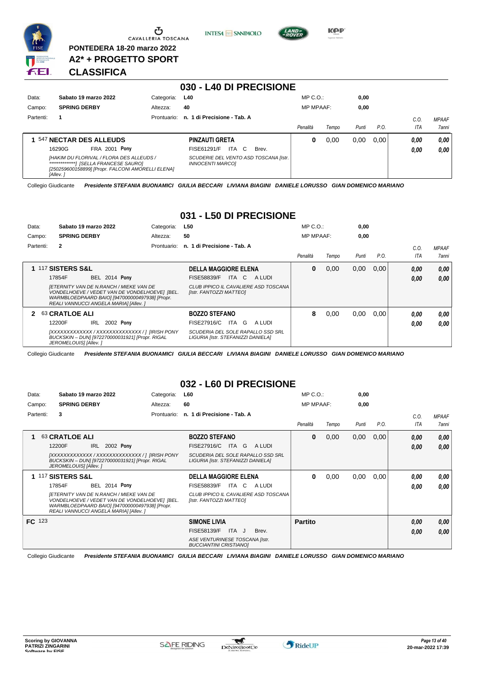

Ⴠ CAVALLERIA TOSCANA

**PONTEDERA 18-20 marzo 2022 A2\* + PROGETTO SPORT** **INTESA** M SANPAOLO



**KPP** 

#### **CLASSIFICA**

| 030 - L40 DI PRECISIONE |                                                                                                           |             |                                                                  |                  |       |       |      |      |              |
|-------------------------|-----------------------------------------------------------------------------------------------------------|-------------|------------------------------------------------------------------|------------------|-------|-------|------|------|--------------|
| Data:                   | Sabato 19 marzo 2022                                                                                      | Categoria:  | L40                                                              | $MP C. O.$ :     |       | 0,00  |      |      |              |
| Campo:                  | <b>SPRING DERBY</b>                                                                                       | Altezza:    | 40                                                               | <b>MP MPAAF:</b> |       | 0,00  |      |      |              |
| Partenti:               | -1                                                                                                        | Prontuario: | n. 1 di Precisione - Tab. A                                      |                  |       |       |      | C.O. | <b>MPAAF</b> |
|                         |                                                                                                           |             |                                                                  | Penalità         | Tempo | Punti | P.O. | ITA  | <b>7anni</b> |
|                         | 547 NECTAR DES ALLEUDS                                                                                    |             | <b>PINZAUTI GRETA</b>                                            | 0                | 0,00  | 0,00  | 0.00 | 0,00 | 0.00         |
|                         | <b>FRA 2001 Pony</b><br>16290G                                                                            |             | ITA C<br>FISE61291/F<br>Brev.                                    |                  |       |       |      | 0,00 | 0,00         |
|                         | [HAKIM DU FLORIVAL / FLORA DES ALLEUDS /<br>[250259600158899] [Propr. FALCONI AMORELLI ELENA]<br>[Allev.] |             | SCUDERIE DEL VENTO ASD TOSCANA [Istr.<br><b>INNOCENTI MARCO1</b> |                  |       |       |      |      |              |

Collegio Giudicante *Presidente STEFANIA BUONAMICI GIULIA BECCARI LIVIANA BIAGINI DANIELE LORUSSO GIAN DOMENICO MARIANO*

#### **031 - L50 DI PRECISIONE**

| Data:     | Sabato 19 marzo 2022                                                                                                                                                                        | Categoria:  | L50                                                                     | $MP C. O.$ :     |       | 0,00  |      |      |       |
|-----------|---------------------------------------------------------------------------------------------------------------------------------------------------------------------------------------------|-------------|-------------------------------------------------------------------------|------------------|-------|-------|------|------|-------|
| Campo:    | <b>SPRING DERBY</b>                                                                                                                                                                         | Altezza:    | 50                                                                      | <b>MP MPAAF:</b> |       | 0,00  |      |      |       |
| Partenti: | $\mathbf{2}$                                                                                                                                                                                | Prontuario: | n. 1 di Precisione - Tab. A                                             |                  |       |       |      | C.0  | MPAAF |
|           |                                                                                                                                                                                             |             |                                                                         | Penalità         | Tempo | Punti | P.O. | ITA  | 7anni |
|           | <b>1 117 SISTERS S&amp;L</b>                                                                                                                                                                |             | <b>DELLA MAGGIORE ELENA</b>                                             | 0                | 0,00  | 0,00  | 0,00 | 0,00 | 0.00  |
|           | 17854F<br><b>BEL 2014 Pony</b>                                                                                                                                                              |             | <b>FISE58839/F</b><br>ITA C<br>A LUDI                                   |                  |       |       |      | 0,00 | 0.00  |
|           | <b>IETERNITY VAN DE N.RANCH / MIEKE VAN DE</b><br>VONDELHOEVE / VEDET VAN DE VONDELHOEVE] [BEL.<br>WARMBLOEDPAARD BAIO] [947000000497938] [Propr.<br>REALI VANNUCCI ANGELA MARIAI [Allev. ] |             | CLUB IPPICO IL CAVALIERE ASD TOSCANA<br>[Istr. FANTOZZI MATTEO]         |                  |       |       |      |      |       |
|           | 2 63 CRATLOE ALI                                                                                                                                                                            |             | <b>BOZZO STEFANO</b>                                                    | 8                | 0,00  | 0,00  | 0,00 | 0,00 | 0,00  |
|           | 2002 Pony<br>12200F<br>IRL                                                                                                                                                                  |             | FISE27916/C ITA G<br>A LUDI                                             |                  |       |       |      | 0,00 | 0.00  |
|           | [XXXXXXXXXXXXX / XXXXXXXXXXXXXX / ] [IRISH PONY<br>BUCKSKIN - DUNI [972270000031921] [Propr. RIGAL<br>JEROMELOUIS] [Allev.]                                                                 |             | SCUDERIA DEL SOLE RAPALLO SSD SRL<br>LIGURIA [Istr. STEFANIZZI DANIELA] |                  |       |       |      |      |       |

Collegio Giudicante *Presidente STEFANIA BUONAMICI GIULIA BECCARI LIVIANA BIAGINI DANIELE LORUSSO GIAN DOMENICO MARIANO*

#### **032 - L60 DI PRECISIONE**

| Data:     | Sabato 19 marzo 2022                                                                                                                                                                        | Categoria:  | <b>L60</b>                                                              | $MP C. O.$ :     |       | 0,00  |      |      |              |
|-----------|---------------------------------------------------------------------------------------------------------------------------------------------------------------------------------------------|-------------|-------------------------------------------------------------------------|------------------|-------|-------|------|------|--------------|
| Campo:    | <b>SPRING DERBY</b>                                                                                                                                                                         | Altezza:    | 60                                                                      | <b>MP MPAAF:</b> |       | 0,00  |      |      |              |
| Partenti: | 3                                                                                                                                                                                           | Prontuario: | n. 1 di Precisione - Tab. A                                             |                  |       |       |      | C.O. | <b>MPAAF</b> |
|           |                                                                                                                                                                                             |             |                                                                         | Penalità         | Tempo | Punti | P.O. | ITA  | 7anni        |
|           | 63 CRATLOE ALI                                                                                                                                                                              |             | <b>BOZZO STEFANO</b>                                                    | 0                | 0,00  | 0,00  | 0,00 | 0,00 | 0,00         |
|           | 2002 Pony<br>IRL<br>12200F                                                                                                                                                                  |             | FISE27916/C<br>ITA G<br>A LUDI                                          |                  |       |       |      | 0,00 | 0.00         |
|           | [XXXXXXXXXXXXX / XXXXXXXXXXXXXX / ] [IRISH PONY<br>BUCKSKIN - DUN] [972270000031921] [Propr. RIGAL<br>JEROMELOUIS] [Allev. ]                                                                |             | SCUDERIA DEL SOLE RAPALLO SSD SRL<br>LIGURIA [Istr. STEFANIZZI DANIELA] |                  |       |       |      |      |              |
|           | <b>1 117 SISTERS S&amp;L</b>                                                                                                                                                                |             | <b>DELLA MAGGIORE ELENA</b>                                             | 0                | 0,00  | 0,00  | 0,00 | 0.00 | 0,00         |
|           | <b>BEL 2014 Pony</b><br>17854F                                                                                                                                                              |             | FISE58839/F<br>ITA C<br>A LUDI                                          |                  |       |       |      | 0.00 | 0.00         |
|           | <b>IETERNITY VAN DE N.RANCH / MIEKE VAN DE</b><br>VONDELHOEVE / VEDET VAN DE VONDELHOEVE] [BEL.<br>WARMBLOEDPAARD BAIO] [947000000497938] [Propr.<br>REALI VANNUCCI ANGELA MARIAI [Allev. ] |             | CLUB IPPICO IL CAVALIERE ASD TOSCANA<br>[Istr. FANTOZZI MATTEO]         |                  |       |       |      |      |              |
| FC 123    |                                                                                                                                                                                             |             | <b>SIMONE LIVIA</b>                                                     | <b>Partito</b>   |       |       |      | 0,00 | 0,00         |
|           |                                                                                                                                                                                             |             | FISE58139/F<br>ITA J<br>Brev.                                           |                  |       |       |      | 0,00 | 0,00         |
|           |                                                                                                                                                                                             |             | ASE VENTURINESE TOSCANA [Istr.<br><b>BUCCIANTINI CRISTIANOI</b>         |                  |       |       |      |      |              |

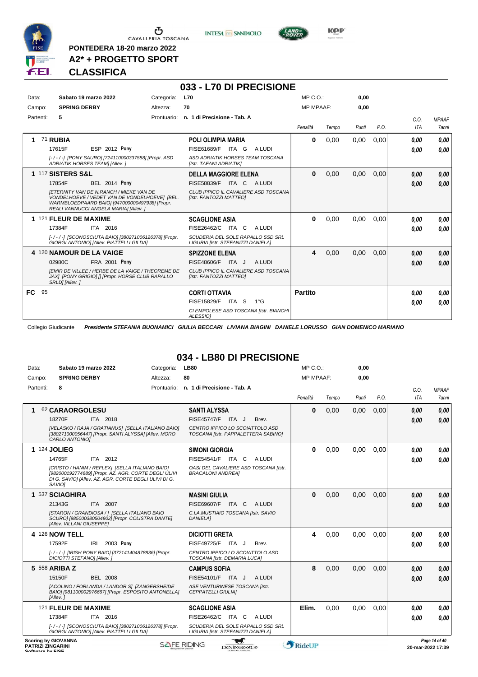

**PONTEDERA 18-20 marzo 2022 A2\* + PROGETTO SPORT** **INTESA M** SANPAOLO



**KPP** 

#### **CLASSIFICA**

|           |                                                                                                                                                                                                                                                    |             | 033 - L70 DI PRECISIONE                                                                                                                 |                  |       |       |      |                    |                              |
|-----------|----------------------------------------------------------------------------------------------------------------------------------------------------------------------------------------------------------------------------------------------------|-------------|-----------------------------------------------------------------------------------------------------------------------------------------|------------------|-------|-------|------|--------------------|------------------------------|
| Data:     | Sabato 19 marzo 2022                                                                                                                                                                                                                               | Categoria:  | <b>L70</b>                                                                                                                              | MP C.O.          |       | 0,00  |      |                    |                              |
| Campo:    | <b>SPRING DERBY</b>                                                                                                                                                                                                                                | Altezza:    | 70                                                                                                                                      | <b>MP MPAAF:</b> |       | 0.00  |      |                    |                              |
| Partenti: | 5                                                                                                                                                                                                                                                  | Prontuario: | n. 1 di Precisione - Tab. A                                                                                                             | Penalità         | Tempo | Punti | P.O. | C.0.<br><b>ITA</b> | <b>MPAAF</b><br><b>7anni</b> |
| 1.        | 71 RUBIA<br>ESP 2012 Pony<br>17615F<br>[-/-/-] [PONY SAURO] [724110000337588] [Propr. ASD<br>ADRIATIK HORSES TEAM] [Allev. ]                                                                                                                       |             | <b>POLI OLIMPIA MARIA</b><br>FISE61689/F ITA G<br>A LUDI<br>ASD ADRIATIK HORSES TEAM TOSCANA<br>[Istr. TAFANI ADRIATIK]                 | 0                | 0,00  | 0,00  | 0,00 | 0.00<br>0.00       | 0.00<br>0.00                 |
|           | 1 117 SISTERS S&L<br><b>BEL 2014 Pony</b><br>17854F<br><b>IETERNITY VAN DE N.RANCH / MIEKE VAN DE</b><br>VONDELHOEVE / VEDET VAN DE VONDELHOEVEI IBEL.<br>WARMBLOEDPAARD BAIO] [947000000497938] [Propr.<br>REALI VANNUCCI ANGELA MARIA] [Allev. ] |             | <b>DELLA MAGGIORE ELENA</b><br><b>FISE58839/F</b><br>ITA C<br>A LUDI<br>CLUB IPPICO IL CAVALIERE ASD TOSCANA<br>[Istr. FANTOZZI MATTEO] | $\bf{0}$         | 0,00  | 0,00  | 0,00 | 0.00<br>0,00       | 0.00<br>0.00                 |
|           | 1 121 FLEUR DE MAXIME<br>ITA 2016<br>17384F<br>[-/-/-] [SCONOSCIUTA BAIO] [380271006126378] [Propr.<br>GIORGI ANTONIO] [Allev. PIATTELLI GILDA]                                                                                                    |             | <b>SCAGLIONE ASIA</b><br>FISE26462/C ITA C<br>A LUDI<br>SCUDERIA DEL SOLE RAPALLO SSD SRL<br>LIGURIA [Istr. STEFANIZZI DANIELA]         | 0                | 0,00  | 0,00  | 0,00 | 0.00<br>0.00       | 0.00<br>0.00                 |
|           | 4 120 NAMOUR DE LA VAIGE<br>02980C<br>FRA 2001 Pony<br><b>IEMIR DE VILLEE / HERBE DE LA VAIGE / THEOREME DE</b><br>JAX] [PONY GRIGIO] [] [Propr. HORSE CLUB RAPALLO<br>SRLD] [Allev.]                                                              |             | <b>SPIZZONE ELENA</b><br>FISE48606/F<br>ITA J<br>A LUDI<br>CLUB IPPICO IL CAVALIERE ASD TOSCANA<br>[Istr. FANTOZZI MATTEO]              | 4                | 0,00  | 0,00  | 0.00 | 0.00<br>0.00       | 0,00<br>0.00                 |
| FC 95     |                                                                                                                                                                                                                                                    |             | <b>CORTI OTTAVIA</b><br>FISE15829/F ITA S<br>$1^{\circ}G$<br>CI EMPOLESE ASD TOSCANA [Istr. BIANCHI<br>ALESSIOI                         | <b>Partito</b>   |       |       |      | 0.00<br>0,00       | 0.00<br>0.00                 |

Collegio Giudicante *Presidente STEFANIA BUONAMICI GIULIA BECCARI LIVIANA BIAGINI DANIELE LORUSSO GIAN DOMENICO MARIANO*

### **034 - LB80 DI PRECISIONE**

| Data:                                        | Sabato 19 marzo 2022                                                                                                                                                              | Categoria: | <b>LB80</b>                                                             | MP C. O.         |       | 0,00  |      |                   |               |
|----------------------------------------------|-----------------------------------------------------------------------------------------------------------------------------------------------------------------------------------|------------|-------------------------------------------------------------------------|------------------|-------|-------|------|-------------------|---------------|
| Campo:                                       | <b>SPRING DERBY</b>                                                                                                                                                               | Altezza:   | 80                                                                      | <b>MP MPAAF:</b> |       | 0,00  |      |                   |               |
| Partenti:                                    | 8                                                                                                                                                                                 |            | Prontuario: n. 1 di Precisione - Tab. A                                 |                  |       |       |      | C.O.              | <b>MPAAF</b>  |
|                                              |                                                                                                                                                                                   |            |                                                                         | Penalità         | Tempo | Punti | P.O. | <b>ITA</b>        | <b>7anni</b>  |
|                                              | 62 CARAORGOLESU                                                                                                                                                                   |            | <b>SANTI ALYSSA</b>                                                     | $\mathbf{0}$     | 0,00  | 0,00  | 0,00 | 0.00              | 0.00          |
|                                              | 18270F<br><b>ITA 2018</b>                                                                                                                                                         |            | FISE45747/F ITA J<br>Brev.                                              |                  |       |       |      | 0.00              | 0.00          |
|                                              | [VELASKO / RAJA / GRATIANUS] [SELLA ITALIANO BAIO]<br>[380271000056447] [Propr. SANTI ALYSSA] [Allev. MORO<br>CARLO ANTONIO]                                                      |            | CENTRO IPPICO LO SCOIATTOLO ASD<br>TOSCANA [Istr. PAPPALETTERA SABINO]  |                  |       |       |      |                   |               |
|                                              | 1 124 JOLIEG                                                                                                                                                                      |            | <b>SIMONI GIORGIA</b>                                                   | $\bf{0}$         | 0,00  | 0.00  | 0.00 | 0.00              | 0,00          |
|                                              | ITA 2012<br>14765F                                                                                                                                                                |            | FISE54541/F ITA C<br>A LUDI                                             |                  |       |       |      | 0.00              | 0.00          |
|                                              | [CRISTO / HANIM / REFLEX] [SELLA ITALIANO BAIO]<br>[982000192774689] [Propr. AZ. AGR. CORTE DEGLI ULIVI<br>DI G. SAVIO] [Allev. AZ. AGR. CORTE DEGLI ULIVI DI G.<br><i>SAVIOI</i> |            | OASI DEL CAVALIERE ASD TOSCANA [Istr.<br><b>BRACALONI ANDREA1</b>       |                  |       |       |      |                   |               |
|                                              | 1 537 SCIAGHIRA                                                                                                                                                                   |            | <b>MASINI GIULIA</b>                                                    | $\bf{0}$         | 0,00  | 0,00  | 0,00 | 0.00              | 0,00          |
|                                              | 21343G<br>ITA 2007                                                                                                                                                                |            | FISE69607/F ITA C<br>A LUDI                                             |                  |       |       |      | 0.00              | 0.00          |
|                                              | [STARON / GRANDIOSA / ] [SELLA ITALIANO BAIO<br>SCURO] [985000380504902] [Propr. COLISTRA DANTE]<br>[Allev. VILLANI GIUSEPPE]                                                     |            | C.I.A.MUSTIAIO TOSCANA [Istr. SAVIO<br><b>DANIELA1</b>                  |                  |       |       |      |                   |               |
|                                              | <b>4 126 NOW TELL</b>                                                                                                                                                             |            | <b>DICIOTTI GRETA</b>                                                   | 4                | 0,00  | 0.00  | 0.00 | 0.00              | 0.00          |
|                                              | IRL 2003 Pony<br>17592F                                                                                                                                                           |            | FISE49725/F ITA J<br>Brev.                                              |                  |       |       |      | 0.00              | 0.00          |
|                                              | [-/-/-] [IRISH PONY BAIO] [372141404878836] [Propr.<br>DICIOTTI STEFANOI [Allev.]                                                                                                 |            | CENTRO IPPICO LO SCOIATTOLO ASD<br>TOSCANA [Istr. DEMARIA LUCA]         |                  |       |       |      |                   |               |
|                                              | 5 558 ARIBA Z                                                                                                                                                                     |            | <b>CAMPUS SOFIA</b>                                                     | 8                | 0,00  | 0.00  | 0.00 | 0,00              | 0,00          |
|                                              | 15150F<br><b>BEL 2008</b>                                                                                                                                                         |            | FISE54101/F ITA J<br>A LUDI                                             |                  |       |       |      | 0.00              | 0.00          |
|                                              | [ACOLINO / FORLANDA / LANDOR S] [ZANGERSHEIDE<br>BAIO] [981100002976667] [Propr. ESPOSITO ANTONELLA]<br>[Allev.]                                                                  |            | ASE VENTURINESE TOSCANA [Istr.<br><b>CEPPATELLI GIULIAI</b>             |                  |       |       |      |                   |               |
|                                              | 121 FLEUR DE MAXIME                                                                                                                                                               |            | <b>SCAGLIONE ASIA</b>                                                   | Elim.            | 0,00  | 0,00  | 0,00 | 0.00              | 0.00          |
|                                              | 17384F<br>ITA 2016                                                                                                                                                                |            | FISE26462/C ITA C<br>A LUDI                                             |                  |       |       |      | 0.00              | 0.00          |
|                                              | [-/-/-] [SCONOSCIUTA BAIO] [380271006126378] [Propr.<br>GIORGI ANTONIO] [Allev. PIATTELLI GILDA]                                                                                  |            | SCUDERIA DEL SOLE RAPALLO SSD SRL<br>LIGURIA [Istr. STEFANIZZI DANIELA] |                  |       |       |      |                   |               |
| <b>PATRIZI ZINGARINI</b><br>Coffware by EICE | <b>Scoring by GIOVANNA</b>                                                                                                                                                        |            | <b>SAFE RIDING</b><br>DeNiroBootCo                                      | <b>RideUP</b>    |       |       |      | 20-mar-2022 17:39 | Page 14 of 40 |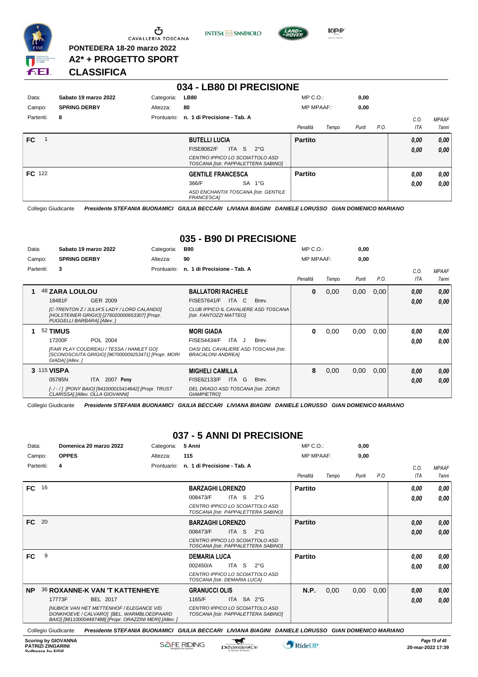

CAVALLERIA TOSCANA

**PONTEDERA 18-20 marzo 2022 A2\* + PROGETTO SPORT** **INTESA** M SANPAOLO



 $MDCO<sub>2</sub>$ 

**KPP** 

#### **CLASSIFICA**

|           |                      |             | . .<br>----------------                                                |                  |       |       |      |      |              |
|-----------|----------------------|-------------|------------------------------------------------------------------------|------------------|-------|-------|------|------|--------------|
| Data:     | Sabato 19 marzo 2022 | Categoria:  | <b>LB80</b>                                                            | $MP C. O.$ :     |       | 0,00  |      |      |              |
| Campo:    | <b>SPRING DERBY</b>  | Altezza:    | 80                                                                     | <b>MP MPAAF:</b> |       | 0,00  |      |      |              |
| Partenti: | 8                    | Prontuario: | n. 1 di Precisione - Tab. A                                            |                  |       |       |      | C.O. | <b>MPAAF</b> |
|           |                      |             |                                                                        | Penalità         | Tempo | Punti | P.O. | ITA  | 7anni        |
| FC.       |                      |             | <b>BUTELLI LUCIA</b>                                                   | <b>Partito</b>   |       |       |      | 0,00 | 0,00         |
|           |                      |             | <b>FISE8082/F</b><br>ITA S<br>$2^{\circ}$ G                            |                  |       |       |      | 0,00 | 0,00         |
|           |                      |             | CENTRO IPPICO LO SCOIATTOLO ASD<br>TOSCANA [Istr. PAPPALETTERA SABINO] |                  |       |       |      |      |              |
| FC 122    |                      |             | <b>GENTILE FRANCESCA</b>                                               | <b>Partito</b>   |       |       |      | 0.00 | 0,00         |
|           |                      |             | 366/F<br>SA 1°G                                                        |                  |       |       |      | 0,00 | 0.00         |
|           |                      |             | ASD ENCHANTIX TOSCANA [Istr. GENTILE<br>FRANCESCA1                     |                  |       |       |      |      |              |

**034 - LB80 DI PRECISIONE**

Collegio Giudicante *Presidente STEFANIA BUONAMICI GIULIA BECCARI LIVIANA BIAGINI DANIELE LORUSSO GIAN DOMENICO MARIANO*

#### **035 - B90 DI PRECISIONE**

| Data:     |             |                             | Sabato 19 marzo 2022                                                                            | Categoria:  | B90                                                               |       | $MP C. O.$ :     |       | 0,00  |      |            |              |
|-----------|-------------|-----------------------------|-------------------------------------------------------------------------------------------------|-------------|-------------------------------------------------------------------|-------|------------------|-------|-------|------|------------|--------------|
| Campo:    |             | <b>SPRING DERBY</b>         |                                                                                                 | Altezza:    | 90                                                                |       | <b>MP MPAAF:</b> |       | 0,00  |      |            |              |
| Partenti: |             | 3                           |                                                                                                 | Prontuario: | n. 1 di Precisione - Tab. A                                       |       |                  |       |       |      | C.O.       | <b>MPAAF</b> |
|           |             |                             |                                                                                                 |             |                                                                   |       | Penalità         | Tempo | Punti | P.O. | <b>ITA</b> | <b>7anni</b> |
|           |             | 48 ZARA LOULOU              |                                                                                                 |             | <b>BALLATORI RACHELE</b>                                          |       | 0                | 0,00  | 0,00  | 0,00 | 0.00       | 0,00         |
|           |             | 18481F                      | GER 2009                                                                                        |             | <b>FISE57641/F</b><br>ITA C                                       | Brev. |                  |       |       |      | 0.00       | 0.00         |
|           |             | PUGGELLI BARBARA] [Allev. ] | [C-TRENTON Z / JULIA'S LADY / LORD CALANDO]<br>[HOLSTEINER GRIGIO] [276020000653307] [Propr.    |             | CLUB IPPICO IL CAVALIERE ASD TOSCANA<br>[Istr. FANTOZZI MATTEO]   |       |                  |       |       |      |            |              |
|           |             | 52 TIMUS                    |                                                                                                 |             | <b>MORI GIADA</b>                                                 |       | 0                | 0,00  | 0,00  | 0,00 | 0.00       | 0.00         |
|           |             | 17200F                      | POL 2004                                                                                        |             | <b>FISE54434/F</b><br>ITA J                                       | Brev. |                  |       |       |      | 0.00       | 0.00         |
|           |             | GIADA] [Allev.]             | [FAIR PLAY COUDREAU / TESSA / HAMLET GO]<br>[SCONOSCIUTA GRIGIO] [967000009253471] [Propr. MORI |             | OASI DEL CAVALIERE ASD TOSCANA [Istr.<br><b>BRACALONI ANDREA1</b> |       |                  |       |       |      |            |              |
|           | 3 115 VISPA |                             |                                                                                                 |             | <b>MIGHELI CAMILLA</b>                                            |       | 8                | 0,00  | 0,00  | 0,00 | 0.00       | 0,00         |
|           |             | 05785N                      | 2007 Pony<br>ITA I                                                                              |             | FISE62133/F<br>ITA.<br>G                                          | Brev. |                  |       |       |      | 0.00       | 0.00         |
|           |             |                             | [-/-/] [PONY BAIO] [941000015414642] [Propr. TRUST<br>CLARISSAI [Allev. OLLA GIOVANNI]          |             | DEL DRAGO ASD TOSCANA [Istr. ZORZI<br><b>GIAMPIETROI</b>          |       |                  |       |       |      |            |              |

Collegio Giudicante *Presidente STEFANIA BUONAMICI GIULIA BECCARI LIVIANA BIAGINI DANIELE LORUSSO GIAN DOMENICO MARIANO*

#### **037 - 5 ANNI DI PRECISIONE**

| Data:     |    | Domenica 20 marzo 2022                                                                                                                                   | Categoria:  | 5 Anni                                                                 | $MP C. O.$ :     |       | 0,00  |      |      |              |
|-----------|----|----------------------------------------------------------------------------------------------------------------------------------------------------------|-------------|------------------------------------------------------------------------|------------------|-------|-------|------|------|--------------|
| Campo:    |    | <b>OPPES</b>                                                                                                                                             | Altezza:    | 115                                                                    | <b>MP MPAAF:</b> |       | 0,00  |      |      |              |
| Partenti: |    | 4                                                                                                                                                        | Prontuario: | n. 1 di Precisione - Tab. A                                            |                  |       |       |      | C.O. | <b>MPAAF</b> |
|           |    |                                                                                                                                                          |             |                                                                        | Penalità         | Tempo | Punti | P.O. | ITA  | <b>7anni</b> |
| <b>FC</b> | 16 |                                                                                                                                                          |             | <b>BARZAGHI LORENZO</b>                                                | <b>Partito</b>   |       |       |      | 0.00 | 0,00         |
|           |    |                                                                                                                                                          |             | 008473/F<br>ITA S<br>$2^{\circ}$ G                                     |                  |       |       |      | 0,00 | 0,00         |
|           |    |                                                                                                                                                          |             | CENTRO IPPICO LO SCOIATTOLO ASD<br>TOSCANA [Istr. PAPPALETTERA SABINO] |                  |       |       |      |      |              |
| <b>FC</b> | 20 |                                                                                                                                                          |             | <b>BARZAGHI LORENZO</b>                                                | <b>Partito</b>   |       |       |      | 0,00 | 0,00         |
|           |    |                                                                                                                                                          |             | 008473/F<br>ITA S<br>$2^{\circ}G$                                      |                  |       |       |      | 0,00 | 0,00         |
|           |    |                                                                                                                                                          |             | CENTRO IPPICO LO SCOIATTOLO ASD<br>TOSCANA [Istr. PAPPALETTERA SABINO] |                  |       |       |      |      |              |
| <b>FC</b> | 9  |                                                                                                                                                          |             | <b>DEMARIA LUCA</b>                                                    | <b>Partito</b>   |       |       |      | 0.00 | 0,00         |
|           |    |                                                                                                                                                          |             | 002450/A<br>ITA S<br>$2^{\circ}G$                                      |                  |       |       |      | 0.00 | 0,00         |
|           |    |                                                                                                                                                          |             | CENTRO IPPICO LO SCOIATTOLO ASD<br>TOSCANA [Istr. DEMARIA LUCA]        |                  |       |       |      |      |              |
| <b>NP</b> |    | <b>36 ROXANNE-K VAN 'T KATTENHEYE</b>                                                                                                                    |             | <b>GRANUCCI OLIS</b>                                                   | <b>N.P.</b>      | 0,00  | 0,00  | 0,00 | 0,00 | 0,00         |
|           |    | 17773F<br>BEL 2017                                                                                                                                       |             | ITA SA 2°G<br>1165/F                                                   |                  |       |       |      | 0,00 | 0,00         |
|           |    | <b>INUBICK VAN HET METTENHOF / ELEGANCE V/D</b><br>DONKHOEVE / CALVARO] [BEL. WARMBLOEDPAARD<br>BAIO] [981100004497488] [Propr. ORAZZINI MERI] [Allev. ] |             | CENTRO IPPICO LO SCOIATTOLO ASD<br>TOSCANA [Istr. PAPPALETTERA SABINO] |                  |       |       |      |      |              |

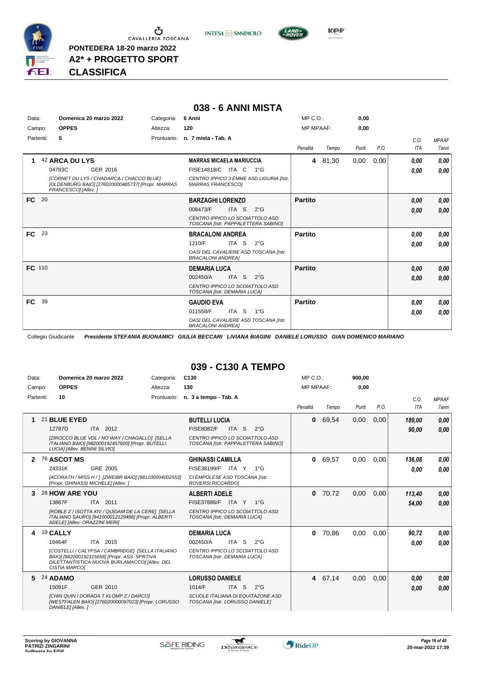

**A2\* + PROGETTO SPORT**

**CLASSIFICA**

#### **038 - 6 ANNI MISTA**

**INTESA** M SANPAOLO

| Data:     |      | Domenica 20 marzo 2022                                                                                                      | Categoria:  | 6 Anni                                                                 | MP C. O.         |       | 0,00  |      |      |              |
|-----------|------|-----------------------------------------------------------------------------------------------------------------------------|-------------|------------------------------------------------------------------------|------------------|-------|-------|------|------|--------------|
| Campo:    |      | <b>OPPES</b>                                                                                                                | Altezza:    | 120                                                                    | <b>MP MPAAF:</b> |       | 0,00  |      |      |              |
| Partenti: |      | 5                                                                                                                           | Prontuario: | n. 7 mista - Tab. A                                                    |                  |       |       |      | C.0. | <b>MPAAF</b> |
|           |      |                                                                                                                             |             |                                                                        | Penalità         | Tempo | Punti | P.O. | ITA  | 7anni        |
| 1         |      | 42 ARCA DU LYS                                                                                                              |             | <b>MARRAS MICAELA MARIUCCIA</b>                                        | 4                | 81,30 | 0,00  | 0,00 | 0.00 | 0,00         |
|           |      | 04783C<br>GER 2016                                                                                                          |             | <b>FISE14818/C</b><br>$1^{\circ}G$<br>ITA C                            |                  |       |       |      | 0,00 | 0,00         |
|           |      | <b>ICORNET DU LYS / CHADARCA / CHACCO BLUEI</b><br>[OLDENBURG BAIO] [276020000485737] [Propr. MARRAS<br>FRANCESCO] [Allev.] |             | CENTRO IPPICO 3 EMME ASD LIGURIA [Istr.<br><b>MARRAS FRANCESCOI</b>    |                  |       |       |      |      |              |
| FC.       | - 20 |                                                                                                                             |             | <b>BARZAGHI LORENZO</b>                                                | <b>Partito</b>   |       |       |      | 0.00 | 0,00         |
|           |      |                                                                                                                             |             | 008473/F<br>ITA S<br>$2^{\circ}G$                                      |                  |       |       |      | 0,00 | 0,00         |
|           |      |                                                                                                                             |             | CENTRO IPPICO LO SCOIATTOLO ASD<br>TOSCANA [Istr. PAPPALETTERA SABINO] |                  |       |       |      |      |              |
| <b>FC</b> | 23   |                                                                                                                             |             | <b>BRACALONI ANDREA</b>                                                | <b>Partito</b>   |       |       |      | 0.00 | 0,00         |
|           |      |                                                                                                                             |             | 1210/F<br>ITA S<br>$2^{\circ}G$                                        |                  |       |       |      | 0.00 | 0.00         |
|           |      |                                                                                                                             |             | OASI DEL CAVALIERE ASD TOSCANA [Istr.<br><b>BRACALONI ANDREA]</b>      |                  |       |       |      |      |              |
| FC 110    |      |                                                                                                                             |             | <b>DEMARIA LUCA</b>                                                    | <b>Partito</b>   |       |       |      | 0.00 | 0,00         |
|           |      |                                                                                                                             |             | 002450/A<br>ITA S<br>$2^{\circ}$ G                                     |                  |       |       |      | 0,00 | 0,00         |
|           |      |                                                                                                                             |             | CENTRO IPPICO LO SCOIATTOLO ASD<br>TOSCANA [Istr. DEMARIA LUCA]        |                  |       |       |      |      |              |
| FC.       | 39   |                                                                                                                             |             | <b>GAUDIO EVA</b>                                                      | <b>Partito</b>   |       |       |      | 0,00 | 0,00         |
|           |      |                                                                                                                             |             | ITA S<br>$1^{\circ}G$<br>011558/F                                      |                  |       |       |      | 0.00 | 0,00         |
|           |      |                                                                                                                             |             | OASI DEL CAVALIERE ASD TOSCANA [Istr.<br><b>BRACALONI ANDREA1</b>      |                  |       |       |      |      |              |

Collegio Giudicante *Presidente STEFANIA BUONAMICI GIULIA BECCARI LIVIANA BIAGINI DANIELE LORUSSO GIAN DOMENICO MARIANO*

#### **039 - C130 A TEMPO**

| Data:        | Domenica 20 marzo 2022                                                                                                                                                                                      | Categoria: | C <sub>130</sub>                                                                                                                                         | MP C. O.         |         | 900,00 |      |                    |                       |
|--------------|-------------------------------------------------------------------------------------------------------------------------------------------------------------------------------------------------------------|------------|----------------------------------------------------------------------------------------------------------------------------------------------------------|------------------|---------|--------|------|--------------------|-----------------------|
| Campo:       | <b>OPPES</b>                                                                                                                                                                                                | Altezza:   | 130                                                                                                                                                      | <b>MP MPAAF:</b> |         | 0,00   |      |                    |                       |
| Partenti:    | 10                                                                                                                                                                                                          |            | Prontuario: n. 3 a tempo - Tab. A                                                                                                                        | Penalità         | Tempo   | Punti  | P.O. | C.O.<br><b>ITA</b> | <b>MPAAF</b><br>7anni |
|              | 21 BLUE EYED<br>12787D<br>ITA 2012<br>[ZIROCCO BLUE VDL / NO WAY / CHAGALLO] [SELLA<br>ITALIANO BAIO] [982000192457600] [Propr. BUTELLI<br>LUCIA] [Allev. BENINI SILVIO]                                    |            | <b>BUTELLI LUCIA</b><br><b>FISE8082/F</b><br>ITA <sub>S</sub><br>$2^{\circ}$ G<br>CENTRO IPPICO LO SCOIATTOLO ASD<br>TOSCANA [Istr. PAPPALETTERA SABINO] | 0                | 69,54   | 0,00   | 0,00 | 189,00<br>90.00    | 0,00<br>0,00          |
| $\mathbf{2}$ | 76 ASCOT MS<br>24331K<br>GRE 2005<br>[ACORATH / MISS H / ] [ZWEIBR BAIO] [981100004002553]<br>[Propr. GHINASSI MICHELE] [Allev.]                                                                            |            | <b>GHINASSI CAMILLA</b><br>FISE38199/F ITA Y<br>$1^{\circ}$ G<br>CI EMPOLESE ASD TOSCANA [Istr.<br>ROVERSI RICCARDO]                                     | 0                | 69,57   | 0,00   | 0,00 | 136,08<br>0.00     | 0.00<br>0.00          |
|              | 28 HOW ARE YOU<br>13867F<br>ITA 2011<br>[ROBLE Z / ISOTTA XIV / QUIDAM DE LA CERE] [SELLA<br>ITALIANO SAURO] [941000012129486] [Propr. ALBERTI<br>ADELE] [Allev. ORAZZINI MERI]                             |            | <b>ALBERTI ADELE</b><br><b>FISE37886/F</b><br>ITA Y<br>$1^{\circ}G$<br>CENTRO IPPICO LO SCOIATTOLO ASD<br>TOSCANA [Istr. DEMARIA LUCA]                   | 0                | 70,72   | 0,00   | 0,00 | 113,40<br>54.00    | 0,00<br>0,00          |
| 4            | 19 CALLY<br>16464F<br>ITA 2015<br>[COSTELLI / CALYPSA / CAMBRIDGE] [SELLA ITALIANO<br>BAIO] [982000192315658] [Propr. ASS. SPRTIVA<br>DILETTANTISTICA NUOVA BURLAMACCOI [Allev. DEL<br><b>CISTIA MARCOI</b> |            | <b>DEMARIA LUCA</b><br>002450/A<br>ITA S<br>$2^{\circ}$ G<br>CENTRO IPPICO LO SCOIATTOLO ASD<br>TOSCANA [Istr. DEMARIA LUCA]                             | $\bf{0}$         | 70,86   | 0,00   | 0.00 | 90.72<br>0.00      | 0.00<br>0.00          |
| 5.           | 24 ADAMO<br>GER 2010<br>15091F<br><b>ICHIN QUIN / DORADA T KLOMP Z / DARCOI</b><br>[WESTFALEN BAIO] [276020000097023] [Propr. LORUSSO<br>DANIELE] [Allev.]                                                  |            | <b>LORUSSO DANIELE</b><br>1014/F<br>ITA <sub>S</sub><br>$2^{\circ}$ G<br>SCUOLE ITALIANA DI EQUITAZONE ASD<br>TOSCANA [Istr. LORUSSO DANIELE]            |                  | 4 67,14 | 0,00   | 0,00 | 0.00<br>0.00       | 0,00<br>0,00          |



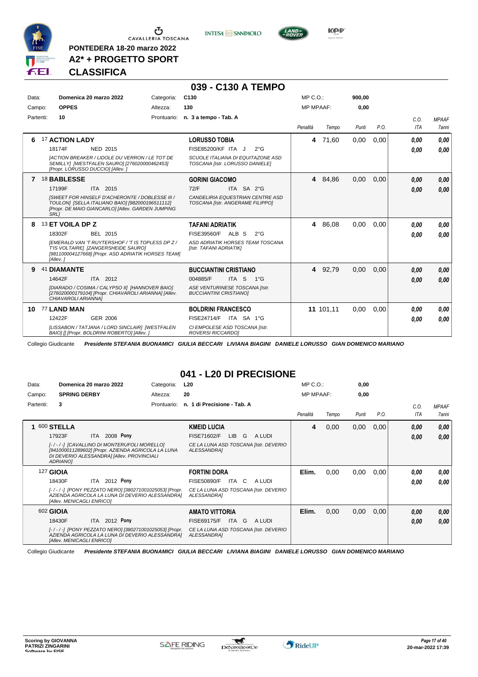

 $\sigma$  cavalleria toscana

**PONTEDERA 18-20 marzo 2022 A2\* + PROGETTO SPORT**





**CLASSIFICA**

#### **039 - C130 A TEMPO**

**INTESA** M SANPAOLO

| Data:     |    | Domenica 20 marzo 2022                                                                                                                                          | Categoria:  | C <sub>130</sub>                                                     | MP C. O.         |           | 900,00 |      |            |              |
|-----------|----|-----------------------------------------------------------------------------------------------------------------------------------------------------------------|-------------|----------------------------------------------------------------------|------------------|-----------|--------|------|------------|--------------|
| Campo:    |    | <b>OPPES</b>                                                                                                                                                    | Altezza:    | 130                                                                  | <b>MP MPAAF:</b> |           | 0,00   |      |            |              |
| Partenti: |    | 10                                                                                                                                                              | Prontuario: | n. 3 a tempo - Tab. A                                                |                  |           |        |      | C.O.       | <b>MPAAF</b> |
|           |    |                                                                                                                                                                 |             |                                                                      | Penalità         | Tempo     | Punti  | P.O. | <b>ITA</b> | 7anni        |
| 6         |    | <b>17 ACTION LADY</b>                                                                                                                                           |             | <b>LORUSSO TOBIA</b>                                                 | 4                | 71,60     | 0,00   | 0,00 | 0.00       | 0.00         |
|           |    | 18174F<br><b>NED 2015</b>                                                                                                                                       |             | FISE85200/KF ITA J<br>$2^{\circ}$ G                                  |                  |           |        |      | 0.00       | 0.00         |
|           |    | <b>IACTION BREAKER / LIDOLE DU VERRON / LE TOT DE</b><br>SEMILLY] [WESTFALEN SAURO] [276020000462453]<br>[Propr. LORUSSO DUCCIO] [Allev.]                       |             | SCUOLE ITALIANA DI EQUITAZONE ASD<br>TOSCANA [Istr. LORUSSO DANIELE] |                  |           |        |      |            |              |
| 7         |    | <b>18 BABLESSE</b>                                                                                                                                              |             | <b>GORINI GIACOMO</b>                                                |                  | 4 84.86   | 0,00   | 0,00 | 0.00       | 0,00         |
|           |    | 17199F<br>ITA 2015                                                                                                                                              |             | 72/F<br>ITA SA 2°G                                                   |                  |           |        |      | 0.00       | 0,00         |
|           |    | ISWEET FOR HINSELF D'ACHERONTE / DOBLESSE III /<br>TOULON] [SELLA ITALIANO BAIO] [982000196511112]<br>[Propr. DE MAIO GIANCARLO] [Allev. GARDEN JUMPING<br>SRL1 |             | CANDELIRIA EQUESTRIAN CENTRE ASD<br>TOSCANA [Istr. ANGERAME FILIPPO] |                  |           |        |      |            |              |
| 8         |    | 13 ET VOILA DP Z                                                                                                                                                |             | <b>TAFANI ADRIATIK</b>                                               |                  | 4 86,08   | 0,00   | 0,00 | 0.00       | 0.00         |
|           |    | 18302F<br>BEL 2015                                                                                                                                              |             | FISE39560/F<br>ALB S<br>$2^{\circ}$ G                                |                  |           |        |      | 0.00       | 0.00         |
|           |    | IEMERALD VAN 'T RUYTERSHOF / 'T IS TOPLESS DP Z /<br>T'IS VOLTAIRE] [ZANGERSHEIDE SAURO]<br>[981100004127668] [Propr. ASD ADRIATIK HORSES TEAM]<br>[Allev.]     |             | ASD ADRIATIK HORSES TEAM TOSCANA<br>[Istr. TAFANI ADRIATIK]          |                  |           |        |      |            |              |
| 9         | 41 | <b>DIAMANTE</b>                                                                                                                                                 |             | <b>BUCCIANTINI CRISTIANO</b>                                         |                  | 4 92,79   | 0,00   | 0,00 | 0,00       | 0,00         |
|           |    | 14642F<br>ITA 2012                                                                                                                                              |             | ITA <sub>S</sub><br>004885/F<br>$1^{\circ}G$                         |                  |           |        |      | 0.00       | 0.00         |
|           |    | [DIARADO / COSIMA / CALYPSO II] [HANNOVER BAIO]<br>[276020000179104] [Propr. CHIAVAROLI ARIANNA] [Allev.<br>CHIAVAROLI ARIANNAI                                 |             | ASE VENTURINESE TOSCANA [Istr.<br><b>BUCCIANTINI CRISTIANOI</b>      |                  |           |        |      |            |              |
| 10        |    | 77 LAND MAN                                                                                                                                                     |             | <b>BOLDRINI FRANCESCO</b>                                            |                  | 11 101,11 | 0,00   | 0,00 | 0.00       | 0,00         |
|           |    | 12422F<br>GER 2006                                                                                                                                              |             | FISE24714/F ITA SA 1°G                                               |                  |           |        |      | 0.00       | 0,00         |
|           |    | ILISSABON / TATJANA / LORD SINCLAIR] [WESTFALEN<br>BAIO] [] [Propr. BOLDRINI ROBERTO] [Allev. ]                                                                 |             | CI EMPOLESE ASD TOSCANA [Istr.<br><b>ROVERSI RICCARDOI</b>           |                  |           |        |      |            |              |

Collegio Giudicante *Presidente STEFANIA BUONAMICI GIULIA BECCARI LIVIANA BIAGINI DANIELE LORUSSO GIAN DOMENICO MARIANO*

#### **041 - L20 DI PRECISIONE**

| Data:        | Domenica 20 marzo 2022                                                                                                                                     | Categoria:  | L20                                                         | $MP C. O.$ :     |       | 0,00  |      |            |              |
|--------------|------------------------------------------------------------------------------------------------------------------------------------------------------------|-------------|-------------------------------------------------------------|------------------|-------|-------|------|------------|--------------|
| Campo:       | <b>SPRING DERBY</b>                                                                                                                                        | Altezza:    | 20                                                          | <b>MP MPAAF:</b> |       | 0,00  |      |            |              |
| Partenti:    | 3                                                                                                                                                          | Prontuario: | n. 1 di Precisione - Tab. A                                 |                  |       |       |      | C.O.       | <b>MPAAF</b> |
|              |                                                                                                                                                            |             |                                                             | Penalità         | Tempo | Punti | P.O. | <b>ITA</b> | 7anni        |
| $\mathbf{1}$ | 600 STELLA                                                                                                                                                 |             | <b>KMEID LUCIA</b>                                          | 4                | 0,00  | 0,00  | 0,00 | 0.00       | 0,00         |
|              | ITA 2008 Pony<br>17923F                                                                                                                                    |             | FISE71602/F<br><b>LIB</b><br>G<br>A LUDI                    |                  |       |       |      | 0.00       | 0,00         |
|              | [-/-/-] [CAVALLINO DI MONTERUFOLI MORELLO]<br>[941000011289602] [Propr. AZIENDA AGRICOLA LA LUNA<br>DI DEVERIO ALESSANDRA] [Allev. PROVINCIALI<br>ADRIANO] |             | CE LA LUNA ASD TOSCANA [Istr. DEVERIO<br><b>ALESSANDRAI</b> |                  |       |       |      |            |              |
|              | <b>127 GIOIA</b>                                                                                                                                           |             | <b>FORTINI DORA</b>                                         | Elim.            | 0,00  | 0,00  | 0.00 | 0,00       | 0.00         |
|              | ITA 2012 Pony<br>18430F                                                                                                                                    |             | <b>FISE50890/F</b><br>ITA C<br>A LUDI                       |                  |       |       |      | 0.00       | 0.00         |
|              | [-/-/-] [PONY PEZZATO NERO] [380271001025053] [Propr.<br>AZIENDA AGRICOLA LA LUNA DI DEVERIO ALESSANDRA]<br>[Allev. MENICAGLI ENRICO]                      |             | CE LA LUNA ASD TOSCANA [Istr. DEVERIO<br>ALESSANDRA]        |                  |       |       |      |            |              |
|              | 602 GIOIA                                                                                                                                                  |             | <b>AMATO VITTORIA</b>                                       | Elim.            | 0,00  | 0,00  | 0,00 | 0,00       | 0,00         |
|              | ITA 2012 Pony<br>18430F                                                                                                                                    |             | <b>FISE69175/F</b><br>ITA G<br>A LUDI                       |                  |       |       |      | 0.00       | 0.00         |
|              | [-/-/-] [PONY PEZZATO NERO] [380271001025053] [Propr.<br>AZIENDA AGRICOLA LA LUNA DI DEVERIO ALESSANDRA]<br>[Allev. MENICAGLI ENRICO]                      |             | CE LA LUNA ASD TOSCANA [Istr. DEVERIO<br>ALESSANDRA]        |                  |       |       |      |            |              |

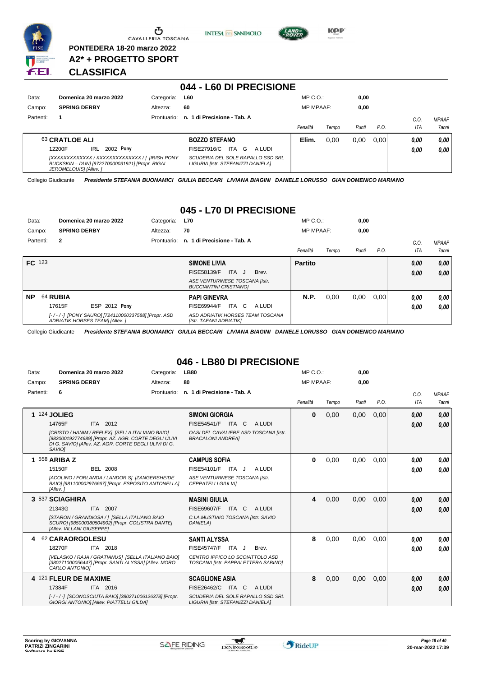

 $\overline{\phantom{a}}$ 

Ⴠ CAVALLERIA TOSCANA

**PONTEDERA 18-20 marzo 2022 A2\* + PROGETTO SPORT** **INTESA** M SANPAOLO



**KOP** 

#### **CLASSIFICA**

|           |                                                                                                                             |             | 044 - L60 DI PRECISIONE                                                 |                  |       |       |      |      |              |
|-----------|-----------------------------------------------------------------------------------------------------------------------------|-------------|-------------------------------------------------------------------------|------------------|-------|-------|------|------|--------------|
| Data:     | Domenica 20 marzo 2022                                                                                                      | Categoria:  | <b>L60</b>                                                              | $MP C. O.$ :     |       | 0,00  |      |      |              |
| Campo:    | <b>SPRING DERBY</b>                                                                                                         | Altezza:    | 60                                                                      | <b>MP MPAAF:</b> |       | 0,00  |      |      |              |
| Partenti: |                                                                                                                             | Prontuario: | 1 di Precisione - Tab. A<br>n.                                          |                  |       |       |      | C.O. | <b>MPAAF</b> |
|           |                                                                                                                             |             |                                                                         | Penalità         | Tempo | Punti | P.O. | ITA  | 7anni        |
|           | 63 CRATLOE ALI                                                                                                              |             | <b>BOZZO STEFANO</b>                                                    | Elim.            | 0.00  | 0.00  | 0.00 | 0,00 | 0.00         |
|           | 2002 Pony<br>IRL<br>12200F                                                                                                  |             | ITA G<br>FISE27916/C<br>A LUDI                                          |                  |       |       |      | 0.00 | 0,00         |
|           | [XXXXXXXXXXXX / XXXXXXXXXXXXXX / 1 [IRISH PONY<br>BUCKSKIN - DUNI [972270000031921] [Propr. RIGAL<br>JEROMELOUIS] [Allev. ] |             | SCUDERIA DEL SOLE RAPALLO SSD SRL<br>LIGURIA [Istr. STEFANIZZI DANIELA] |                  |       |       |      |      |              |

Collegio Giudicante *Presidente STEFANIA BUONAMICI GIULIA BECCARI LIVIANA BIAGINI DANIELE LORUSSO GIAN DOMENICO MARIANO*

#### **045 - L70 DI PRECISIONE**

| Data:         |              | Domenica 20 marzo 2022                                                                | Categoria:  | <b>L70</b>                                                      | $MP C. O.$ :     |       | 0,00  |      |      |                     |
|---------------|--------------|---------------------------------------------------------------------------------------|-------------|-----------------------------------------------------------------|------------------|-------|-------|------|------|---------------------|
| Campo:        |              | <b>SPRING DERBY</b>                                                                   | Altezza:    | 70                                                              | <b>MP MPAAF:</b> |       | 0,00  |      |      |                     |
| Partenti:     | $\mathbf{2}$ |                                                                                       | Prontuario: | n. 1 di Precisione - Tab. A                                     |                  |       |       |      | C.0  | <b>MPAAF</b>        |
|               |              |                                                                                       |             |                                                                 | Penalità         | Tempo | Punti | P.O. | ITA  | <i><b>7anni</b></i> |
| <b>FC</b> 123 |              |                                                                                       |             | <b>SIMONE LIVIA</b>                                             | <b>Partito</b>   |       |       |      | 0.00 | 0,00                |
|               |              |                                                                                       |             | ITA J<br>FISE58139/F<br>Brev.                                   |                  |       |       |      | 0,00 | 0,00                |
|               |              |                                                                                       |             | ASE VENTURINESE TOSCANA [Istr.<br><b>BUCCIANTINI CRISTIANOI</b> |                  |       |       |      |      |                     |
| <b>NP</b>     | 64 RUBIA     |                                                                                       |             | <b>PAPI GINEVRA</b>                                             | N.P.             | 0,00  | 0,00  | 0.00 | 0.00 | 0,00                |
|               | 17615F       | <b>ESP 2012 Pony</b>                                                                  |             | FISE69944/F<br>ITA C<br>A LUDI                                  |                  |       |       |      | 0,00 | 0,00                |
|               |              | [-/-/-] [PONY SAURO] [724110000337588] [Propr. ASD<br>ADRIATIK HORSES TEAM] [Allev. ] |             | ASD ADRIATIK HORSES TEAM TOSCANA<br>[Istr. TAFANI ADRIATIK]     |                  |       |       |      |      |                     |

Collegio Giudicante *Presidente STEFANIA BUONAMICI GIULIA BECCARI LIVIANA BIAGINI DANIELE LORUSSO GIAN DOMENICO MARIANO*

#### **046 - LB80 DI PRECISIONE**

| <b>MP MPAAF:</b><br>Penalità<br>$\bf{0}$ | Tempo<br>0,00                                                                                                     | 0,00<br>Punti<br>0,00 | P.O.         | C.O.<br><b>ITA</b>   | <b>MPAAF</b><br><b>7anni</b> |
|------------------------------------------|-------------------------------------------------------------------------------------------------------------------|-----------------------|--------------|----------------------|------------------------------|
|                                          |                                                                                                                   |                       |              |                      |                              |
|                                          |                                                                                                                   |                       |              |                      |                              |
|                                          |                                                                                                                   |                       | 0.00         | 0,00<br>0.00         | 0,00<br>0,00                 |
| $\bf{0}$                                 | 0,00                                                                                                              | 0,00                  | 0.00         | 0,00<br>0,00         | 0.00<br>0,00                 |
| 4                                        | 0.00                                                                                                              | 0.00                  | 0.00         | 0,00<br>0,00         | 0,00<br>0.00                 |
| 8<br>8                                   | 0,00<br>0.00                                                                                                      | 0,00<br>0,00          | 0.00<br>0.00 | 0,00<br>0,00<br>0,00 | 0,00<br>0,00<br>0,00         |
|                                          |                                                                                                                   |                       |              |                      | 0,00                         |
|                                          | OASI DEL CAVALIERE ASD TOSCANA [Istr.<br>TOSCANA [Istr. PAPPALETTERA SABINO]<br>SCUDERIA DEL SOLE RAPALLO SSD SRL |                       |              |                      | 0,00                         |

 $\mathcal{L}$ 

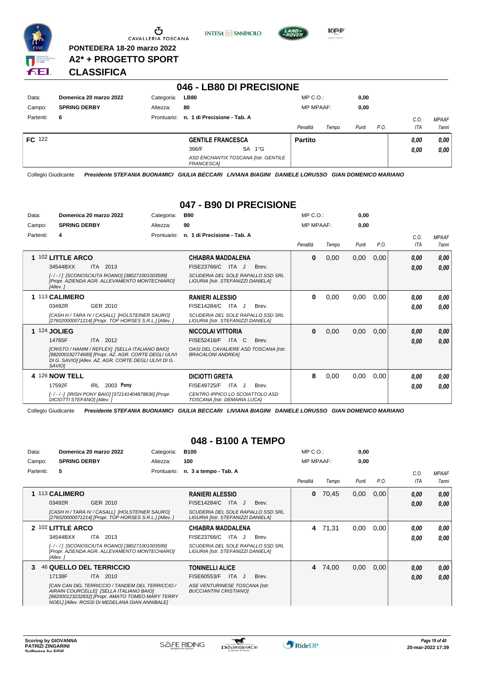

Ⴠ CAVALLERIA TOSCANA

**PONTEDERA 18-20 marzo 2022 A2\* + PROGETTO SPORT** **INTESA** M SANPAOLO



**Kep** 

#### **CLASSIFICA**

|               |                        |             | 046 - LB80 DI PRECISIONE                           |                   |               |      |              |
|---------------|------------------------|-------------|----------------------------------------------------|-------------------|---------------|------|--------------|
| Data:         | Domenica 20 marzo 2022 | Categoria:  | <b>LB80</b>                                        | $MP C. O.$ :      | 0,00          |      |              |
| Campo:        | <b>SPRING DERBY</b>    | Altezza:    | 80                                                 | <b>MP MPAAF:</b>  | 0,00          |      |              |
| Partenti:     | 6                      | Prontuario: | n. 1 di Precisione - Tab. A                        |                   |               | C.O. | <b>MPAAF</b> |
|               |                        |             |                                                    | Penalità<br>Tempo | P.O.<br>Punti | ITA  | <b>7anni</b> |
| <b>FC</b> 122 |                        |             | <b>GENTILE FRANCESCA</b>                           | <b>Partito</b>    |               | 0.00 | 0,00         |
|               |                        |             | SA 1°G<br>366/F                                    |                   |               | 0,00 | 0,00         |
|               |                        |             | ASD ENCHANTIX TOSCANA [Istr. GENTILE<br>FRANCESCA] |                   |               |      |              |

Collegio Giudicante *Presidente STEFANIA BUONAMICI GIULIA BECCARI LIVIANA BIAGINI DANIELE LORUSSO GIAN DOMENICO MARIANO*

#### **047 - B90 DI PRECISIONE**

| Data:     | Domenica 20 marzo 2022                                                                                                                                                                                                              | Categoria:  | <b>B90</b>                                                                                                                           | MP C. O.         |       | 0,00  |      |              |                              |
|-----------|-------------------------------------------------------------------------------------------------------------------------------------------------------------------------------------------------------------------------------------|-------------|--------------------------------------------------------------------------------------------------------------------------------------|------------------|-------|-------|------|--------------|------------------------------|
| Campo:    | <b>SPRING DERBY</b>                                                                                                                                                                                                                 | Altezza:    | 90                                                                                                                                   | <b>MP MPAAF:</b> |       | 0.00  |      |              |                              |
| Partenti: | 4                                                                                                                                                                                                                                   | Prontuario: | n. 1 di Precisione - Tab. A                                                                                                          | Penalità         | Tempo | Punti | P.O. | C.O.<br>ITA  | <b>MPAAF</b><br><b>7anni</b> |
|           | 1 102 LITTLE ARCO<br>34544BXX<br><b>ITA 2013</b><br>[-/-/] [SCONOSCIUTA ROANO] [380271001003599]<br>[Propr. AZIENDA AGR. ALLEVAMENTO MONTECHIARO]<br>[Allev.]                                                                       |             | <b>CHIABRA MADDALENA</b><br>FISE23766/C<br>ITA J<br>Brev.<br>SCUDERIA DEL SOLE RAPALLO SSD SRL<br>LIGURIA [Istr. STEFANIZZI DANIELA] | $\bf{0}$         | 0,00  | 0,00  | 0,00 | 0.00<br>0,00 | 0,00<br>0,00                 |
|           | 1 113 CALIMERO<br>03492R<br>GER 2010<br>[CASH H / TARA IV / CASALL] [HOLSTEINER SAURO]<br>[276020000071214] [Propr. TOP HORSES S.R.L.] [Allev.]                                                                                     |             | <b>RANIERI ALESSIO</b><br>FISE14284/C<br>ITA J<br>Brev.<br>SCUDERIA DEL SOLE RAPALLO SSD SRL<br>LIGURIA [Istr. STEFANIZZI DANIELA]   | $\bf{0}$         | 0,00  | 0,00  | 0,00 | 0,00<br>0.00 | 0,00<br>0.00                 |
|           | <b>1 124 JOLIEG</b><br>ITA 2012<br>14765F<br>[CRISTO / HANIM / REFLEX] [SELLA ITALIANO BAIO]<br>[982000192774689] [Propr. AZ. AGR. CORTE DEGLI ULIVI<br>DI G. SAVIOI [Allev. AZ. AGR. CORTE DEGLI ULIVI DI G.<br>SAVIO <sub>I</sub> |             | <b>NICCOLAI VITTORIA</b><br>FISE52416/F<br>ITA C<br>Brev.<br>OASI DEL CAVALIERE ASD TOSCANA [Istr.<br><b>BRACALONI ANDREAI</b>       | $\bf{0}$         | 0,00  | 0,00  | 0,00 | 0,00<br>0,00 | 0,00<br>0.00                 |
|           | 4 126 NOW TELL<br>2003 Pony<br>17592F<br>IRL<br>[-/-/-] [IRISH PONY BAIO] [372141404878836] [Propr.<br>DICIOTTI STEFANOI [Allev.]                                                                                                   |             | <b>DICIOTTI GRETA</b><br><b>FISE49725/F</b><br>ITA<br>Brev.<br>J<br>CENTRO IPPICO LO SCOIATTOLO ASD<br>TOSCANA [Istr. DEMARIA LUCA]  | 8                | 0,00  | 0,00  | 0,00 | 0.00<br>0.00 | 0,00<br>0.00                 |

Collegio Giudicante *Presidente STEFANIA BUONAMICI GIULIA BECCARI LIVIANA BIAGINI DANIELE LORUSSO GIAN DOMENICO MARIANO*

#### **048 - B100 A TEMPO**

| Data:     | Domenica 20 marzo 2022                                                                                                                                                                           | Categoria:  | <b>B100</b>                                                             | $MP C. O.$ :     |       | 0,00  |      |      |              |
|-----------|--------------------------------------------------------------------------------------------------------------------------------------------------------------------------------------------------|-------------|-------------------------------------------------------------------------|------------------|-------|-------|------|------|--------------|
| Campo:    | <b>SPRING DERBY</b>                                                                                                                                                                              | Altezza:    | 100                                                                     | <b>MP MPAAF:</b> |       | 0,00  |      |      |              |
| Partenti: | 5                                                                                                                                                                                                | Prontuario: | n. 3 a tempo - Tab. A                                                   |                  |       |       |      | C.0. | <b>MPAAF</b> |
|           |                                                                                                                                                                                                  |             |                                                                         | Penalità         | Tempo | Punti | P.O. | ITA  | 7anni        |
|           | 113 CALIMERO                                                                                                                                                                                     |             | <b>RANIERI ALESSIO</b>                                                  | 0                | 70,45 | 0,00  | 0,00 | 0.00 | 0,00         |
|           | 03492R<br>GER 2010                                                                                                                                                                               |             | FISE14284/C<br>ITA.<br>Brev.                                            |                  |       |       |      | 0,00 | 0,00         |
|           | [CASH H / TARA IV / CASALL] [HOLSTEINER SAURO]<br>[276020000071214] [Propr. TOP HORSES S.R.L.] [Allev.]                                                                                          |             | SCUDERIA DEL SOLE RAPALLO SSD SRL<br>LIGURIA [Istr. STEFANIZZI DANIELA] |                  |       |       |      |      |              |
|           | 2 102 LITTLE ARCO                                                                                                                                                                                |             | CHIABRA MADDALENA                                                       | 4                | 71.31 | 0,00  | 0,00 | 0.00 | 0.00         |
|           | 2013<br>34544BXX<br>ITA                                                                                                                                                                          |             | FISE23766/C<br>ITA<br>Brev.<br>- J                                      |                  |       |       |      | 0,00 | 0.00         |
|           | [-/-/] [SCONOSCIUTA ROANO] [380271001003599]<br>[Propr. AZIENDA AGR. ALLEVAMENTO MONTECHIARO]<br>[Allev.]                                                                                        |             | SCUDERIA DEL SOLE RAPALLO SSD SRL<br>LIGURIA [Istr. STEFANIZZI DANIELA] |                  |       |       |      |      |              |
| 3         | 46 QUELLO DEL TERRICCIO                                                                                                                                                                          |             | <b>TONINELLI ALICE</b>                                                  | 4                | 74,00 | 0,00  | 0,00 | 0.00 | 0,00         |
|           | 17138F<br><b>ITA 2010</b>                                                                                                                                                                        |             | <b>FISE60553/F</b><br>ITA J<br>Brev.                                    |                  |       |       |      | 0.00 | 0,00         |
|           | ICAN CAN DEL TERRICCIO / TANDEM DEL TERRICCIO /<br>AIRAIN COURCELLEI [SELLA ITALIANO BAIO]<br>[982000123232832] [Propr. AMATO TOMEO MARY TERRY<br>NOEL] [Allev. ROSSI DI MEDELANA GIAN ANNIBALE] |             | ASE VENTURINESE TOSCANA [Istr.<br><b>BUCCIANTINI CRISTIANOI</b>         |                  |       |       |      |      |              |

 $\mathbf{r}$ 

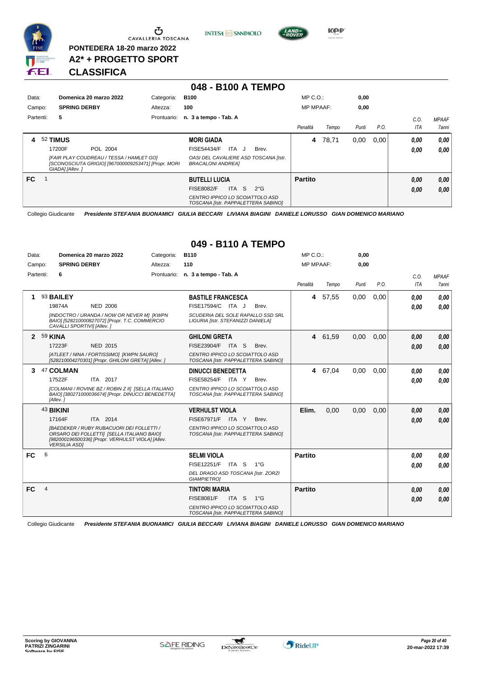

 $\sigma$  cavalleria toscana

**PONTEDERA 18-20 marzo 2022 A2\* + PROGETTO SPORT** **INTESA** M SANPAOLO



**Kep** 

#### **CLASSIFICA**

|           |                                                                                                                    |             | 048 - B100 A TEMPO                                                     |                  |       |       |      |      |              |
|-----------|--------------------------------------------------------------------------------------------------------------------|-------------|------------------------------------------------------------------------|------------------|-------|-------|------|------|--------------|
| Data:     | Domenica 20 marzo 2022                                                                                             | Categoria:  | <b>B100</b>                                                            | $MP C. O.$ :     |       | 0,00  |      |      |              |
| Campo:    | <b>SPRING DERBY</b>                                                                                                | Altezza:    | 100                                                                    | <b>MP MPAAF:</b> |       | 0,00  |      |      |              |
| Partenti: | 5                                                                                                                  | Prontuario: | n. 3 a tempo - Tab. A                                                  |                  |       |       |      | C.O. | <b>MPAAF</b> |
|           |                                                                                                                    |             |                                                                        | Penalità         | Tempo | Punti | P.O. | ITA  | 7anni        |
| 4         | 52 TIMUS                                                                                                           |             | <b>MORI GIADA</b>                                                      | 4                | 78,71 | 0.00  | 0.00 | 0.00 | 0,00         |
|           | 17200F<br>POL 2004                                                                                                 |             | ITA J<br><b>FISE54434/F</b><br>Brev.                                   |                  |       |       |      | 0.00 | 0.00         |
|           | [FAIR PLAY COUDREAU / TESSA / HAMLET GO]<br>[SCONOSCIUTA GRIGIO] [967000009253471] [Propr. MORI<br>GIADA] [Allev.] |             | OASI DEL CAVALIERE ASD TOSCANA [Istr.<br><b>BRACALONI ANDREAI</b>      |                  |       |       |      |      |              |
| FC.       |                                                                                                                    |             | <b>BUTELLI LUCIA</b>                                                   | <b>Partito</b>   |       |       |      | 0,00 | 0,00         |
|           |                                                                                                                    |             | S.<br><b>FISE8082/F</b><br><b>ITA</b><br>$2^{\circ}$ G                 |                  |       |       |      | 0,00 | 0,00         |
|           |                                                                                                                    |             | CENTRO IPPICO LO SCOIATTOLO ASD<br>TOSCANA [Istr. PAPPALETTERA SABINO] |                  |       |       |      |      |              |

Collegio Giudicante *Presidente STEFANIA BUONAMICI GIULIA BECCARI LIVIANA BIAGINI DANIELE LORUSSO GIAN DOMENICO MARIANO*

| Data:        |                      | Domenica 20 marzo 2022                                                                                                                              | Categoria: | <b>B110</b>                                                             | MP C. O.         |         | 0,00  |      |            |                     |
|--------------|----------------------|-----------------------------------------------------------------------------------------------------------------------------------------------------|------------|-------------------------------------------------------------------------|------------------|---------|-------|------|------------|---------------------|
| Campo:       |                      | <b>SPRING DERBY</b>                                                                                                                                 | Altezza:   | 110                                                                     | <b>MP MPAAF:</b> |         | 0,00  |      |            |                     |
| Partenti:    | 6                    |                                                                                                                                                     |            | Prontuario: n. 3 a tempo - Tab. A                                       |                  |         |       |      | C.O.       | <b>MPAAF</b>        |
|              |                      |                                                                                                                                                     |            |                                                                         | Penalità         | Tempo   | Punti | P.O. | <b>ITA</b> | <i><b>7anni</b></i> |
| 1            | 93 BAILEY            |                                                                                                                                                     |            | <b>BASTILE FRANCESCA</b>                                                | $\overline{4}$   | 57,55   | 0,00  | 0.00 | 0.00       | 0.00                |
|              | 19874A               | <b>NED 2006</b>                                                                                                                                     |            | FISE17594/C ITA J<br>Brev.                                              |                  |         |       |      | 0.00       | 0.00                |
|              |                      | [INDOCTRO / URANDA / NOW OR NEVER M] [KWPN<br>BAIO] [528210000827072] [Propr. T.C. COMMERCIO<br>CAVALLI SPORTIVII [Allev.]                          |            | SCUDERIA DEL SOLE RAPALLO SSD SRL<br>LIGURIA [Istr. STEFANIZZI DANIELA] |                  |         |       |      |            |                     |
| $\mathbf{2}$ | <b>59 KINA</b>       |                                                                                                                                                     |            | <b>GHILONI GRETA</b>                                                    | $\overline{4}$   | 61,59   | 0,00  | 0.00 | 0,00       | 0,00                |
|              | 17223F               | NED 2015                                                                                                                                            |            | FISE23904/F ITA S<br>Brev.                                              |                  |         |       |      | 0.00       | 0.00                |
|              |                      | [ATLEET / NINA / FORTISSIMO] [KWPN SAURO]<br>[528210004270301] [Propr. GHILONI GRETA] [Allev. ]                                                     |            | CENTRO IPPICO LO SCOIATTOLO ASD<br>TOSCANA [Istr. PAPPALETTERA SABINO]  |                  |         |       |      |            |                     |
| 3            | 47 COLMAN            |                                                                                                                                                     |            | <b>DINUCCI BENEDETTA</b>                                                |                  | 4 67,04 | 0.00  | 0.00 | 0.00       | 0.00                |
|              | 17522F               | ITA 2017                                                                                                                                            |            | <b>FISE58254/F</b><br>ITA Y<br>Brev.                                    |                  |         |       |      | 0.00       | 0.00                |
|              | [Allev.]             | [COLMANI / ROVINE BZ / ROBIN Z II] [SELLA ITALIANO<br>BAIO] [380271000036674] [Propr. DINUCCI BENEDETTA]                                            |            | CENTRO IPPICO LO SCOIATTOLO ASD<br>TOSCANA [Istr. PAPPALETTERA SABINO]  |                  |         |       |      |            |                     |
|              | 43 BIKINI            |                                                                                                                                                     |            | <b>VERHULST VIOLA</b>                                                   | Elim.            | 0.00    | 0,00  | 0,00 | 0,00       | 0,00                |
|              | 17164F               | ITA 2014                                                                                                                                            |            | <b>FISE67971/F</b><br>ITA Y<br>Brev.                                    |                  |         |       |      | 0.00       | 0.00                |
|              | <b>VERSILIA ASDI</b> | <b>IBAEDEKER / RUBY RUBACUORI DEI FOLLETTI /</b><br>ORSARO DEI FOLLETTI] [SELLA ITALIANO BAIO]<br>[982000196500336] [Propr. VERHULST VIOLA] [Allev. |            | CENTRO IPPICO LO SCOIATTOLO ASD<br>TOSCANA [Istr. PAPPALETTERA SABINO]  |                  |         |       |      |            |                     |
| <b>FC</b>    | 6                    |                                                                                                                                                     |            | <b>SELMI VIOLA</b>                                                      | Partito          |         |       |      | 0.00       | 0.00                |
|              |                      |                                                                                                                                                     |            | FISE12251/F<br>ITA S 1°G                                                |                  |         |       |      | 0.00       | 0.00                |
|              |                      |                                                                                                                                                     |            | DEL DRAGO ASD TOSCANA [Istr. ZORZI<br><b>GIAMPIETROI</b>                |                  |         |       |      |            |                     |
| <b>FC</b>    | $\overline{4}$       |                                                                                                                                                     |            | <b>TINTORI MARIA</b>                                                    | <b>Partito</b>   |         |       |      | 0,00       | 0,00                |
|              |                      |                                                                                                                                                     |            | <b>FISE8081/F</b><br>ITA S<br>$1^{\circ}G$                              |                  |         |       |      | 0,00       | 0.00                |
|              |                      |                                                                                                                                                     |            | CENTRO IPPICO LO SCOIATTOLO ASD<br>TOSCANA [Istr. PAPPALETTERA SABINO]  |                  |         |       |      |            |                     |

#### **049 - B110 A TEMPO**

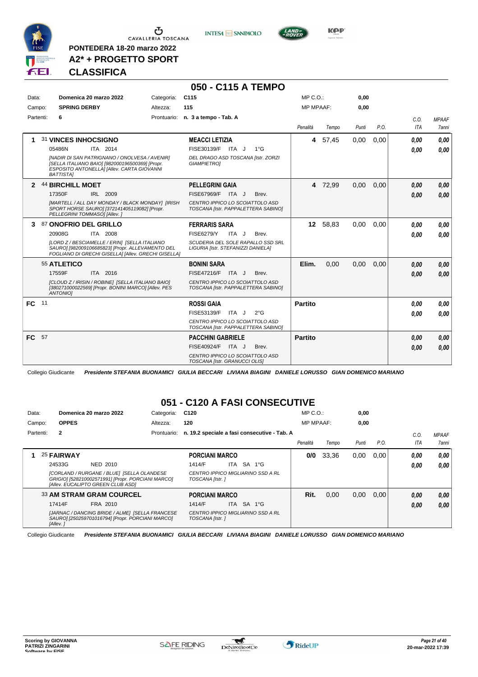

CAVALLERIA TOSCANA

**PONTEDERA 18-20 marzo 2022 A2\* + PROGETTO SPORT**

#### **CLASSIFICA**

**INTESA** M SANPAOLO

**050 - C115 A TEMPO**



Collegio Giudicante *Presidente STEFANIA BUONAMICI GIULIA BECCARI LIVIANA BIAGINI DANIELE LORUSSO GIAN DOMENICO MARIANO*

#### **051 - C120 A FASI CONSECUTIVE**

| Data:  |           |              | Domenica 20 marzo 2022                                                                                                               | Categoria:  | C <sub>120</sub>                                     |     |            |                                              | $MP C. O.$ :     |       | 0,00  |      |            |              |
|--------|-----------|--------------|--------------------------------------------------------------------------------------------------------------------------------------|-------------|------------------------------------------------------|-----|------------|----------------------------------------------|------------------|-------|-------|------|------------|--------------|
| Campo: |           | <b>OPPES</b> |                                                                                                                                      | Altezza:    | 120                                                  |     |            |                                              | <b>MP MPAAF:</b> |       | 0.00  |      |            |              |
|        | Partenti: | $\mathbf{2}$ |                                                                                                                                      | Prontuario: |                                                      |     |            | n. 19.2 speciale a fasi consecutive - Tab. A |                  |       |       |      | C.O.       | <b>MPAAF</b> |
|        |           |              |                                                                                                                                      |             |                                                      |     |            |                                              | Penalità         | Tempo | Punti | P.O. | <b>ITA</b> | 7anni        |
|        |           | 25 FAIRWAY   |                                                                                                                                      |             | <b>PORCIANI MARCO</b>                                |     |            |                                              | 0/0              | 33.36 | 0,00  | 0.00 | 0.00       | 0.00         |
|        |           | 24533G       | NED 2010                                                                                                                             |             | 1414/F                                               | ITA | SA 1°G     |                                              |                  |       |       |      | 0,00       | 0.00         |
|        |           |              | [CORLAND / RURGANE / BLUE] [SELLA OLANDESE<br>GRIGIO] [528210002571991] [Propr. PORCIANI MARCO]<br>[Allev. EUCALIPTO GREEN CLUB ASD] |             | CENTRO IPPICO MIGLIARINO SSD A RL<br>TOSCANA [Istr.] |     |            |                                              |                  |       |       |      |            |              |
|        |           |              | <b>33 AM STRAM GRAM COURCEL</b>                                                                                                      |             | <b>PORCIANI MARCO</b>                                |     |            |                                              | Rit.             | 0.00  | 0,00  | 0.00 | 0,00       | 0.00         |
|        |           | 17414F       | FRA 2010                                                                                                                             |             | 1414/F                                               |     | ITA SA 1°G |                                              |                  |       |       |      | 0,00       | 0.00         |
|        |           | [Allev.]     | [JARNAC / DANCING BRIDE / ALME] [SELLA FRANCESE<br>SAURO] [250259701016794] [Propr. PORCIANI MARCO]                                  |             | CENTRO IPPICO MIGLIARINO SSD A RL<br>TOSCANA [Istr.] |     |            |                                              |                  |       |       |      |            |              |



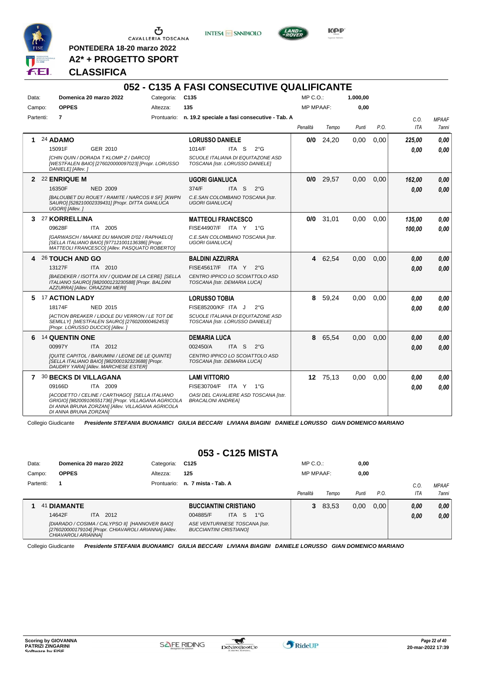

**PONTEDERA 18-20 marzo 2022 A2\* + PROGETTO SPORT**





**Kep** 

### **CLASSIFICA**

|           |                            |                                                                                                                                                            |                 | 052 - C135 A FASI CONSECUTIVE QUALIFICANTE                           |               |                  |             |          |      |            |              |
|-----------|----------------------------|------------------------------------------------------------------------------------------------------------------------------------------------------------|-----------------|----------------------------------------------------------------------|---------------|------------------|-------------|----------|------|------------|--------------|
| Data:     |                            | Domenica 20 marzo 2022                                                                                                                                     | Categoria: C135 |                                                                      |               | $MP C. O.$ :     |             | 1.000,00 |      |            |              |
| Campo:    | <b>OPPES</b>               |                                                                                                                                                            | Altezza:        | 135                                                                  |               | <b>MP MPAAF:</b> |             | 0,00     |      |            |              |
| Partenti: | $\overline{7}$             |                                                                                                                                                            |                 | Prontuario: n. 19.2 speciale a fasi consecutive - Tab. A             |               |                  |             |          |      | C.O.       | <b>MPAAF</b> |
|           |                            |                                                                                                                                                            |                 |                                                                      |               | Penalità         | Tempo       | Punti    | P.O. | <b>ITA</b> | 7anni        |
| 1.        | 24 ADAMO                   |                                                                                                                                                            |                 | <b>LORUSSO DANIELE</b>                                               |               | 0/0              | 24,20       | 0,00     | 0,00 | 225.00     | 0.00         |
|           | 15091F                     | GER 2010                                                                                                                                                   |                 | 1014/F<br>ITA S                                                      | $2^{\circ}$ G |                  |             |          |      | 0.00       | 0.00         |
|           | DANIELE] [Allev.]          | [CHIN QUIN / DORADA T KLOMP Z / DARCO]<br>[WESTFALEN BAIO] [276020000097023] [Propr. LORUSSO                                                               |                 | SCUOLE ITALIANA DI EQUITAZONE ASD<br>TOSCANA [Istr. LORUSSO DANIELE] |               |                  |             |          |      |            |              |
|           | 2 22 ENRIQUE M             |                                                                                                                                                            |                 | <b>UGORI GIANLUCA</b>                                                |               |                  | $0/0$ 29,57 | 0.00     | 0.00 | 162.00     | 0,00         |
|           | 16350F                     | <b>NED 2009</b>                                                                                                                                            |                 | 374/F<br>ITA S                                                       | $2^{\circ}$ G |                  |             |          |      | 0.00       | 0.00         |
|           | UGORI] [Allev.]            | [BALOUBET DU ROUET / RAMITE / NARCOS II SF] [KWPN<br>SAURO] [528210002339431] [Propr. DITTA GIANLUCA                                                       |                 | C.E.SAN COLOMBANO TOSCANA [Istr.<br><b>UGORI GIANLUCAI</b>           |               |                  |             |          |      |            |              |
|           | 3 <sup>27</sup> KORRELLINA |                                                                                                                                                            |                 | <b>MATTEOLI FRANCESCO</b>                                            |               | 0/0              | 31.01       | 0.00     | 0.00 | 135.00     | 0.00         |
|           | 09628F                     | ITA 2005                                                                                                                                                   |                 | FISE44907/F ITA Y 1°G                                                |               |                  |             |          |      | 100.00     | 0.00         |
|           |                            | [GARWASCH / MAAIKE DU MANOIR D'02 / RAPHAELO]<br>[SELLA ITALIANO BAIO] [977121001136386] [Propr.<br>MATTEOLI FRANCESCO] [Allev. PASQUATO ROBERTO]          |                 | C.E.SAN COLOMBANO TOSCANA [Istr.<br><b>UGORI GIANLUCAI</b>           |               |                  |             |          |      |            |              |
|           | 4 26 TOUCH AND GO          |                                                                                                                                                            |                 | <b>BALDINI AZZURRA</b>                                               |               |                  | 4 62,54     | 0,00     | 0,00 | 0.00       | 0,00         |
|           | 13127F                     | ITA 2010                                                                                                                                                   |                 | FISE45617/F ITA Y                                                    | $2^{\circ}$ G |                  |             |          |      | 0.00       | 0,00         |
|           |                            | [BAEDEKER / ISOTTA XIV / QUIDAM DE LA CERE] [SELLA<br>ITALIANO SAURO] [982000123230588] [Propr. BALDINI<br>AZZURRA] [Allev. ORAZZINI MERI]                 |                 | CENTRO IPPICO LO SCOIATTOLO ASD<br>TOSCANA [Istr. DEMARIA LUCA]      |               |                  |             |          |      |            |              |
| 5.        | <b>17 ACTION LADY</b>      |                                                                                                                                                            |                 | <b>LORUSSO TOBIA</b>                                                 |               | 8                | 59,24       | 0,00     | 0,00 | 0.00       | 0.00         |
|           | 18174F                     | <b>NED 2015</b>                                                                                                                                            |                 | FISE85200/KF ITA J                                                   | $2^{\circ}$ G |                  |             |          |      | 0.00       | 0.00         |
|           |                            | <b>IACTION BREAKER / LIDOLE DU VERRON / LE TOT DE</b><br>SEMILLY] [WESTFALEN SAURO] [276020000462453]<br>[Propr. LORUSSO DUCCIO] [Allev.]                  |                 | SCUOLE ITALIANA DI EQUITAZONE ASD<br>TOSCANA [Istr. LORUSSO DANIELE] |               |                  |             |          |      |            |              |
|           | 6 14 QUENTIN ONE           |                                                                                                                                                            |                 | <b>DEMARIA LUCA</b>                                                  |               | 8                | 65,54       | 0,00     | 0,00 | 0.00       | 0.00         |
|           | 00997Y                     | ITA 2012                                                                                                                                                   |                 | 002450/A<br>ITA S                                                    | $2^{\circ}$ G |                  |             |          |      | 0.00       | 0,00         |
|           |                            | [QUITE CAPITOL / BARUMINI / LEONE DE LE QUINTE]<br>[SELLA ITALIANO BAIO] [982000192323688] [Propr.<br>DAUDRY YARA] [Allev. MARCHESE ESTER]                 |                 | CENTRO IPPICO LO SCOIATTOLO ASD<br>TOSCANA [Istr. DEMARIA LUCA]      |               |                  |             |          |      |            |              |
|           | 7 30 BECKS DI VILLAGANA    |                                                                                                                                                            |                 | <b>LAMI VITTORIO</b>                                                 |               |                  | 12 75.13    | 0.00     | 0.00 | 0.00       | 0.00         |
|           | 09166D                     | ITA 2009                                                                                                                                                   |                 | FISE30704/F ITA Y                                                    | 1°G           |                  |             |          |      | 0.00       | 0.00         |
|           | DI ANNA BRUNA ZORZANJ      | [ACODETTO / CELINE / CARTHAGO] [SELLA ITALIANO<br>GRIGIO] [982009106551736] [Propr. VILLAGANA AGRICOLA<br>DI ANNA BRUNA ZORZAN] [Allev. VILLAGANA AGRICOLA |                 | OASI DEL CAVALIERE ASD TOSCANA [Istr.<br><b>BRACALONI ANDREA]</b>    |               |                  |             |          |      |            |              |

Collegio Giudicante *Presidente STEFANIA BUONAMICI GIULIA BECCARI LIVIANA BIAGINI DANIELE LORUSSO GIAN DOMENICO MARIANO*

### **053 - C125 MISTA**

| Data:     | Domenica 20 marzo 2022                                                                                                          | Categoria:  | C125                                                            | $MP C. O.$ :     |         | 0,00  |      |      |              |
|-----------|---------------------------------------------------------------------------------------------------------------------------------|-------------|-----------------------------------------------------------------|------------------|---------|-------|------|------|--------------|
| Campo:    | <b>OPPES</b>                                                                                                                    | Altezza:    | 125                                                             | <b>MP MPAAF:</b> |         | 0.00  |      |      |              |
| Partenti: |                                                                                                                                 | Prontuario: | n. 7 mista - Tab. A                                             |                  |         |       |      | C.O. | <b>MPAAF</b> |
|           |                                                                                                                                 |             |                                                                 | Penalità         | Tempo   | Punti | P.O. | ITA  | 7anni        |
| -41       | <b>DIAMANTE</b>                                                                                                                 |             | <b>BUCCIANTINI CRISTIANO</b>                                    |                  | 3 83,53 | 0.00  | 0.00 | 0,00 | 0.00         |
|           | 2012<br>14642F<br>ITA.                                                                                                          |             | 004885/F<br>$1^{\circ}G$<br>ITA S                               |                  |         |       |      | 0.00 | 0.00         |
|           | [DIARADO / COSIMA / CALYPSO II] [HANNOVER BAIO]<br>[276020000179104] [Propr. CHIAVAROLI ARIANNA] [Allev.<br>CHIAVAROLI ARIANNAI |             | ASE VENTURINESE TOSCANA [Istr.<br><b>BUCCIANTINI CRISTIANOI</b> |                  |         |       |      |      |              |

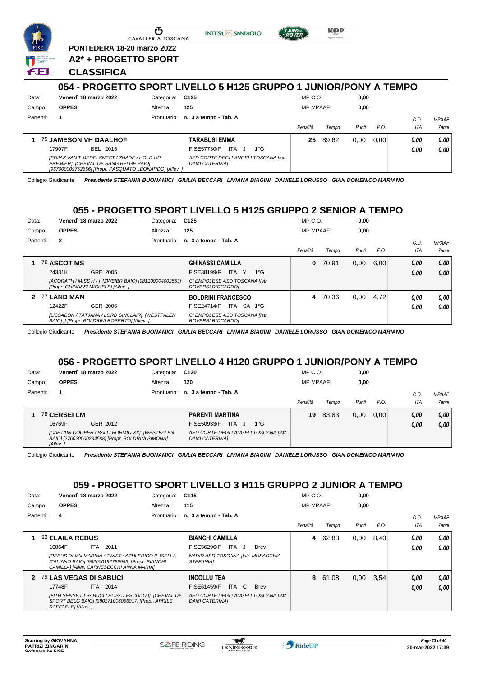

CAVALLERIA TOSCANA

**PONTEDERA 18-20 marzo 2022 A2\* + PROGETTO SPORT** **INTESA M** SANPAOLO



KOP

#### **CLASSIFICA**

|           |                                                                                                                                            |            | 054 - PROGETTO SPORT LIVELLO 5 H125 GRUPPO 1 JUNIOR/PONY A TEMPO |                  |       |       |      |      |              |
|-----------|--------------------------------------------------------------------------------------------------------------------------------------------|------------|------------------------------------------------------------------|------------------|-------|-------|------|------|--------------|
| Data:     | Venerdì 18 marzo 2022                                                                                                                      | Categoria: | C125                                                             | $MP C. O.$ :     |       | 0.00  |      |      |              |
| Campo:    | <b>OPPES</b>                                                                                                                               | Altezza:   | 125                                                              | <b>MP MPAAF:</b> |       | 0.00  |      |      |              |
| Partenti: |                                                                                                                                            |            | Prontuario: n. 3 a tempo - Tab. A                                |                  |       |       |      | C.O. | <b>MPAAF</b> |
|           |                                                                                                                                            |            |                                                                  | Penalità         | Tempo | Punti | P.O. | ITA  | <b>7anni</b> |
|           | 75 JAMESON VH DAALHOF                                                                                                                      |            | TARABUSI EMMA                                                    | 25               | 89.62 | 0.00  | 0.00 | 0,00 | 0.00         |
|           | 17907F<br>BEL 2015                                                                                                                         |            | FISE57730/F<br>ITA J<br>$1^{\circ}G$                             |                  |       |       |      | 0.00 | 0.00         |
|           | IEDJAZ VAN'T MERELSNEST / ZHADE / HOLD UP<br>PREMIERI [CHEVAL DE SANG BELGE BAIO]<br>[967000009752656] [Propr. PASQUATO LEONARDO] [Allev.] |            | AED CORTE DEGLI ANGELI TOSCANA [Istr.<br><b>DAMI CATERINAI</b>   |                  |       |       |      |      |              |

Collegio Giudicante *Presidente STEFANIA BUONAMICI GIULIA BECCARI LIVIANA BIAGINI DANIELE LORUSSO GIAN DOMENICO MARIANO*

### **055 - PROGETTO SPORT LIVELLO 5 H125 GRUPPO 2 SENIOR A TEMPO**

| Data:  |           |              | Venerdì 18 marzo 2022                                                                           | Categoria:  | C <sub>125</sub>                                    | $MP C. O.$ :     |       | 0,00  |      |      |              |
|--------|-----------|--------------|-------------------------------------------------------------------------------------------------|-------------|-----------------------------------------------------|------------------|-------|-------|------|------|--------------|
| Campo: |           | <b>OPPES</b> |                                                                                                 | Altezza:    | 125                                                 | <b>MP MPAAF:</b> |       | 0,00  |      |      |              |
|        | Partenti: | $\mathbf{2}$ |                                                                                                 | Prontuario: | n. 3 a tempo - Tab. A                               |                  |       |       |      | C.0  | <b>MPAAF</b> |
|        |           |              |                                                                                                 |             |                                                     | Penalità         | Tempo | Punti | P.O. | ITA  | 7anni        |
|        |           | 76 ASCOT MS  |                                                                                                 |             | <b>GHINASSI CAMILLA</b>                             | 0                | 70,91 | 0,00  | 6,00 | 0,00 | 0.00         |
|        |           | 24331K       | GRE 2005                                                                                        |             | ITA Y<br>FISE38199/F<br>$1^{\circ}G$                |                  |       |       |      | 0,00 | 0,00         |
|        |           |              | [ACORATH / MISS H / ] [ZWEIBR BAIO] [981100004002553]<br>[Propr. GHINASSI MICHELE] [Allev. ]    |             | CI EMPOLESE ASD TOSCANA [Istr.<br>ROVERSI RICCARDOI |                  |       |       |      |      |              |
| 2      |           | 77 LAND MAN  |                                                                                                 |             | <b>BOLDRINI FRANCESCO</b>                           | 4                | 70.36 | 0,00  | 4.72 | 0.00 | 0.00         |
|        |           | 12422F       | GER 2006                                                                                        |             | ITA SA 1°G<br><b>FISE24714/F</b>                    |                  |       |       |      | 0.00 | 0.00         |
|        |           |              | [LISSABON / TATJANA / LORD SINCLAIR] [WESTFALEN<br>BAIOI II IPropr. BOLDRINI ROBERTOI IAlley. 1 |             | CI EMPOLESE ASD TOSCANA [Istr.<br>ROVERSI RICCARDO] |                  |       |       |      |      |              |

Collegio Giudicante *Presidente STEFANIA BUONAMICI GIULIA BECCARI LIVIANA BIAGINI DANIELE LORUSSO GIAN DOMENICO MARIANO*

#### **056 - PROGETTO SPORT LIVELLO 4 H120 GRUPPO 1 JUNIOR/PONY A TEMPO**

| Data:<br>Campo: |          | <b>OPPES</b> | Venerdì 18 marzo 2022                                                                              | Categoria:<br>Altezza: | C120<br>120                                                    |              | $MP C. O.$ :<br><b>MP MPAAF:</b> |       | 0.00<br>0,00 |      |         |              |
|-----------------|----------|--------------|----------------------------------------------------------------------------------------------------|------------------------|----------------------------------------------------------------|--------------|----------------------------------|-------|--------------|------|---------|--------------|
| Partenti:       |          |              |                                                                                                    |                        | Prontuario: n. 3 a tempo - Tab. A                              |              |                                  |       |              |      | $C_{0}$ | <b>MPAAF</b> |
|                 |          |              |                                                                                                    |                        |                                                                |              | Penalità                         | Tempo | Punti        | P.O. | ITA     | 7anni        |
|                 |          | 78 CERSEI LM |                                                                                                    |                        | <b>PARENTI MARTINA</b>                                         |              | 19                               | 83,83 | 0,00         | 0.00 | 0.00    | 0,00         |
|                 | 16769F   |              | GER 2012                                                                                           |                        | <b>ITA</b><br>FISE50933/F<br>$\cdot$                           | $1^{\circ}G$ |                                  |       |              |      | 0.00    | 0,00         |
|                 | [Allev.] |              | [CAPTAIN COOPER / BALI / BORMIO XX] [WESTFALEN<br>BAIO] [276020000234588] [Propr. BOLDRINI SIMONA] |                        | AED CORTE DEGLI ANGELI TOSCANA [Istr.<br><b>DAMI CATERINAI</b> |              |                                  |       |              |      |         |              |

Collegio Giudicante *Presidente STEFANIA BUONAMICI GIULIA BECCARI LIVIANA BIAGINI DANIELE LORUSSO GIAN DOMENICO MARIANO*

#### **059 - PROGETTO SPORT LIVELLO 3 H115 GRUPPO 2 JUNIOR A TEMPO**

| Data:     |                        | Venerdì 18 marzo 2022                                                                                                                             | Categoria:  | C <sub>115</sub>                                               |       | MP C. O.         |         | 0,00  |        |      |              |
|-----------|------------------------|---------------------------------------------------------------------------------------------------------------------------------------------------|-------------|----------------------------------------------------------------|-------|------------------|---------|-------|--------|------|--------------|
| Campo:    | <b>OPPES</b>           |                                                                                                                                                   | Altezza:    | 115                                                            |       | <b>MP MPAAF:</b> |         | 0.00  |        |      |              |
| Partenti: | 4                      |                                                                                                                                                   | Prontuario: | n. 3 a tempo - Tab. A                                          |       |                  |         |       |        | C.0  | <b>MPAAF</b> |
|           |                        |                                                                                                                                                   |             |                                                                |       | Penalità         | Tempo   | Punti | P.O.   | ITA  | 7anni        |
|           | 82 ELAILA REBUS        |                                                                                                                                                   |             | <b>BIANCHI CAMILLA</b>                                         |       | 4                | 62.83   | 0,00  | ا 8.40 | 0.00 | 0.00         |
|           | 16864F                 | ITA 2011                                                                                                                                          |             | ITA J<br>FISE56296/F                                           | Brev. |                  |         |       |        | 0.00 | 0.00         |
|           |                        | [REBUS DI VALMARINA / TWIST / ATHLERICO I] [SELLA<br>ITALIANO BAIO] [982000192789953] [Propr. BIANCHI<br>CAMILLA] [Allev. CARNESECCHI ANNA MARIA] |             | NADIR ASD TOSCANA [Istr. MUSACCHIA<br><i><b>STEFANIAI</b></i>  |       |                  |         |       |        |      |              |
| 2         | 79 LAS VEGAS DI SABUCI |                                                                                                                                                   |             | <b>INCOLLU TEA</b>                                             |       |                  | 8 61,08 | 0,00  | 3.54   | 0,00 | 0.00         |
|           | 17748F                 | ITA 2014                                                                                                                                          |             | ITA C<br>FISE61459/F                                           | Brev. |                  |         |       |        | 0,00 | 0.00         |
|           | RAFFAELE] [Allev. ]    | [FITH SENSE DI SABUCI / ELISA / ESCUDO I] [CHEVAL DE<br>SPORT BELG BAIO] [380271006056017] [Propr. APRILE                                         |             | AED CORTE DEGLI ANGELI TOSCANA [Istr.<br><b>DAMI CATERINAI</b> |       |                  |         |       |        |      |              |

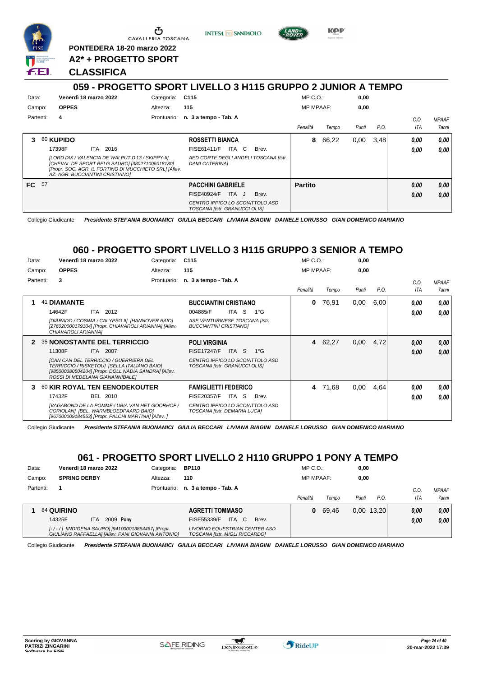

Ⴇ CAVALLERIA TOSCANA

**PONTEDERA 18-20 marzo 2022**



**0,00**

**KPP** 

| Campo: |           | <b>OPPES</b>        |                                                                                                                                                      | Altezza:                                               | 115                                                                                                                         |       | <b>MP MPAAF:</b> |       | 0,00  |      |              |                      |
|--------|-----------|---------------------|------------------------------------------------------------------------------------------------------------------------------------------------------|--------------------------------------------------------|-----------------------------------------------------------------------------------------------------------------------------|-------|------------------|-------|-------|------|--------------|----------------------|
|        | Partenti: | 4                   |                                                                                                                                                      |                                                        | Prontuario: n. 3 a tempo - Tab. A                                                                                           |       | Penalità         | Tempo | Punti | P.O. | C.O.<br>ITA  | <b>MPAAF</b><br>7ann |
| 3      |           | 80 KUPIDO<br>17398F | 2016<br>ITA<br>[LORD DIX / VALENCIA DE WALPUT D'13 / SKIPPY-II]<br>[CHEVAL DE SPORT BELG SAURO] [380271006018130]<br>AZ. AGR. BUCCIANTINI CRISTIANO] | [Propr. SOC. AGR. IL FORTINO DI MUCCHIETO SRL] [Allev. | <b>ROSSETTI BIANCA</b><br>ITA C<br><b>FISE61411/F</b><br>AED CORTE DEGLI ANGELI TOSCANA [Istr.<br><b>DAMI CATERINAI</b>     | Brev. | 8                | 66,22 | 0.00  | 3.48 | 0,00<br>0.00 | 0.00<br>0.00         |
| FC 57  |           |                     |                                                                                                                                                      |                                                        | <b>PACCHINI GABRIELE</b><br><b>FISE40924/F</b><br>ITA J<br>CENTRO IPPICO LO SCOIATTOLO ASD<br>TOSCANA [Istr. GRANUCCI OLIS] | Brev. | <b>Partito</b>   |       |       |      | 0,00<br>0,00 | 0.00<br>0.00         |

**INTESA M** SANPAOLO

Collegio Giudicante *Presidente STEFANIA BUONAMICI GIULIA BECCARI LIVIANA BIAGINI DANIELE LORUSSO GIAN DOMENICO MARIANO*

#### **060 - PROGETTO SPORT LIVELLO 3 H115 GRUPPO 3 SENIOR A TEMPO**

| Data:  |           |                     | Venerdì 18 marzo 2022                                                                                                                                                                   | Categoria:  | C <sub>115</sub>                                                 |           |              | $MP C. O.$ :     |         | 0,00  |      |            |              |
|--------|-----------|---------------------|-----------------------------------------------------------------------------------------------------------------------------------------------------------------------------------------|-------------|------------------------------------------------------------------|-----------|--------------|------------------|---------|-------|------|------------|--------------|
| Campo: |           | <b>OPPES</b>        |                                                                                                                                                                                         | Altezza:    | 115                                                              |           |              | <b>MP MPAAF:</b> |         | 0,00  |      |            |              |
|        | Partenti: | 3                   |                                                                                                                                                                                         | Prontuario: | n. 3 a tempo - Tab. A                                            |           |              |                  |         |       |      | C.O.       | <b>MPAAF</b> |
|        |           |                     |                                                                                                                                                                                         |             |                                                                  |           |              | Penalità         | Tempo   | Punti | P.O. | <b>ITA</b> | 7anni        |
|        | 41        | <b>DIAMANTE</b>     |                                                                                                                                                                                         |             | <b>BUCCIANTINI CRISTIANO</b>                                     |           |              | 0                | 76,91   | 0,00  | 6.00 | 0,00       | 0,00         |
|        |           | 14642F              | ITA 2012                                                                                                                                                                                |             | 004885/F                                                         | ITA S     | $1^{\circ}G$ |                  |         |       |      | 0.00       | 0.00         |
|        |           | CHIAVAROLI ARIANNAI | [DIARADO / COSIMA / CALYPSO II] [HANNOVER BAIO]<br>[276020000179104] [Propr. CHIAVAROLI ARIANNA] [Allev.                                                                                |             | ASE VENTURINESE TOSCANA [Istr.<br><b>BUCCIANTINI CRISTIANOI</b>  |           |              |                  |         |       |      |            |              |
| 2      |           |                     | <b>35 NONOSTANTE DEL TERRICCIO</b>                                                                                                                                                      |             | <b>POLI VIRGINIA</b>                                             |           |              |                  | 4 62,27 | 0,00  | 4,72 | 0,00       | 0,00         |
|        |           | 11308F              | <b>ITA 2007</b>                                                                                                                                                                         |             | <b>FISE17247/F</b>                                               | ITA S     | $1^{\circ}G$ |                  |         |       |      | 0.00       | 0,00         |
|        |           |                     | <b>ICAN CAN DEL TERRICCIO / GUERRIERA DEL</b><br>TERRICCIO / RISKETOU] [SELLA ITALIANO BAIO]<br>[985000380504204] [Propr. DOLL NADIA SANDRA] [Allev.<br>ROSSI DI MEDELANA GIANANNIBALE] |             | CENTRO IPPICO LO SCOIATTOLO ASD<br>TOSCANA [Istr. GRANUCCI OLIS] |           |              |                  |         |       |      |            |              |
| з.     |           |                     | 60 KIR ROYAL TEN EENODEKOUTER                                                                                                                                                           |             | <b>FAMIGLIETTI FEDERICO</b>                                      |           |              |                  | 4 71,68 | 0.00  | 4,64 | 0.00       | 0,00         |
|        |           | 17432F              | BEL 2010                                                                                                                                                                                |             | FISE20357/F                                                      | `S<br>ITA | Brev.        |                  |         |       |      | 0.00       | 0.00         |
|        |           |                     | [VAGABOND DE LA POMME / UBIA VAN HET GOORHOF /<br>CORIOLAN] [BEL. WARMBLOEDPAARD BAIO]<br>[967000009184553] [Propr. FALCHI MARTINA] [Allev. ]                                           |             | CENTRO IPPICO LO SCOIATTOLO ASD<br>TOSCANA [Istr. DEMARIA LUCA]  |           |              |                  |         |       |      |            |              |

Collegio Giudicante *Presidente STEFANIA BUONAMICI GIULIA BECCARI LIVIANA BIAGINI DANIELE LORUSSO GIAN DOMENICO MARIANO*

#### **061 - PROGETTO SPORT LIVELLO 2 H110 GRUPPO 1 PONY A TEMPO**

| Data:     | Venerdì 18 marzo 2022                                                                                   | Categoria: | <b>BP110</b>                                                    | $MP C. O.$ :      | 0,00  |              |                   |                       |
|-----------|---------------------------------------------------------------------------------------------------------|------------|-----------------------------------------------------------------|-------------------|-------|--------------|-------------------|-----------------------|
| Campo:    | <b>SPRING DERBY</b>                                                                                     | Altezza:   | 110                                                             | <b>MP MPAAF:</b>  | 0.00  |              |                   |                       |
| Partenti: |                                                                                                         |            | Prontuario: n. 3 a tempo - Tab. A                               | Penalità<br>Tempo | Punti | P.O.         | C.O<br><b>ITA</b> | <b>MPAAF</b><br>7anni |
|           |                                                                                                         |            |                                                                 |                   |       |              |                   |                       |
|           | <b>84 QUIRINO</b>                                                                                       |            | <b>AGRETTI TOMMASO</b>                                          | 69.46<br>0        |       | $0,00$ 13,20 | 0,00              | 0.00                  |
|           | 2009 <b>Pony</b><br>14325F<br>ITA.                                                                      |            | <b>ITA</b><br>FISE55339/F<br>- C<br>Brev.                       |                   |       |              | 0.00              | 0,00                  |
|           | [-/-/] [INDIGENA SAURO] [941000013864467] [Propr.<br>GIULIANO RAFFAELLA] [Allev. PANI GIOVANNI ANTONIO] |            | LIVORNO EQUESTRIAN CENTER ASD<br>TOSCANA [Istr. MIGLI RICCARDO] |                   |       |              |                   |                       |

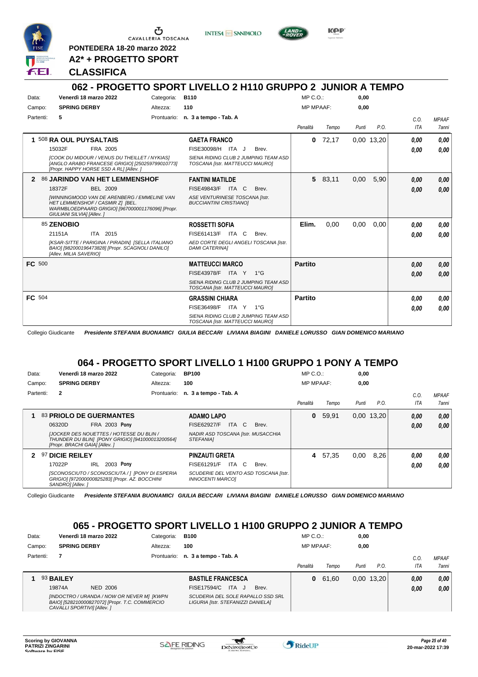

G CAVALLERIA TOSCANA

**PONTEDERA 18-20 marzo 2022 A2\* + PROGETTO SPORT** **INTESA** M SANPAOLO



KOP

#### **CLASSIFICA**

#### **062 - PROGETTO SPORT LIVELLO 2 H110 GRUPPO 2 JUNIOR A TEMPO** Data: Venerdì 18 marzo 2022 Gategoria: B110 Prontuario: **n. 3 a tempo - Tab. A** Campo: **SPRING DERBY** Partenti: **5** Altezza: **110** MP C.O.: MP MPAAF: **0,00 0,00** *Penalità Tempo Punti P.O. C.O. ITA MPAAF 7anni* **1** 508 **RA OUL PUYSALTAIS** FRA 2005 **GAETA FRANCO** *[COOK DU MIDOUR / VENUS DU THEILLET / NYKIAS] [ANGLO ARABO FRANCESE GRIGIO] [250259799010773] [Propr. HAPPY HORSE SSD A RL] [Allev. ] SIENA RIDING CLUB 2 JUMPING TEAM ASD TOSCANA [Istr. MATTEUCCI MAURO]* ITA J Brev. 15032F FISE30098/H *0,00* **0** 72,17 0,00 13,20 *0,00 0,00 0,00* **2** 86 **JARINDO VAN HET LEMMENSHOF** BEL 2009 **FANTINI MATILDE** *[WINNINGMOOD VAN DE ARENBERG / EMMELINE VAN HET LEMMENSHOF / CASMIR Z] [BEL. WARMBLOEDPAARD GRIGIO] [967000001176096] [Propr. GIULIANI SILVIA] [Allev. ] ASE VENTURINESE TOSCANA [Istr. BUCCIANTINI CRISTIANO]* 18372F BEL 2009 FISE49843/F ITA C Brev. **0,00 0,00 5** 83,11 0,00 5,90 *0,00 0,00 0,00* 85 **ZENOBIO** ITA 2015 **ROSSETTI SOFIA** *[KSAR-SITTE / PARIGINA / PIRADIN] [SELLA ITALIANO BAIO] [982000196473828] [Propr. SCAGNOLI DANILO] [Allev. MILIA SAVERIO] AED CORTE DEGLI ANGELI TOSCANA [Istr. DAMI CATERINA]* 21151A ITA 2015 FISE61413/F ITA C Brev. **0,00 0,00 Elim.** 0,00 0,00 0,00 *0,00 0,00 0,00* **FC** 500 **MATTEUCCI MARCO** *SIENA RIDING CLUB 2 JUMPING TEAM ASD TOSCANA [Istr. MATTEUCCI MAURO]* ITA Y 1°G FISE43978/F *0,00* **Partito** *0,00 0,00 0,00* **FC** 504 **GRASSINI CHIARA** *SIENA RIDING CLUB 2 JUMPING TEAM ASD TOSCANA [Istr. MATTEUCCI MAURO]* ITA Y 1°G FISE36498/F *0,00* **Partito** *0,00 0,00 0,00*

Collegio Giudicante *Presidente STEFANIA BUONAMICI GIULIA BECCARI LIVIANA BIAGINI DANIELE LORUSSO GIAN DOMENICO MARIANO*

#### **064 - PROGETTO SPORT LIVELLO 1 H100 GRUPPO 1 PONY A TEMPO**

| Data:     |                                | Venerdì 18 marzo 2022                                                                               | Categoria:  | <b>BP100</b>                                                     | $MP C. O.$ :     |       | 0,00  |              |      |              |
|-----------|--------------------------------|-----------------------------------------------------------------------------------------------------|-------------|------------------------------------------------------------------|------------------|-------|-------|--------------|------|--------------|
| Campo:    | <b>SPRING DERBY</b>            |                                                                                                     | Altezza:    | 100                                                              | <b>MP MPAAF:</b> |       | 0.00  |              |      |              |
| Partenti: | $\mathbf{2}$                   |                                                                                                     | Prontuario: | n. 3 a tempo - Tab. A                                            |                  |       |       |              | C.0  | <b>MPAAF</b> |
|           |                                |                                                                                                     |             |                                                                  | Penalità         | Tempo | Punti | P.O.         | ITA  | <b>7anni</b> |
|           |                                | <b>83 PRIOLO DE GUERMANTES</b>                                                                      |             | <b>ADAMO LAPO</b>                                                | 0                | 59.91 |       | $0,00$ 13,20 | 0,00 | 0.00         |
|           | 06320D                         | <b>FRA 2003 Pony</b>                                                                                |             | ITA C<br><b>FISE62927/F</b><br>Brev.                             |                  |       |       |              | 0.00 | 0.00         |
|           | [Propr. BRACHI GAIA] [Allev. ] | <b>JJOCKER DES NOUETTES / HOTESSE DU BLIN /</b><br>THUNDER DU BLIN] [PONY GRIGIO] [941000013200564] |             | NADIR ASD TOSCANA [Istr. MUSACCHIA<br><i><b>STEFANIAI</b></i>    |                  |       |       |              |      |              |
|           | 97 DICIE REILEY                |                                                                                                     |             | <b>PINZAUTI GRETA</b>                                            | 4                | 57.35 | 0,00  | 8.26         | 0.00 | 0.00         |
|           | 17022P                         | 2003 Pony<br><b>IRL</b>                                                                             |             | FISE61291/F<br>ITA C<br>Brev.                                    |                  |       |       |              | 0.00 | 0.00         |
|           | SANDRO] [Allev.]               | [SCONOSCIUTO / SCONOSCIUTA / ] [PONY DI ESPERIA<br>GRIGIO] [972000000825283] [Propr. AZ. BOCCHINI   |             | SCUDERIE DEL VENTO ASD TOSCANA [Istr.<br><b>INNOCENTI MARCOI</b> |                  |       |       |              |      |              |

Collegio Giudicante *Presidente STEFANIA BUONAMICI GIULIA BECCARI LIVIANA BIAGINI DANIELE LORUSSO GIAN DOMENICO MARIANO*

### **065 - PROGETTO SPORT LIVELLO 1 H100 GRUPPO 2 JUNIOR A TEMPO**

| Data:     | Venerdì 18 marzo 2022 | Categoria: | <b>B100</b>                                | $MP C. O.$ :     |       | 0,00  |               |      |              |
|-----------|-----------------------|------------|--------------------------------------------|------------------|-------|-------|---------------|------|--------------|
| Campo:    | <b>SPRING DERBY</b>   | Altezza:   | 100                                        | <b>MP MPAAF:</b> |       | 0,00  |               |      |              |
| Partenti: |                       |            | Prontuario: n. 3 a tempo - Tab. A          |                  |       |       |               | C.O  | <b>MPAAF</b> |
|           |                       |            |                                            | Penalità         | Tempo | Punti | $P_{\cdot}$ O | ITA  | <b>7anni</b> |
|           | 93 BAILEY             |            | <b>BASTILE FRANCESCA</b>                   | 0                | 61.60 |       | $0,00$ 13,20  | 0.00 | 0.00         |
|           |                       |            |                                            |                  |       |       |               |      |              |
|           | 19874A<br>NED 2006    |            | <b>FISE17594/C</b><br>ITA.<br>Brev.<br>. J |                  |       |       |               | 0.00 | 0,00         |

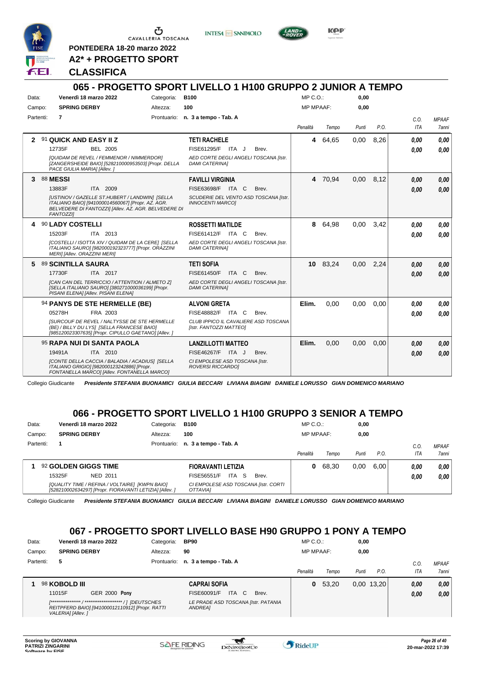

G CAVALLERIA TOSCANA

**PONTEDERA 18-20 marzo 2022 A2\* + PROGETTO SPORT** **INTESA** m SANPAOLO



KOP

#### **CLASSIFICA**

#### **065 - PROGETTO SPORT LIVELLO 1 H100 GRUPPO 2 JUNIOR A TEMPO** Data: Venerdì 18 marzo 2022 Gategoria: B100 Prontuario: **n. 3 a tempo - Tab. A** Campo: **SPRING DERBY** Partenti: **7** Altezza: **100**  $MP \cap \bigcap$ MP MPAAF: **0,00 0,00** *Penalità Tempo Punti P.O. C.O. ITA MPAAF 7anni* **2** 91 **QUICK AND EASY II Z** BEL 2005 **TETI RACHELE** *[QUIDAM DE REVEL / FEMMENOR / NIMMERDOR] [ZANGERSHEIDE BAIO] [528210000953503] [Propr. DELLA PACE GIULIA MARIA] [Allev. ] AED CORTE DEGLI ANGELI TOSCANA [Istr. DAMI CATERINA]* 12735F BEL 2005 FISE61295/F ITA J Brev. <mark>0,00 0,00</mark> **4** 64,65 0,00 8,26 *0,00 0,00 0,00* **3** 88 **MESSI** ITA 2009 **FAVILLI VIRGINIA** *[USTINOV / GAZELLE ST.HUBERT / LANDWIN] [SELLA ITALIANO BAIO] [941000014560067] [Propr. AZ. AGR. BELVEDERE DI FANTOZZI] [Allev. AZ. AGR. BELVEDERE DI FANTOZZI] SCUDERIE DEL VENTO ASD TOSCANA [Istr. INNOCENTI MARCO]* 13883F ITA 2009 FISE63698/F ITA C Brev. **0,00 0,00 4** 70,94 0,00 8,12 *0,00 0,00 0,00* **4** 90 **LADY COSTELLI** ITA 2013 **ROSSETTI MATILDE** *[COSTELLI / ISOTTA XIV / QUIDAM DE LA CERE] [SELLA ITALIANO SAURO] [982000192323777] [Propr. ORAZZINI MERI] [Allev. ORAZZINI MERI] AED CORTE DEGLI ANGELI TOSCANA [Istr. DAMI CATERINA]* 15203F ITA 2013 FISE61412/F ITA C Brev. **0,00 0,00 8** 64,98 0,00 3,42 *0,00 0,00 0,00* **5** 89 **SCINTILLA SAURA** ITA 2017 **TETI SOFIA** *[CAN CAN DEL TERRICCIO / ATTENTION / ALMETO Z] [SELLA ITALIANO SAURO] [380271000036199] [Propr. PISANI ELENA] [Allev. PISANI ELENA] AED CORTE DEGLI ANGELI TOSCANA [Istr. DAMI CATERINA]* 17730F ITA 2017 FISE61450/F ITA C Brev. **0,00 0,00 10** 83,24 0,00 2,24 *0,00 0,00 0,00* 94 **PANYS DE STE HERMELLE (BE)** FRA 2003 **ALVONI GRETA** *[SURCOUF DE REVEL / NALTYSSE DE STE HERMELLE (BE) / BILLY DU LYS] [SELLA FRANCESE BAIO] [985120023307635] [Propr. CIPULLO GAETANO] [Allev. ] CLUB IPPICO IL CAVALIERE ASD TOSCANA [Istr. FANTOZZI MATTEO]* ITA C Brev. 05278H FISE48882/F *0,00* **Elim.** 0,00 0,00 0,00 *0,00 0,00 0,00* 95 **RAPA NUI DI SANTA PAOLA** ITA 2010 **LANZILLOTTI MATTEO** *[CONTE DELLA CACCIA / BALADIA / ACADIUS] [SELLA ITALIANO GRIGIO] [982000123242886] [Propr. FONTANELLA MARCO] [Allev. FONTANELLA MARCO] CI EMPOLESE ASD TOSCANA [Istr. ROVERSI RICCARDO]* ITA J Brev. 19491A FISE46267/F *0,00* **Elim.** 0,00 0,00 0,00 *0,00 0,00 0,00*

Collegio Giudicante *Presidente STEFANIA BUONAMICI GIULIA BECCARI LIVIANA BIAGINI DANIELE LORUSSO GIAN DOMENICO MARIANO*

#### **066 - PROGETTO SPORT LIVELLO 1 H100 GRUPPO 3 SENIOR A TEMPO**

| Data:     | Venerdì 18 marzo 2022                                                                                     | Categoria:  | <b>B100</b>                                             | $MP C. O.$ :     |       | 0,00  |      |      |              |
|-----------|-----------------------------------------------------------------------------------------------------------|-------------|---------------------------------------------------------|------------------|-------|-------|------|------|--------------|
| Campo:    | <b>SPRING DERBY</b>                                                                                       | Altezza:    | 100                                                     | <b>MP MPAAF:</b> |       | 0.00  |      |      |              |
| Partenti: |                                                                                                           | Prontuario: | n. 3 a tempo - Tab. A                                   |                  |       |       |      | C.O  | <b>MPAAF</b> |
|           |                                                                                                           |             |                                                         | Penalità         | Tempo | Punti | P.O. | ITA  | 7anni        |
|           | 92 GOLDEN GIGGS TIME                                                                                      |             | FIORAVANTI LETIZIA                                      | 0                | 68.30 | 0,00  | 6.00 | 0.00 | 0.00         |
|           | 15325F<br>NED 2011                                                                                        |             | ITA<br>FISE56551/F<br>- S<br>Brev.                      |                  |       |       |      | 0,00 | 0.00         |
|           | [QUALITY TIME / REFINA / VOLTAIRE] [KWPN BAIO]<br>[528210002634297] [Propr. FIORAVANTI LETIZIA] [Allev. ] |             | CI EMPOLESE ASD TOSCANA [Istr. CORTI<br><b>OTTAVIAI</b> |                  |       |       |      |      |              |

Collegio Giudicante *Presidente STEFANIA BUONAMICI GIULIA BECCARI LIVIANA BIAGINI DANIELE LORUSSO GIAN DOMENICO MARIANO*

#### **067 - PROGETTO SPORT LIVELLO BASE H90 GRUPPO 1 PONY A TEMPO**

| Data:     | Venerdì 18 marzo 2022                                                 | Categoria: | <b>BP90</b>                                    | $MP C. O.$ :     |       | 0,00  |              |         |              |
|-----------|-----------------------------------------------------------------------|------------|------------------------------------------------|------------------|-------|-------|--------------|---------|--------------|
| Campo:    | <b>SPRING DERBY</b>                                                   | Altezza:   | 90                                             | <b>MP MPAAF:</b> |       | 0,00  |              |         |              |
| Partenti: | 5                                                                     |            | Prontuario: n. 3 a tempo - Tab. A              |                  |       |       |              | $C_{0}$ | <b>MPAAF</b> |
|           |                                                                       |            |                                                | Penalità         | Tempo | Punti | P.O.         | ITA     | <b>7anni</b> |
|           | 98 KOBOLD III                                                         |            | <b>CAPRAI SOFIA</b>                            | 0                | 53.20 |       | $0.00$ 13,20 | 0,00    | 0,00         |
|           | <b>GER 2000 Pony</b><br>11015F                                        |            | ITA C<br>FISE60091/F<br>Brev.                  |                  |       |       |              | 0,00    | 0,00         |
|           | REITPFERD BAIO] [941000012110912] [Propr. RATTI<br>VALERIA] [Allev. ] |            | LE PRADE ASD TOSCANA [Istr. PATANIA<br>ANDREA] |                  |       |       |              |         |              |

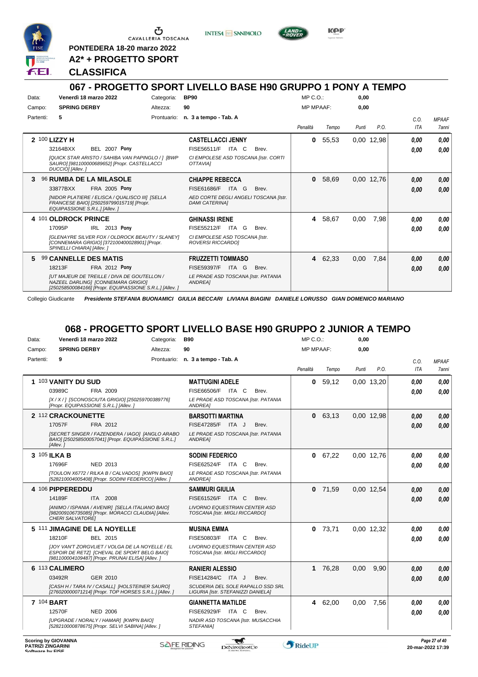

**PONTEDERA 18-20 marzo 2022 A2\* + PROGETTO SPORT**

**CLASSIFICA**

# **067 - PROGETTO SPORT LIVELLO BASE H90 GRUPPO 1 PONY A TEMPO**

**INTESA** M SANPAOLO

| Data:     | Venerdì 18 marzo 2022                                                                                                                                                                                          | Categoria:  | <b>BP90</b>                                                                                                                          | MP C. O.         |       | 0,00  |            |                    |                        |
|-----------|----------------------------------------------------------------------------------------------------------------------------------------------------------------------------------------------------------------|-------------|--------------------------------------------------------------------------------------------------------------------------------------|------------------|-------|-------|------------|--------------------|------------------------|
| Campo:    | <b>SPRING DERBY</b>                                                                                                                                                                                            | Altezza:    | 90                                                                                                                                   | <b>MP MPAAF:</b> |       | 0,00  |            |                    |                        |
| Partenti: | 5                                                                                                                                                                                                              | Prontuario: | n. 3 a tempo - Tab. A                                                                                                                | Penalità         | Tempo | Punti | P.O.       | C.0.<br><b>ITA</b> | <b>MPAAF</b><br>7 anni |
|           | 2 100 LIZZY H<br><b>BEL 2007 Pony</b><br>32164BXX<br>[QUICK STAR ARISTO / SAHIBA VAN PAPINGLO / ] [BWP<br>SAURO] [981100000689652] [Propr. CASTELLACCI<br>DUCCIO] [Allev.]                                     |             | <b>CASTELLACCI JENNY</b><br>FISE56511/F<br>ITA<br><sup>-</sup> C<br>Brev.<br>CI EMPOLESE ASD TOSCANA [Istr. CORTI<br><b>OTTAVIAI</b> | 0                | 55,53 |       | 0.00 12,98 | 0.00<br>0.00       | 0,00<br>0.00           |
| 3         | <b>96 RUMBA DE LA MILASOLE</b><br><b>FRA 2005 Pony</b><br>33877BXX<br>[NIDOR PLATIERE / ELISCA / QUALISCO III] [SELLA<br>FRANCESE BAIO] [250259799015719] [Propr.<br>EQUIPASSIONE S.R.L.] [Allev.]             |             | <b>CHIAPPE REBECCA</b><br><b>FISE61686/F</b><br>ITA G<br>Brev.<br>AED CORTE DEGLI ANGELI TOSCANA [Istr.<br><b>DAMI CATERINAI</b>     | 0                | 58,69 |       | 0.00 12,76 | 0,00<br>0.00       | 0,00<br>0.00           |
|           | 4 101 OLDROCK PRINCE<br>IRL 2013 Pony<br>17095P<br>[GLENAYRE SILVER FOX / OLDROCK BEAUTY / SLANEY]<br>[CONNEMARA GRIGIO] [372100400028901] [Propr.<br>SPINELLI CHIARA] [Allev.]                                |             | <b>GHINASSI IRENE</b><br>FISE55212/F<br>ITA<br>G<br>Brev.<br>CI EMPOLESE ASD TOSCANA [Istr.<br><b>ROVERSI RICCARDOI</b>              | 4                | 58,67 | 0.00  | 7,98       | 0.00<br>0.00       | 0,00<br>0.00           |
| 5         | 99 CANNELLE DES MATIS<br>18213F<br><b>FRA 2012 Pony</b><br><b>IUT MAJEUR DE TREILLE / DIVA DE GOUTELLON /</b><br>NAZEEL DARLING1 [CONNEMARA GRIGIO]<br>[250258500084166] [Propr. EQUIPASSIONE S.R.L.] [Allev.] |             | <b>FRUZZETTI TOMMASO</b><br>FISE59397/F<br>ITA G<br>Brev.<br>LE PRADE ASD TOSCANA [Istr. PATANIA<br>ANDREA]                          | 4                | 62,33 | 0,00  | 7,84       | 0,00<br>0.00       | 0,00<br>0,00           |

Collegio Giudicante *Presidente STEFANIA BUONAMICI GIULIA BECCARI LIVIANA BIAGINI DANIELE LORUSSO GIAN DOMENICO MARIANO*

#### **068 - PROGETTO SPORT LIVELLO BASE H90 GRUPPO 2 JUNIOR A TEMPO**

| Data:                                        |                            | Venerdì 18 marzo 2022                                                                                                                               | Categoria: | <b>B90</b>                                                              | $MP C. O.$ :     |           | 0,00  |            |                    |                                    |
|----------------------------------------------|----------------------------|-----------------------------------------------------------------------------------------------------------------------------------------------------|------------|-------------------------------------------------------------------------|------------------|-----------|-------|------------|--------------------|------------------------------------|
| Campo:                                       | <b>SPRING DERBY</b>        |                                                                                                                                                     | Altezza:   | 90                                                                      | <b>MP MPAAF:</b> |           | 0,00  |            |                    |                                    |
| Partenti:                                    | 9                          |                                                                                                                                                     |            | Prontuario: n. 3 a tempo - Tab. A                                       | Penalità         | Tempo     | Punti | P.O.       | C.O.<br><b>ITA</b> | <b>MPAAF</b><br>7anni              |
|                                              | 1 103 VANITY DU SUD        |                                                                                                                                                     |            | <b>MATTUGINI ADELE</b>                                                  | 0                | 59,12     |       | 0.00 13,20 | 0.00               | 0.00                               |
|                                              | 03989C                     | FRA 2009                                                                                                                                            |            | FISE66506/F ITA C<br>Brev.                                              |                  |           |       |            | 0.00               | 0.00                               |
|                                              |                            | [X / X / 1 [SCONOSCIUTA GRIGIO] [250259700389776]<br>[Propr. EQUIPASSIONE S.R.L.] [Allev.]                                                          |            | LE PRADE ASD TOSCANA [Istr. PATANIA<br>ANDREA]                          |                  |           |       |            |                    |                                    |
|                                              | 2 112 CRACKOUNETTE         |                                                                                                                                                     |            | <b>BARSOTTI MARTINA</b>                                                 |                  | 0, 63.13  |       | 0.00 12.98 | 0.00               | 0,00                               |
|                                              | 17057F                     | FRA 2012                                                                                                                                            |            | FISE47285/F ITA J<br>Brev.                                              |                  |           |       |            | 0.00               | 0.00                               |
|                                              | [Allev.]                   | [SECRET SINGER / FAZENDERA / IAGO] [ANGLO ARABO<br>BAIO] [250258500057041] [Propr. EQUIPASSIONE S.R.L.]                                             |            | LE PRADE ASD TOSCANA [Istr. PATANIA<br>ANDREA]                          |                  |           |       |            |                    |                                    |
|                                              | 3 105 ILKA B               |                                                                                                                                                     |            | <b>SODINI FEDERICO</b>                                                  |                  | 0 67.22   |       | 0.00 12.76 | 0.00               | 0.00                               |
|                                              | 17696F                     | NED 2013                                                                                                                                            |            | FISE62524/F ITA C<br>Brev.                                              |                  |           |       |            | 0.00               | 0.00                               |
|                                              |                            | [TOULON X6772 / RILKA B / CALVADOS] [KWPN BAIO]<br>[528210004005408] [Propr. SODINI FEDERICO] [Allev. ]                                             |            | LE PRADE ASD TOSCANA [Istr. PATANIA<br>ANDREA]                          |                  |           |       |            |                    |                                    |
|                                              | 4 106 PIPPEREDDU           |                                                                                                                                                     |            | <b>SAMMURI GIULIA</b>                                                   | 0                | 71,59     |       | 0.00 12,54 | 0.00               | 0,00                               |
|                                              | 14189F                     | ITA 2008                                                                                                                                            |            | FISE61526/F ITA C<br>Brev.                                              |                  |           |       |            | 0.00               | 0.00                               |
|                                              | CHERI SALVATORE]           | [ANIMO / ISPANIA / AVENIR] [SELLA ITALIANO BAIO]<br>[982009106735085] [Propr. MORACCI CLAUDIA] [Allev.                                              |            | <b>LIVORNO EQUESTRIAN CENTER ASD</b><br>TOSCANA [Istr. MIGLI RICCARDO]  |                  |           |       |            |                    |                                    |
|                                              |                            | 5 111 JIMAGINE DE LA NOYELLE                                                                                                                        |            | <b>MUSINA EMMA</b>                                                      |                  | $0$ 73,71 |       | 0.00 12.32 | 0.00               | 0.00                               |
|                                              | 18210F                     | BEL 2015                                                                                                                                            |            | FISE50803/F<br>ITA C<br>Brev.                                           |                  |           |       |            | 0.00               | 0.00                               |
|                                              |                            | JJOY VAN'T ZORGVLIET / VOLGA DE LA NOYELLE / EL<br>ESPOIR DE RETZI [CHEVAL DE SPORT BELG BAIO]<br>[981100004109487] [Propr. PRUNAI ELISA] [Allev. ] |            | <b>LIVORNO EQUESTRIAN CENTER ASD</b><br>TOSCANA [Istr. MIGLI RICCARDO]  |                  |           |       |            |                    |                                    |
|                                              | 6 113 CALIMERO             |                                                                                                                                                     |            | <b>RANIERI ALESSIO</b>                                                  |                  | 1 76,28   | 0.00  | 9.90       | 0.00               | 0,00                               |
|                                              | 03492R                     | GER 2010                                                                                                                                            |            | FISE14284/C ITA J<br>Brev.                                              |                  |           |       |            | 0.00               | 0.00                               |
|                                              |                            | [CASH H / TARA IV / CASALL] [HOLSTEINER SAURO]<br>[276020000071214] [Propr. TOP HORSES S.R.L.] [Allev. ]                                            |            | SCUDERIA DEL SOLE RAPALLO SSD SRL<br>LIGURIA [Istr. STEFANIZZI DANIELA] |                  |           |       |            |                    |                                    |
|                                              | 7 104 BART                 |                                                                                                                                                     |            | <b>GIANNETTA MATILDE</b>                                                | 4                | 62,00     | 0,00  | 7,56       | 0.00               | 0,00                               |
|                                              | 12570F                     | <b>NED 2006</b>                                                                                                                                     |            | FISE62929/F ITA C<br>Brev.                                              |                  |           |       |            | 0.00               | 0.00                               |
|                                              |                            | [UPGRADE / NORALY / HAMAR] [KWPN BAIO]<br>[528210000878675] [Propr. SELVI SABINA] [Allev. ]                                                         |            | NADIR ASD TOSCANA [Istr. MUSACCHIA<br>STEFANIA1                         |                  |           |       |            |                    |                                    |
| <b>PATRIZI ZINGARINI</b><br>Coffware by EICE | <b>Scoring by GIOVANNA</b> |                                                                                                                                                     |            | <b>SAFE RIDING</b><br>DeNiroBootCo                                      | <b>RideUP</b>    |           |       |            |                    | Page 27 of 40<br>20-mar-2022 17:39 |



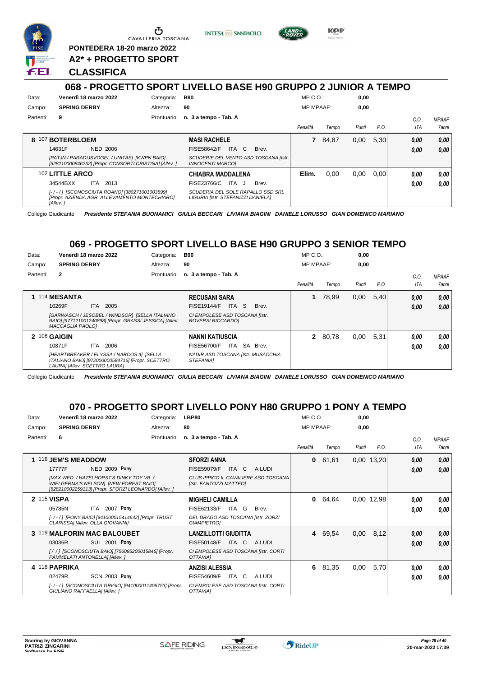

Ⴇ CAVALLERIA TOSCANA

**PONTEDERA 18-20 marzo 2022 A2\* + PROGETTO SPORT** **INTESA** M SANPAOLO



KOP

#### **CLASSIFICA**

#### **068 - PROGETTO SPORT LIVELLO BASE H90 GRUPPO 2 JUNIOR A TEMPO** Data: Venerdì 18 marzo 2022 Categoria: B90 Prontuario: **n. 3 a tempo - Tab. A** Campo: **SPRING DERBY** Partenti: **9** Altezza: **90** MP C.O.: MP MPAAF: **0,00 0,00** *Penalità Tempo Punti P.O. C.O. ITA MPAAF 7anni* **8** 107 **BOTERBLOEM** NED 2006 **MASI RACHELE** *[PATJN / PARADIJSVOGEL / UNITAS] [KWPN BAIO] [528210000846252] [Propr. CONSORTI CRISTINA] [Allev. ] SCUDERIE DEL VENTO ASD TOSCANA [Istr. INNOCENTI MARCO]* 14631F NED 2006 FISE58642/F ITA C Brev. *0,00 0,00* **7** 84,87 0,00 5,30 *0,00 0,00 0,00* 102 **LITTLE ARCO** ITA 2013 **CHIABRA MADDALENA** *[- / - / ] [SCONOSCIUTA ROANO] [380271001003599] [Propr. AZIENDA AGR. ALLEVAMENTO MONTECHIARO] [Allev. ] SCUDERIA DEL SOLE RAPALLO SSD SRL LIGURIA [Istr. STEFANIZZI DANIELA]* 34544BXX ITA 2013 FISE23766/C ITA J Brev. **0,00 0,00 Elim.** 0,00 0,00 0,00 *0,00 0,00 0,00*

Collegio Giudicante *Presidente STEFANIA BUONAMICI GIULIA BECCARI LIVIANA BIAGINI DANIELE LORUSSO GIAN DOMENICO MARIANO*

#### **069 - PROGETTO SPORT LIVELLO BASE H90 GRUPPO 3 SENIOR TEMPO**

| Data:     | Venerdì 18 marzo 2022         |                                                                                                           | Categoria:  | <b>B90</b>                                                 | $MP C. O.$ :     |         | 0,00  |      |            |              |
|-----------|-------------------------------|-----------------------------------------------------------------------------------------------------------|-------------|------------------------------------------------------------|------------------|---------|-------|------|------------|--------------|
| Campo:    | <b>SPRING DERBY</b>           |                                                                                                           | Altezza:    | 90                                                         | <b>MP MPAAF:</b> |         | 0.00  |      |            |              |
| Partenti: | $\mathbf{2}$                  |                                                                                                           | Prontuario: | n. 3 a tempo - Tab. A                                      |                  |         |       |      | C.0        | <b>MPAAF</b> |
|           |                               |                                                                                                           |             |                                                            | Penalità         | Tempo   | Punti | P.O. | <b>ITA</b> | 7anni        |
|           | 114 MESANTA                   |                                                                                                           |             | <b>RECUSANI SARA</b>                                       |                  | 78.99   | 0,00  | 5,40 | 0.00       | 0.00         |
|           | 10269F                        | ITA 2005                                                                                                  |             | <b>FISE19144/F</b><br>ITA S<br>Brev.                       |                  |         |       |      | 0.00       | 0.00         |
|           | MACCAGLIA PAOLO1              | [GARWASCH / JESOBEL / WINDSOR] [SELLA ITALIANO<br>BAIO] [977121001240898] [Propr. GRASSI JESSICA] [Allev. |             | CI EMPOLESE ASD TOSCANA [Istr.<br><b>ROVERSI RICCARDOI</b> |                  |         |       |      |            |              |
|           | $2\,108$ GAIGIN               |                                                                                                           |             | <b>NANNI KATIUSCIA</b>                                     |                  | 2 80,78 | 0,00  | 5.31 | 0.00       | 0.00         |
|           | 10871F                        | ITA 2006                                                                                                  |             | ITA SA<br><b>FISE56700/F</b><br>Brev.                      |                  |         |       |      | 0.00       | 0.00         |
|           | LAURA] [Allev. SCETTRO LAURA] | [HEARTBREAKER / ELYSSA / NARCOS II] [SELLA<br>ITALIANO BAIO] [972000000584716] [Propr. SCETTRO            |             | NADIR ASD TOSCANA [Istr. MUSACCHIA<br>STEFANIA1            |                  |         |       |      |            |              |

Collegio Giudicante *Presidente STEFANIA BUONAMICI GIULIA BECCARI LIVIANA BIAGINI DANIELE LORUSSO GIAN DOMENICO MARIANO*

#### **070 - PROGETTO SPORT LIVELLO PONY H80 GRUPPO 1 PONY A TEMPO**

| Data:     | Venerdì 18 marzo 2022                                                             | Categoria:                                            | LBP80                                                           |        | $MP C. O.$ :     |         | 0,00  |            |      |              |
|-----------|-----------------------------------------------------------------------------------|-------------------------------------------------------|-----------------------------------------------------------------|--------|------------------|---------|-------|------------|------|--------------|
| Campo:    | <b>SPRING DERBY</b>                                                               | Altezza:                                              | 80                                                              |        | <b>MP MPAAF:</b> |         | 0,00  |            |      |              |
| Partenti: | 6                                                                                 | Prontuario:                                           | n. 3 a tempo - Tab. A                                           |        |                  |         |       |            | C.O. | <b>MPAAF</b> |
|           |                                                                                   |                                                       |                                                                 |        | Penalità         | Tempo   | Punti | P.O.       | ITA  | 7anni        |
|           | 116 JEM'S MEADDOW                                                                 |                                                       | <b>SFORZI ANNA</b>                                              |        | 0                | 61,61   |       | 0.00 13,20 | 0.00 | 0,00         |
|           | 17777F                                                                            | NED 2009 Pony                                         | <b>FISE59079/F</b><br>ITA C                                     | A LUDI |                  |         |       |            | 0,00 | 0,00         |
|           | [MAX WED. / HAZELHORST'S DINKY TOY VB. /<br>WIELGERMA'S NELSON] [NEW FOREST BAIO] | [528210002259113] [Propr. SFORZI LEONARDO] [Allev. ]  | CLUB IPPICO IL CAVALIERE ASD TOSCANA<br>[Istr. FANTOZZI MATTEO] |        |                  |         |       |            |      |              |
|           | 2 115 VISPA                                                                       |                                                       | <b>MIGHELI CAMILLA</b>                                          |        | $\bf{0}$         | 64,64   |       | 0.00 12.98 | 0.00 | 0,00         |
|           | 05785N                                                                            | ITA 2007 Pony                                         | FISE62133/F<br>ITA G                                            | Brev.  |                  |         |       |            | 0.00 | 0,00         |
|           | CLARISSA] [Allev. OLLA GIOVANNI]                                                  | [-/-/] [PONY BAIO] [941000015414642] [Propr. TRUST    | DEL DRAGO ASD TOSCANA [Istr. ZORZI<br><b>GIAMPIETROI</b>        |        |                  |         |       |            |      |              |
|           | 3 119 MALFORIN MAC BALOUBET                                                       |                                                       | <b>LANZILLOTTI GIUDITTA</b>                                     |        |                  | 4 69.54 | 0,00  | 8,12       | 0.00 | 0,00         |
|           | 03036R                                                                            | <b>SUI 2001 Pony</b>                                  | <b>FISE50148/F</b><br>ITA C                                     | A LUDI |                  |         |       |            | 0,00 | 0,00         |
|           | PAMMELATI ANTONELLAI [Allev. ]                                                    | [/ /] [SCONOSCIUTA BAIO] [756095200015846] [Propr.    | CI EMPOLESE ASD TOSCANA [Istr. CORTI<br>OTTAVIAI                |        |                  |         |       |            |      |              |
|           | 4 118 PAPRIKA                                                                     |                                                       | <b>ANZISI ALESSIA</b>                                           |        | 6                | 81,35   | 0,00  | 5,70       | 0,00 | 0,00         |
|           | 02479R                                                                            | <b>SCN 2003 Pony</b>                                  | FISE54609/F<br>ITA C                                            | A LUDI |                  |         |       |            | 0,00 | 0,00         |
|           | GIULIANO RAFFAELLAI [Allev.]                                                      | [-/-/] [SCONOSCIUTA GRIGIO] [941000011406753] [Propr. | CI EMPOLESE ASD TOSCANA [Istr. CORTI<br>OTTAVIAI                |        |                  |         |       |            |      |              |

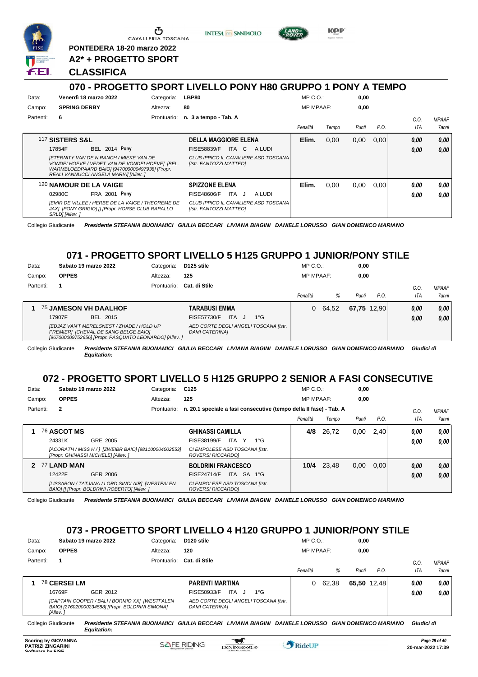

Ⴇ CAVALLERIA TOSCANA

**PONTEDERA 18-20 marzo 2022**

**A2\* + PROGETTO SPORT**

#### **CLASSIFICA**

#### **070 - PROGETTO SPORT LIVELLO PONY H80 GRUPPO 1 PONY A TEMPO**

**INTESA** M SANPAOLO

KOP

| Data:     | Venerdì 18 marzo 2022                                                                                                                                                                       | Categoria:  | LBP80                                                           | $MP C. O.$ :     |       | 0,00  |      |            |       |
|-----------|---------------------------------------------------------------------------------------------------------------------------------------------------------------------------------------------|-------------|-----------------------------------------------------------------|------------------|-------|-------|------|------------|-------|
| Campo:    | <b>SPRING DERBY</b>                                                                                                                                                                         | Altezza:    | 80                                                              | <b>MP MPAAF:</b> |       | 0,00  |      |            |       |
| Partenti: | 6                                                                                                                                                                                           | Prontuario: | n. 3 a tempo - Tab. A                                           |                  |       |       |      | C.0        | MPAAF |
|           |                                                                                                                                                                                             |             |                                                                 | Penalità         | Tempo | Punti | P.O. | <b>ITA</b> | 7anni |
|           | 117 SISTERS S&L                                                                                                                                                                             |             | <b>DELLA MAGGIORE ELENA</b>                                     | Elim.            | 0,00  | 0,00  | 0,00 | 0,00       | 0.00  |
|           | <b>BEL 2014 Pony</b><br>17854F                                                                                                                                                              |             | <b>FISE58839/F</b><br>ITA C<br>A LUDI                           |                  |       |       |      | 0,00       | 0.00  |
|           | <b>IETERNITY VAN DE N.RANCH / MIEKE VAN DE</b><br>VONDELHOEVE / VEDET VAN DE VONDELHOEVE] [BEL.<br>WARMBLOEDPAARD BAIO] [947000000497938] [Propr.<br>REALI VANNUCCI ANGELA MARIAI [Allev. ] |             | CLUB IPPICO IL CAVALIERE ASD TOSCANA<br>[Istr. FANTOZZI MATTEO] |                  |       |       |      |            |       |
|           | 120 NAMOUR DE LA VAIGE                                                                                                                                                                      |             | <b>SPIZZONE ELENA</b>                                           | Elim.            | 0,00  | 0,00  | 0.00 | 0.00       | 0.00  |
|           | 02980C<br><b>FRA 2001 Pony</b>                                                                                                                                                              |             | FISE48606/F<br>ITA J<br>A LUDI                                  |                  |       |       |      | 0.00       | 0.00  |
|           | [EMIR DE VILLEE / HERBE DE LA VAIGE / THEOREME DE<br>JAX] [PONY GRIGIO] [] [Propr. HORSE CLUB RAPALLO<br>SRLD] [Allev.]                                                                     |             | CLUB IPPICO IL CAVALIERE ASD TOSCANA<br>[Istr. FANTOZZI MATTEO] |                  |       |       |      |            |       |

Collegio Giudicante *Presidente STEFANIA BUONAMICI GIULIA BECCARI LIVIANA BIAGINI DANIELE LORUSSO GIAN DOMENICO MARIANO*

#### **071 - PROGETTO SPORT LIVELLO 5 H125 GRUPPO 1 JUNIOR/PONY STILE**

| Data:<br>Campo: | Sabato 19 marzo 2022<br><b>OPPES</b>                                                                                                        | Categoria:<br>Altezza: | D125 stile<br>125                                                 | $MP C. O.$ :<br><b>MP MPAAF:</b> |       | 0,00<br>0.00 |      |              |                       |
|-----------------|---------------------------------------------------------------------------------------------------------------------------------------------|------------------------|-------------------------------------------------------------------|----------------------------------|-------|--------------|------|--------------|-----------------------|
| Partenti:       |                                                                                                                                             | Prontuario:            | Cat. di Stile                                                     | Penalità                         | %     | Punti        | P.O. | C.O<br>ITA   | <b>MPAAF</b><br>7anni |
|                 | <b>75 JAMESON VH DAALHOF</b><br>17907F<br>BEL 2015                                                                                          |                        | <b>TARABUSI EMMA</b><br>FISE57730/F<br>ITA.<br>$1^{\circ}G$<br>J. | 0                                | 64,52 | 67,75 12,90  |      | 0.00<br>0.00 | 0.00<br>0.00          |
|                 | [EDJAZ VAN'T MERELSNEST / ZHADE / HOLD UP<br>PREMIER] [CHEVAL DE SANG BELGE BAIO]<br>[967000009752656] [Propr. PASQUATO LEONARDO] [Allev. ] |                        | AED CORTE DEGLI ANGELI TOSCANA [Istr.<br><b>DAMI CATERINAI</b>    |                                  |       |              |      |              |                       |

Collegio Giudicante *Presidente STEFANIA BUONAMICI GIULIA BECCARI LIVIANA BIAGINI DANIELE LORUSSO GIAN DOMENICO MARIANO Giudici di Equitation:*

#### **072 - PROGETTO SPORT LIVELLO 5 H125 GRUPPO 2 SENIOR A FASI CONSECUTIVE**

| Data:     | Sabato 19 marzo 2022 |                                                                                                 | Categoria:  | C <sub>125</sub>                                                   | MP C. O.         |       | 0,00  |      |            |              |
|-----------|----------------------|-------------------------------------------------------------------------------------------------|-------------|--------------------------------------------------------------------|------------------|-------|-------|------|------------|--------------|
| Campo:    | <b>OPPES</b>         |                                                                                                 | Altezza:    | 125                                                                | <b>MP MPAAF:</b> |       | 0,00  |      |            |              |
| Partenti: | $\mathbf{2}$         |                                                                                                 | Prontuario: | n. 20.1 speciale a fasi consecutive (tempo della II fase) - Tab. A |                  |       |       |      | C.0        | <b>MPAAF</b> |
|           |                      |                                                                                                 |             |                                                                    | Penalità         | Tempo | Punti | P.O. | <b>ITA</b> | <b>7anni</b> |
|           | 76 ASCOT MS          |                                                                                                 |             | <b>GHINASSI CAMILLA</b>                                            | 4/8              | 26,72 | 0.00  | 2.40 | 0.00       | 0.00         |
|           | 24331K               | GRE 2005                                                                                        |             | ITA.<br>$1^{\circ}G$<br>FISE38199/F<br>Y                           |                  |       |       |      | 0.00       | 0.00         |
|           |                      | [ACORATH / MISS H / ] [ZWEIBR BAIO] [981100004002553]<br>[Propr. GHINASSI MICHELE] [Allev. ]    |             | CI EMPOLESE ASD TOSCANA [Istr.<br>ROVERSI RICCARDOI                |                  |       |       |      |            |              |
| 2         | 77 LAND MAN          |                                                                                                 |             | <b>BOLDRINI FRANCESCO</b>                                          | 10/4             | 23,48 | 0,00  | 0.00 | 0,00       | 0.00         |
|           | 12422F               | GER 2006                                                                                        |             | SA 1°G<br>ITA<br><b>FISE24714/F</b>                                |                  |       |       |      | 0.00       | 0.00         |
|           |                      | [LISSABON / TATJANA / LORD SINCLAIR] [WESTFALEN<br>BAIO] [] [Propr. BOLDRINI ROBERTO] [Allev. ] |             | CI EMPOLESE ASD TOSCANA [Istr.<br><b>ROVERSI RICCARDOI</b>         |                  |       |       |      |            |              |

Collegio Giudicante *Presidente STEFANIA BUONAMICI GIULIA BECCARI LIVIANA BIAGINI DANIELE LORUSSO GIAN DOMENICO MARIANO*

#### **073 - PROGETTO SPORT LIVELLO 4 H120 GRUPPO 1 JUNIOR/PONY STILE**

| Data:               | Sabato 19 marzo 2022                                                                                           | Categoria:  | D120 stile                                                                   | MP C. O.         |       | 0,00                         |      |            |              |
|---------------------|----------------------------------------------------------------------------------------------------------------|-------------|------------------------------------------------------------------------------|------------------|-------|------------------------------|------|------------|--------------|
| Campo:              | <b>OPPES</b>                                                                                                   | Altezza:    | 120                                                                          | <b>MP MPAAF:</b> |       | 0,00                         |      |            |              |
| Partenti:           |                                                                                                                | Prontuario: | Cat. di Stile                                                                |                  |       |                              |      | C.0        | <b>MPAAF</b> |
|                     |                                                                                                                |             |                                                                              | Penalità         | %     | Punti                        | P.O. | ITA        | 7anni        |
|                     | 78 CERSEI LM                                                                                                   |             | <b>PARENTI MARTINA</b>                                                       | 0                | 62,38 | 65,50 12,48                  |      | 0,00       | 0,00         |
|                     | 16769F<br>GER 2012                                                                                             |             | <b>ITA</b><br>FISE50933/F<br>$1^{\circ}G$<br>ل -                             |                  |       |                              |      | 0,00       | 0,00         |
|                     | [CAPTAIN COOPER / BALI / BORMIO XX] [WESTFALEN<br>BAIO] [276020000234588] [Propr. BOLDRINI SIMONA]<br>[Allev.] |             | AED CORTE DEGLI ANGELI TOSCANA [Istr.<br><b>DAMI CATERINAI</b>               |                  |       |                              |      |            |              |
| Collegio Giudicante | Equitation:                                                                                                    |             | Presidente STEFANIA BUONAMICI GIULIA BECCARI LIVIANA BIAGINI DANIELE LORUSSO |                  |       | <b>GIAN DOMENICO MARIANO</b> |      | Giudici di |              |

 $\mathcal{L}$ 

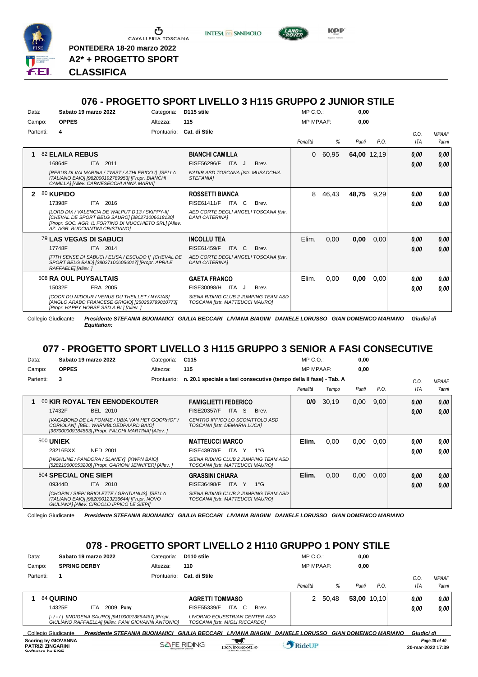

**PONTEDERA 18-20 marzo 2022 A2\* + PROGETTO SPORT**

*Presidente STEFANIA BUONAMICI GIULIA BECCARI LIVIANA BIAGINI DANIELE LORUSSO GIAN DOMENICO MARIANO Giudici di Equitation:* **CLASSIFICA**

#### **076 - PROGETTO SPORT LIVELLO 3 H115 GRUPPO 2 JUNIOR STILE**

**INTESA** m SANPAOLO

| Data:        |                     | Sabato 19 marzo 2022                                                                                                                              | Categoria:                                             | D115 stile                                                              |       | $MP C. O.$ :     |       | 0,00  |             |      |              |
|--------------|---------------------|---------------------------------------------------------------------------------------------------------------------------------------------------|--------------------------------------------------------|-------------------------------------------------------------------------|-------|------------------|-------|-------|-------------|------|--------------|
| Campo:       | <b>OPPES</b>        |                                                                                                                                                   | Altezza:                                               | 115                                                                     |       | <b>MP MPAAF:</b> |       | 0,00  |             |      |              |
| Partenti:    | 4                   |                                                                                                                                                   | Prontuario:                                            | Cat. di Stile                                                           |       |                  |       |       |             | C.O. | <b>MPAAF</b> |
|              |                     |                                                                                                                                                   |                                                        |                                                                         |       | Penalità         | %     | Punti | P.O.        | ITA  | 7anni        |
| 1            | 82 ELAILA REBUS     |                                                                                                                                                   |                                                        | <b>BIANCHI CAMILLA</b>                                                  |       | $\Omega$         | 60,95 |       | 64,00 12,19 | 0,00 | 0,00         |
|              | 16864F              | ITA 2011                                                                                                                                          |                                                        | FISE56296/F<br>ITA J                                                    | Brev. |                  |       |       |             | 0,00 | 0,00         |
|              |                     | [REBUS DI VALMARINA / TWIST / ATHLERICO I] [SELLA<br>ITALIANO BAIO] [982000192789953] [Propr. BIANCHI<br>CAMILLA] [Allev. CARNESECCHI ANNA MARIA] |                                                        | NADIR ASD TOSCANA [Istr. MUSACCHIA<br>STEFANIA]                         |       |                  |       |       |             |      |              |
| $\mathbf{2}$ | 80 KUPIDO           |                                                                                                                                                   |                                                        | <b>ROSSETTI BIANCA</b>                                                  |       | 8                | 46,43 | 48,75 | 9,29        | 0,00 | 0,00         |
|              | 17398F              | ITA 2016                                                                                                                                          |                                                        | FISE61411/F<br>ITA C                                                    | Brev. |                  |       |       |             | 0,00 | 0.00         |
|              |                     | [LORD DIX / VALENCIA DE WALPUT D'13 / SKIPPY-II]<br>[CHEVAL DE SPORT BELG SAURO] [380271006018130]<br>AZ. AGR. BUCCIANTINI CRISTIANO1             | [Propr. SOC. AGR. IL FORTINO DI MUCCHIETO SRL] [Allev. | AED CORTE DEGLI ANGELI TOSCANA [Istr.<br><b>DAMI CATERINA1</b>          |       |                  |       |       |             |      |              |
|              |                     | 79 LAS VEGAS DI SABUCI                                                                                                                            |                                                        | <b>INCOLLU TEA</b>                                                      |       | Elim.            | 0,00  | 0,00  | 0,00        | 0,00 | 0,00         |
|              | 17748F              | ITA 2014                                                                                                                                          |                                                        | <b>FISE61459/F</b><br>ITA C                                             | Brev. |                  |       |       |             | 0,00 | 0,00         |
|              | RAFFAELE] [Allev. ] | SPORT BELG BAIO] [380271006056017] [Propr. APRILE                                                                                                 | [FITH SENSE DI SABUCI / ELISA / ESCUDO I] [CHEVAL DE   | AED CORTE DEGLI ANGELI TOSCANA [Istr.<br><b>DAMI CATERINAI</b>          |       |                  |       |       |             |      |              |
|              |                     | 508 RA OUL PUYSALTAIS                                                                                                                             |                                                        | <b>GAETA FRANCO</b>                                                     |       | Elim.            | 0,00  | 0,00  | 0,00        | 0.00 | 0,00         |
|              | 15032F              | FRA 2005                                                                                                                                          |                                                        | FISE30098/H<br>ITA J                                                    | Brev. |                  |       |       |             | 0,00 | 0.00         |
|              |                     | [COOK DU MIDOUR / VENUS DU THEILLET / NYKIAS]<br>[Propr. HAPPY HORSE SSD A RL] [Allev.]                                                           | [ANGLO ARABO FRANCESE GRIGIO] [250259799010773]        | SIENA RIDING CLUB 2 JUMPING TEAM ASD<br>TOSCANA [Istr. MATTEUCCI MAURO] |       |                  |       |       |             |      |              |

Collegio Giudicante *Presidente STEFANIA BUONAMICI GIULIA BECCARI LIVIANA BIAGINI DANIELE LORUSSO GIAN DOMENICO MARIANO Giudici di Equitation:*

#### **077 - PROGETTO SPORT LIVELLO 3 H115 GRUPPO 3 SENIOR A FASI CONSECUTIVE**

| Data:     | Sabato 19 marzo 2022                                                                                                                          | Categoria:  | C <sub>115</sub>                                                        | $MP C. O.$ :     |       | 0,00  |      |      |                     |
|-----------|-----------------------------------------------------------------------------------------------------------------------------------------------|-------------|-------------------------------------------------------------------------|------------------|-------|-------|------|------|---------------------|
| Campo:    | <b>OPPES</b>                                                                                                                                  | Altezza:    | 115                                                                     | <b>MP MPAAF:</b> |       | 0,00  |      |      |                     |
| Partenti: | 3                                                                                                                                             | Prontuario: | n. 20.1 speciale a fasi consecutive (tempo della II fase) - Tab. A      |                  |       |       |      | C.0. | <b>MPAAF</b>        |
|           |                                                                                                                                               |             |                                                                         | Penalità         | Tempo | Punti | P.O. | ITA  | <i><b>7anni</b></i> |
| 1         | 60 KIR ROYAL TEN EENODEKOUTER                                                                                                                 |             | <b>FAMIGLIETTI FEDERICO</b>                                             | 0/0              | 30,19 | 0,00  | 9,00 | 0.00 | 0.00                |
|           | 17432F<br>BEL 2010                                                                                                                            |             | <b>FISE20357/F</b><br>ITA<br>-S<br>Brev.                                |                  |       |       |      | 0,00 | 0.00                |
|           | [VAGABOND DE LA POMME / UBIA VAN HET GOORHOF /<br>CORIOLAN] [BEL. WARMBLOEDPAARD BAIO]<br>[967000009184553] [Propr. FALCHI MARTINA] [Allev. ] |             | CENTRO IPPICO LO SCOIATTOLO ASD<br>TOSCANA [Istr. DEMARIA LUCA]         |                  |       |       |      |      |                     |
|           | <b>500 UNIEK</b>                                                                                                                              |             | <b>MATTEUCCI MARCO</b>                                                  | Elim.            | 0.00  | 0,00  | 0.00 | 0.00 | 0.00                |
|           | 23216BXX<br><b>NED 2001</b>                                                                                                                   |             | <b>FISE43978/F</b><br>ITA Y<br>$1^{\circ}G$                             |                  |       |       |      | 0,00 | 0.00                |
|           | [HIGHLINE / PANDORA / SLANEY] [KWPN BAIO]<br>[528219000053200] [Propr. GARIONI JENNIFER] [Allev. ]                                            |             | SIENA RIDING CLUB 2 JUMPING TEAM ASD<br>TOSCANA [Istr. MATTEUCCI MAURO] |                  |       |       |      |      |                     |
|           | 504 SPECIAL ONE SIEPI                                                                                                                         |             | <b>GRASSINI CHIARA</b>                                                  | Elim.            | 0,00  | 0,00  | 0.00 | 0,00 | 0,00                |
|           | 09344D<br>ITA 2010                                                                                                                            |             | <b>FISE36498/F</b><br>ITA Y<br>$1^{\circ}G$                             |                  |       |       |      | 0,00 | 0,00                |
|           | [CHOPIN / SIEPI BRIOLETTE / GRATIANUS] [SELLA<br>ITALIANO BAIO] [982000123236644] [Propr. NOVO<br>GIULIANAI [Allev. CIRCOLO IPPICO LE SIEPI]  |             | SIENA RIDING CLUB 2 JUMPING TEAM ASD<br>TOSCANA [Istr. MATTEUCCI MAURO] |                  |       |       |      |      |                     |

Collegio Giudicante *Presidente STEFANIA BUONAMICI GIULIA BECCARI LIVIANA BIAGINI DANIELE LORUSSO GIAN DOMENICO MARIANO*

#### **078 - PROGETTO SPORT LIVELLO 2 H110 GRUPPO 1 PONY STILE**

| Data:                                                                      | Sabato 19 marzo 2022                                                                                    | Categoria:  | D <sub>110</sub> stile |                                                                 | $MP C. O.$ :           |       | 0,00                         |               |            |                                    |
|----------------------------------------------------------------------------|---------------------------------------------------------------------------------------------------------|-------------|------------------------|-----------------------------------------------------------------|------------------------|-------|------------------------------|---------------|------------|------------------------------------|
| Campo:                                                                     | <b>SPRING DERBY</b>                                                                                     | Altezza:    | 110                    |                                                                 | <b>MP MPAAF:</b>       |       | 0.00                         |               |            |                                    |
| Partenti:                                                                  |                                                                                                         | Prontuario: | Cat. di Stile          |                                                                 |                        |       |                              |               | C.0        | <b>MPAAF</b>                       |
|                                                                            |                                                                                                         |             |                        |                                                                 | Penalità               | %     | Punti                        | P.O.          | ITA        | 7anni                              |
| <b>84 QUIRINO</b>                                                          |                                                                                                         |             | <b>AGRETTI TOMMASO</b> |                                                                 |                        | 50,48 |                              | $53,00$ 10,10 | 0.00       | 0.00                               |
| 14325F                                                                     | 2009 Pony<br>ITA.                                                                                       |             | FISE55339/F            | ITA C<br>Brev.                                                  |                        |       |                              |               | 0.00       | 0.00                               |
|                                                                            | [-/-/] [INDIGENA SAURO] [941000013864467] [Propr.<br>GIULIANO RAFFAELLAI IAIIev. PANI GIOVANNI ANTONIOI |             |                        | LIVORNO EQUESTRIAN CENTER ASD<br>TOSCANA Ilstr. MIGLI RICCARDOI |                        |       |                              |               |            |                                    |
| Collegio Giudicante                                                        | Presidente STEFANIA BUONAMICI                                                                           |             | <b>GIULIA BECCARI</b>  | LIVIANA BIAGINI                                                 | <b>DANIELE LORUSSO</b> |       | <b>GIAN DOMENICO MARIANO</b> |               | Giudici di |                                    |
| <b>Scoring by GIOVANNA</b><br><b>PATRIZI ZINGARINI</b><br>Coffware by EICE |                                                                                                         |             | <b>SAFE RIDING</b>     | DeNiroBoot('o                                                   | RideUP                 |       |                              |               |            | Page 30 of 40<br>20-mar-2022 17:39 |

**KPP**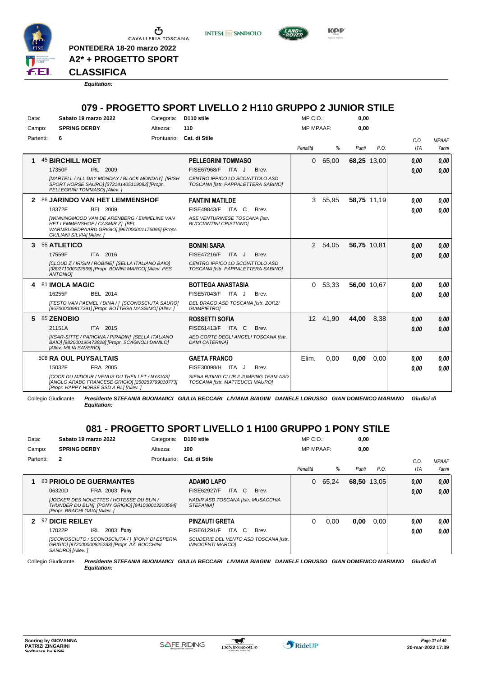

Ⴠ CAVALLERIA TOSCANA

**A2\* + PROGETTO SPORT**

**PONTEDERA 18-20 marzo 2022**

**CLASSIFICA**

*Equitation:*

#### **079 - PROGETTO SPORT LIVELLO 2 H110 GRUPPO 2 JUNIOR STILE**

**INTESA** M SANPAOLO

**Kep** 

| Data:     | Sabato 19 marzo 2022         |                                                                                                                                            | Categoria: | D110 stile                                                             |       |                                       | $MP C. O.$ :     |           | 0,00        |             |             |                       |
|-----------|------------------------------|--------------------------------------------------------------------------------------------------------------------------------------------|------------|------------------------------------------------------------------------|-------|---------------------------------------|------------------|-----------|-------------|-------------|-------------|-----------------------|
| Campo:    | <b>SPRING DERBY</b>          |                                                                                                                                            | Altezza:   | 110                                                                    |       |                                       | <b>MP MPAAF:</b> |           | 0.00        |             |             |                       |
| Partenti: | 6                            |                                                                                                                                            |            | Prontuario: Cat. di Stile                                              |       |                                       | Penalità         | %         | Punti       | P.O.        | C.0.<br>ITA | <b>MPAAF</b><br>7anni |
| 1         | <b>45 BIRCHILL MOET</b>      |                                                                                                                                            |            | <b>PELLEGRINI TOMMASO</b>                                              |       |                                       | $\Omega$         | 65,00     |             | 68,25 13,00 | 0,00        | 0.00                  |
|           | 17350F                       | IRL 2009                                                                                                                                   |            | FISE67968/F                                                            | ITA J | Brev.                                 |                  |           |             |             | 0.00        | 0.00                  |
|           | PELLEGRINI TOMMASOI [Allev.] | [MARTELL / ALL DAY MONDAY / BLACK MONDAY] [IRISH<br>SPORT HORSE SAURO] [372141405119082] [Propr.                                           |            | CENTRO IPPICO LO SCOIATTOLO ASD<br>TOSCANA [Istr. PAPPALETTERA SABINO] |       |                                       |                  |           |             |             |             |                       |
|           |                              | 2 86 JARINDO VAN HET LEMMENSHOF                                                                                                            |            | <b>FANTINI MATILDE</b>                                                 |       |                                       |                  | 3 55,95   |             | 58,75 11,19 | 0.00        | 0,00                  |
|           | 18372F                       | <b>BEL 2009</b>                                                                                                                            |            | FISE49843/F ITA C                                                      |       | Brev.                                 |                  |           |             |             | 0.00        | 0.00                  |
|           | GIULIANI SILVIAI [Allev. ]   | <b>IWINNINGMOOD VAN DE ARENBERG / EMMELINE VAN</b><br>HET LEMMENSHOF / CASMIR ZI [BEL.<br>WARMBLOEDPAARD GRIGIO] [967000001176096] [Propr. |            | ASE VENTURINESE TOSCANA [Istr.<br><b>BUCCIANTINI CRISTIANOI</b>        |       |                                       |                  |           |             |             |             |                       |
| 3         | 55 ATLETICO                  |                                                                                                                                            |            | <b>BONINI SARA</b>                                                     |       |                                       |                  | 2 54,05   | 56,75 10,81 |             | 0,00        | 0,00                  |
|           | 17559F                       | ITA 2016                                                                                                                                   |            | FISE47216/F ITA J                                                      |       | Brev.                                 |                  |           |             |             | 0.00        | 0.00                  |
|           | <b>ANTONIOI</b>              | [CLOUD Z / IRISIN / ROBINE] [SELLA ITALIANO BAIO]<br>[380271000022569] [Propr. BONINI MARCO] [Allev. PES                                   |            | CENTRO IPPICO LO SCOIATTOLO ASD<br>TOSCANA [Istr. PAPPALETTERA SABINO] |       |                                       |                  |           |             |             |             |                       |
| 4         | 81 IMOLA MAGIC               |                                                                                                                                            |            | <b>BOTTEGA ANASTASIA</b>                                               |       |                                       |                  | 0, 53, 33 |             | 56,00 10.67 | 0.00        | 0.00                  |
|           | 16255F                       | BEL 2014                                                                                                                                   |            | FISE57043/F ITA J                                                      |       | Brev.                                 |                  |           |             |             | 0.00        | 0.00                  |
|           |                              | [FESTO VAN PAEMEL / DINA / ] [SCONOSCIUTA SAURO]<br>[967000009817291] [Propr. BOTTEGA MASSIMO] [Allev.]                                    |            | DEL DRAGO ASD TOSCANA [Istr. ZORZI<br><b>GIAMPIETROI</b>               |       |                                       |                  |           |             |             |             |                       |
| 5.        | 85 ZENOBIO                   |                                                                                                                                            |            | <b>ROSSETTI SOFIA</b>                                                  |       |                                       |                  | 12 41,90  | 44,00       | 8,38        | 0,00        | 0.00                  |
|           | 21151A                       | ITA 2015                                                                                                                                   |            | FISE61413/F ITA C                                                      |       | Brev.                                 |                  |           |             |             | 0,00        | 0.00                  |
|           | [Allev. MILIA SAVERIO]       | [KSAR-SITTE / PARIGINA / PIRADIN] [SELLA ITALIANO<br>BAIO] [982000196473828] [Propr. SCAGNOLI DANILO]                                      |            | <b>DAMI CATERINA1</b>                                                  |       | AED CORTE DEGLI ANGELI TOSCANA [Istr. |                  |           |             |             |             |                       |
|           | 508 RA OUL PUYSALTAIS        |                                                                                                                                            |            | <b>GAETA FRANCO</b>                                                    |       |                                       | Elim.            | 0,00      | 0,00        | 0,00        | 0.00        | 0.00                  |
|           | 15032F                       | FRA 2005                                                                                                                                   |            | FISE30098/H ITA J                                                      |       | Brev.                                 |                  |           |             |             | 0.00        | 0.00                  |
|           |                              | [COOK DU MIDOUR / VENUS DU THEILLET / NYKIAS]<br>[ANGLO ARABO FRANCESE GRIGIO] [250259799010773]<br>[Propr. HAPPY HORSE SSD A RL] [Allev.] |            | TOSCANA [Istr. MATTEUCCI MAURO]                                        |       | SIENA RIDING CLUB 2 JUMPING TEAM ASD  |                  |           |             |             |             |                       |

Collegio Giudicante *Presidente STEFANIA BUONAMICI GIULIA BECCARI LIVIANA BIAGINI DANIELE LORUSSO GIAN DOMENICO MARIANO Giudici di Equitation:*

#### **081 - PROGETTO SPORT LIVELLO 1 H100 GRUPPO 1 PONY STILE**

| Data:  |           | Sabato 19 marzo 2022           |      |                                                                                                     | Categoria:  | D <sub>100</sub> stile                                    |       |       | $MP C. O.$ :     |       | 0,00        |      |            |                     |
|--------|-----------|--------------------------------|------|-----------------------------------------------------------------------------------------------------|-------------|-----------------------------------------------------------|-------|-------|------------------|-------|-------------|------|------------|---------------------|
| Campo: |           | <b>SPRING DERBY</b>            |      |                                                                                                     | Altezza:    | 100                                                       |       |       | <b>MP MPAAF:</b> |       | 0.00        |      |            |                     |
|        | Partenti: | $\mathbf{2}$                   |      |                                                                                                     | Prontuario: | Cat. di Stile                                             |       |       |                  |       |             |      | C.O.       | <b>MPAAF</b>        |
|        |           |                                |      |                                                                                                     |             |                                                           |       |       | Penalità         | %     | Punti       | P.O. | <b>ITA</b> | <i><b>7anni</b></i> |
| 1.     |           |                                |      | 83 PRIOLO DE GUERMANTES                                                                             |             | <b>ADAMO LAPO</b>                                         |       |       | $\Omega$         | 65,24 | 68,50 13,05 |      | 0,00       | 0.00                |
|        |           | 06320D                         |      | <b>FRA 2003 Pony</b>                                                                                |             | FISE62927/F                                               | ITA C | Brev. |                  |       |             |      | 0.00       | 0.00                |
|        |           | [Propr. BRACHI GAIA] [Allev. ] |      | <b>JJOCKER DES NOUETTES / HOTESSE DU BLIN /</b><br>THUNDER DU BLIN] [PONY GRIGIO] [941000013200564] |             | NADIR ASD TOSCANA [Istr. MUSACCHIA<br><b>STEFANIAI</b>    |       |       |                  |       |             |      |            |                     |
| 2      |           | 97 DICIE REILEY                |      |                                                                                                     |             | <b>PINZAUTI GRETA</b>                                     |       |       | 0                | 0,00  | 0,00        | 0.00 | 0.00       | 0.00                |
|        |           | 17022P                         | IRL. | 2003 Pony                                                                                           |             | FISE61291/F                                               | ITA C | Brev. |                  |       |             |      | 0.00       | 0.00                |
|        |           | SANDRO1 [Allev.]               |      | [SCONOSCIUTO / SCONOSCIUTA / ] [PONY DI ESPERIA<br>GRIGIO] [972000000825283] [Propr. AZ. BOCCHINI   |             | SCUDERIE DEL VENTO ASD TOSCANA [Istr.<br>INNOCENTI MARCOI |       |       |                  |       |             |      |            |                     |

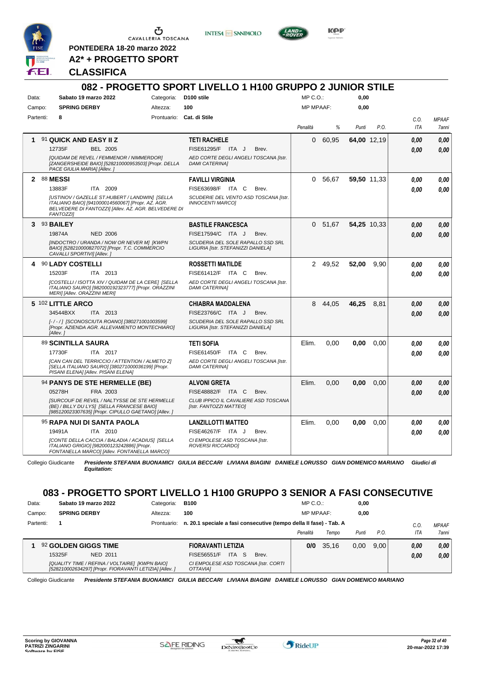

CAVALLERIA TOSCANA

**INTESA M SANPAOLO** 



KOP

**PONTEDERA 18-20 marzo 2022 A2\* + PROGETTO SPORT**

#### **CLASSIFICA**

#### **082 - PROGETTO SPORT LIVELLO 1 H100 GRUPPO 2 JUNIOR STILE** Data: Sabato 19 marzo 2022 Categoria: D100 stile Prontuario: **Cat. di Stile** Campo: **SPRING DERBY** Partenti: **8** Altezza: **100**  $MP \cap O$ MP MPAAF: **0,00 0,00** *Penalità % Punti P.O. C.O. ITA MPAAF 7anni* **1** 91 **QUICK AND EASY II Z** BEL 2005 **TETI RACHELE** *[QUIDAM DE REVEL / FEMMENOR / NIMMERDOR] [ZANGERSHEIDE BAIO] [528210000953503] [Propr. DELLA PACE GIULIA MARIA] [Allev. ] AED CORTE DEGLI ANGELI TOSCANA [Istr. DAMI CATERINA]* 12735F BEL 2005 FISE61295/F ITA J Brev. <mark>0,00 0,00</mark> 0 60,95 **64,00** 12,19 *0,00 0,00 0,00* **2** 88 **MESSI** ITA 2009 **FAVILLI VIRGINIA** *[USTINOV / GAZELLE ST.HUBERT / LANDWIN] [SELLA ITALIANO BAIO] [941000014560067] [Propr. AZ. AGR. BELVEDERE DI FANTOZZI] [Allev. AZ. AGR. BELVEDERE DI FANTOZZI] SCUDERIE DEL VENTO ASD TOSCANA [Istr. INNOCENTI MARCO]* 13883F ITA 2009 FISE63698/F ITA C Brev. **0,00 0,00** 0 56,67 **59,50** 11,33 *0,00 0,00 0,00* **3** 93 **BAILEY** NED 2006 **BASTILE FRANCESCA** *[INDOCTRO / URANDA / NOW OR NEVER M] [KWPN BAIO] [528210000827072] [Propr. T.C. COMMERCIO CAVALLI SPORTIVI] [Allev. ] SCUDERIA DEL SOLE RAPALLO SSD SRL LIGURIA [Istr. STEFANIZZI DANIELA]* 19874A NED 2006 FISE17594/C ITA J Brev. **0,00 0,00** 0 51,67 **54,25** 10,33 *0,00 0,00 0,00* **4** 90 **LADY COSTELLI** ITA 2013 **ROSSETTI MATILDE** *[COSTELLI / ISOTTA XIV / QUIDAM DE LA CERE] [SELLA ITALIANO SAURO] [982000192323777] [Propr. ORAZZINI MERI] [Allev. ORAZZINI MERI] AED CORTE DEGLI ANGELI TOSCANA [Istr. DAMI CATERINA]* 15203F ITA 2013 FISE61412/F ITA C Brev. **0,00 0,00** 2 49,52 **52,00** 9,90 *0,00 0,00 0,00* **5** 102 **LITTLE ARCO** ITA 2013 **CHIABRA MADDALENA** *[- / - / ] [SCONOSCIUTA ROANO] [380271001003599] [Propr. AZIENDA AGR. ALLEVAMENTO MONTECHIARO] [Allev. ] SCUDERIA DEL SOLE RAPALLO SSD SRL LIGURIA [Istr. STEFANIZZI DANIELA]* FISE23766/C ITA J Brev. 8 44,05 **46,25** 8,81 *0,00 0,00 0,00* 34544BXX ITA 2013 FISE23766/C ITA J Brev. <mark>0,00 0,00</mark> 89 **SCINTILLA SAURA** ITA 2017 **TETI SOFIA** *[CAN CAN DEL TERRICCIO / ATTENTION / ALMETO Z] [SELLA ITALIANO SAURO] [380271000036199] [Propr. PISANI ELENA] [Allev. PISANI ELENA] AED CORTE DEGLI ANGELI TOSCANA [Istr. DAMI CATERINA]* ITA C Brev. Elim. 0,00 **0,00** 0,00 *0,00 0,00 0,00* 17730F ITA 2017 FISE61450/F ITA C Brev. <mark> 0,00 0,00</mark> 94 **PANYS DE STE HERMELLE (BE)** FRA 2003 **ALVONI GRETA** *[SURCOUF DE REVEL / NALTYSSE DE STE HERMELLE (BE) / BILLY DU LYS] [SELLA FRANCESE BAIO] [985120023307635] [Propr. CIPULLO GAETANO] [Allev. ] CLUB IPPICO IL CAVALIERE ASD TOSCANA [Istr. FANTOZZI MATTEO]* ITA C Brev. 05278H FISE48882/F *0,00* Elim. 0,00 **0,00** 0,00 *0,00 0,00 0,00* 95 **RAPA NUI DI SANTA PAOLA** ITA 2010 **LANZILLOTTI MATTEO** *[CONTE DELLA CACCIA / BALADIA / ACADIUS] [SELLA ITALIANO GRIGIO] [982000123242886] [Propr. FONTANELLA MARCO] [Allev. FONTANELLA MARCO] CI EMPOLESE ASD TOSCANA [Istr. ROVERSI RICCARDO]* ITA J Brev. 19491A FISE46267/F *0,00* Elim. 0,00 **0,00** 0,00 *0,00 0,00 0,00*

Collegio Giudicante *Presidente STEFANIA BUONAMICI GIULIA BECCARI LIVIANA BIAGINI DANIELE LORUSSO GIAN DOMENICO MARIANO Giudici di Equitation:*

### **083 - PROGETTO SPORT LIVELLO 1 H100 GRUPPO 3 SENIOR A FASI CONSECUTIVE**

| Data:     | Sabato 19 marzo 2022                                                                                      | Categoria:  | <b>B100</b>                                                        | $MP C. O.$ :     |       | 0,00  |      |      |              |
|-----------|-----------------------------------------------------------------------------------------------------------|-------------|--------------------------------------------------------------------|------------------|-------|-------|------|------|--------------|
| Campo:    | <b>SPRING DERBY</b>                                                                                       | Altezza:    | 100                                                                | <b>MP MPAAF:</b> |       | 0.00  |      |      |              |
| Partenti: |                                                                                                           | Prontuario: | n. 20.1 speciale a fasi consecutive (tempo della II fase) - Tab. A |                  |       |       |      | C.O. | <b>MPAAF</b> |
|           |                                                                                                           |             |                                                                    | Penalità         | Tempo | Punti | P.O. | ITA  | 7anni        |
|           | 92 GOLDEN GIGGS TIME                                                                                      |             | <b>FIORAVANTI LETIZIA</b>                                          | 0/0              | 35.16 | 0.00  | 9.00 | 0.00 | 0.00         |
|           | 15325F<br>NED 2011                                                                                        |             | ITA S<br>FISE56551/F<br>Brev.                                      |                  |       |       |      | 0,00 | 0,00         |
|           | [QUALITY TIME / REFINA / VOLTAIRE] [KWPN BAIO]<br>[528210002634297] [Propr. FIORAVANTI LETIZIA] [Allev. ] |             | CI EMPOLESE ASD TOSCANA [Istr. CORTI<br><b>OTTAVIAI</b>            |                  |       |       |      |      |              |

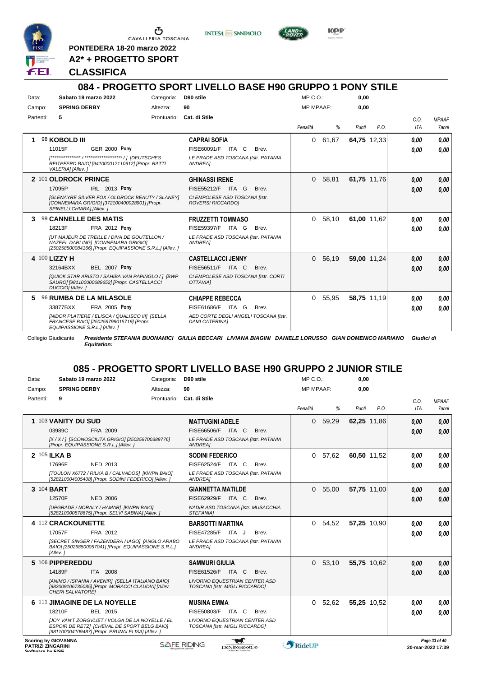

CAVALLERIA TOSCANA

**PONTEDERA 18-20 marzo 2022**

**A2\* + PROGETTO SPORT**

#### **CLASSIFICA**



**KPP** 

### **084 - PROGETTO SPORT LIVELLO BASE H90 GRUPPO 1 PONY STILE**

| Data:         | Sabato 19 marzo 2022                                                                                                                                 | Categoria:  | D90 stile                                                      | $MP C. O.$ :     |           | 0.00        |      |      |              |
|---------------|------------------------------------------------------------------------------------------------------------------------------------------------------|-------------|----------------------------------------------------------------|------------------|-----------|-------------|------|------|--------------|
| Campo:        | <b>SPRING DERBY</b>                                                                                                                                  | Altezza:    | 90                                                             | <b>MP MPAAF:</b> |           | 0,00        |      |      |              |
| Partenti:     | 5                                                                                                                                                    | Prontuario: | Cat. di Stile                                                  |                  |           |             |      | C.0. | <b>MPAAF</b> |
|               |                                                                                                                                                      |             |                                                                | Penalità         | %         | Punti       | P.O. | ITA  | 7anni        |
|               | 98 KOBOLD III                                                                                                                                        |             | <b>CAPRAI SOFIA</b>                                            | 0                | 61,67     | 64,75 12,33 |      | 0.00 | 0.00         |
|               | <b>GER 2000 Pony</b><br>11015F                                                                                                                       |             | FISE60091/F ITA C<br>Brev.                                     |                  |           |             |      | 0.00 | 0.00         |
|               | REITPFERD BAIO] [941000012110912] [Propr. RATTI<br>VALERIA] [Allev.]                                                                                 |             | LE PRADE ASD TOSCANA [Istr. PATANIA<br>ANDREA]                 |                  |           |             |      |      |              |
|               | 2 101 OLDROCK PRINCE                                                                                                                                 |             | <b>GHINASSI IRENE</b>                                          | $\Omega$         | 58,81     | 61,75 11,76 |      | 0,00 | 0,00         |
|               | 17095P<br>IRL 2013 Pony                                                                                                                              |             | FISE55212/F ITA G<br>Brev.                                     |                  |           |             |      | 0.00 | 0,00         |
|               | [GLENAYRE SILVER FOX / OLDROCK BEAUTY / SLANEY]<br>[CONNEMARA GRIGIO] [372100400028901] [Propr.<br>SPINELLI CHIARA] [Allev.]                         |             | CI EMPOLESE ASD TOSCANA [Istr.<br><b>ROVERSI RICCARDOI</b>     |                  |           |             |      |      |              |
| 3             | 99 CANNELLE DES MATIS                                                                                                                                |             | <b>FRUZZETTI TOMMASO</b>                                       |                  | 0, 58.10  | 61.00 11.62 |      | 0.00 | 0.00         |
|               | FRA 2012 Pony<br>18213F                                                                                                                              |             | FISE59397/F<br>Brev.<br>ITA G                                  |                  |           |             |      | 0.00 | 0.00         |
|               | <b>IUT MAJEUR DE TREILLE / DIVA DE GOUTELLON /</b><br>NAZEEL DARLING1 [CONNEMARA GRIGIO]<br>[250258500084166] [Propr. EQUIPASSIONE S.R.L.] [Allev. ] |             | LE PRADE ASD TOSCANA [Istr. PATANIA<br>ANDREA]                 |                  |           |             |      |      |              |
| 4 100 LIZZY H |                                                                                                                                                      |             | <b>CASTELLACCI JENNY</b>                                       |                  | 0, 56, 19 | 59,00 11,24 |      | 0,00 | 0,00         |
|               | <b>BEL 2007 Pony</b><br>32164BXX                                                                                                                     |             | FISE56511/F ITA C<br>Brev.                                     |                  |           |             |      | 0.00 | 0.00         |
|               | [QUICK STAR ARISTO / SAHIBA VAN PAPINGLO / ] [BWP<br>SAURO] [981100000689652] [Propr. CASTELLACCI<br>DUCCIO] [Allev.]                                |             | CI EMPOLESE ASD TOSCANA [Istr. CORTI<br>OTTAVIAI               |                  |           |             |      |      |              |
| 5             | <b>96 RUMBA DE LA MILASOLE</b>                                                                                                                       |             | <b>CHIAPPE REBECCA</b>                                         | 0                | 55,95     | 58.75 11.19 |      | 0.00 | 0.00         |
|               | <b>FRA 2005 Pony</b><br>33877BXX                                                                                                                     |             | <b>FISE61686/F</b><br>ITA G<br>Brev.                           |                  |           |             |      | 0.00 | 0.00         |
|               | [NIDOR PLATIERE / ELISCA / QUALISCO III] [SELLA<br>FRANCESE BAIO] [250259799015719] [Propr.<br>EQUIPASSIONE S.R.L.] [Allev.]                         |             | AED CORTE DEGLI ANGELI TOSCANA [Istr.<br><b>DAMI CATERINAI</b> |                  |           |             |      |      |              |

Collegio Giudicante *Presidente STEFANIA BUONAMICI GIULIA BECCARI LIVIANA BIAGINI DANIELE LORUSSO GIAN DOMENICO MARIANO Giudici di Equitation:*

#### **085 - PROGETTO SPORT LIVELLO BASE H90 GRUPPO 2 JUNIOR STILE**

| Data:                                                                      | Sabato 19 marzo 2022                                                                                                                                | Categoria:  | D90 stile                                                       | MP C. O.         |           | 0,00        |      |                   |               |
|----------------------------------------------------------------------------|-----------------------------------------------------------------------------------------------------------------------------------------------------|-------------|-----------------------------------------------------------------|------------------|-----------|-------------|------|-------------------|---------------|
| Campo:                                                                     | <b>SPRING DERBY</b>                                                                                                                                 | Altezza:    | 90                                                              | <b>MP MPAAF:</b> |           | 0.00        |      |                   |               |
| Partenti:                                                                  | 9                                                                                                                                                   | Prontuario: | Cat. di Stile                                                   |                  |           |             |      | C.O.              | <b>MPAAF</b>  |
|                                                                            |                                                                                                                                                     |             |                                                                 | Penalità         | %         | Punti       | P.O. | <b>ITA</b>        | 7anni         |
|                                                                            | 1 103 VANITY DU SUD                                                                                                                                 |             | <b>MATTUGINI ADELE</b>                                          | $\Omega$         | 59,29     | 62,25 11,86 |      | 0,00              | 0,00          |
|                                                                            | 03989C<br>FRA 2009                                                                                                                                  |             | FISE66506/F<br>ITA C<br>Brev.                                   |                  |           |             |      | 0.00              | 0,00          |
|                                                                            | [X / X / 1 [SCONOSCIUTA GRIGIO] [250259700389776]<br>[Propr. EQUIPASSIONE S.R.L.] [Allev.]                                                          |             | LE PRADE ASD TOSCANA [Istr. PATANIA<br>ANDREA]                  |                  |           |             |      |                   |               |
| 2 105 ILKA B                                                               |                                                                                                                                                     |             | <b>SODINI FEDERICO</b>                                          | $\Omega$         | 57,62     | 60,50 11,52 |      | 0.00              | 0.00          |
|                                                                            | NED 2013<br>17696F                                                                                                                                  |             | FISE62524/F ITA C<br>Brev.                                      |                  |           |             |      | 0.00              | 0.00          |
|                                                                            | [TOULON X6772 / RILKA B / CALVADOS] [KWPN BAIO]<br>[528210004005408] [Propr. SODINI FEDERICO] [Allev. ]                                             |             | LE PRADE ASD TOSCANA [Istr. PATANIA<br>ANDREA1                  |                  |           |             |      |                   |               |
| 3 104 BART                                                                 |                                                                                                                                                     |             | <b>GIANNETTA MATILDE</b>                                        | $\Omega$         | 55,00     | 57,75 11,00 |      | 0.00              | 0.00          |
|                                                                            | <b>NED 2006</b><br>12570F                                                                                                                           |             | FISE62929/F ITA C<br>Brev.                                      |                  |           |             |      | 0,00              | 0.00          |
|                                                                            | [UPGRADE / NORALY / HAMAR] [KWPN BAIO]<br>[528210000878675] [Propr. SELVI SABINA] [Allev. ]                                                         |             | NADIR ASD TOSCANA [Istr. MUSACCHIA<br><b>STEFANIAI</b>          |                  |           |             |      |                   |               |
|                                                                            | 4 112 CRACKOUNETTE                                                                                                                                  |             | <b>BARSOTTI MARTINA</b>                                         | $\Omega$         | 54,52     | 57,25 10,90 |      | 0.00              | 0.00          |
|                                                                            | 17057F<br>FRA 2012                                                                                                                                  |             | FISE47285/F ITA J<br>Brev.                                      |                  |           |             |      | 0.00              | 0.00          |
|                                                                            | [SECRET SINGER / FAZENDERA / IAGO] [ANGLO ARABO<br>BAIO] [250258500057041] [Propr. EQUIPASSIONE S.R.L.]<br>[Allev.]                                 |             | LE PRADE ASD TOSCANA [Istr. PATANIA<br><b>ANDREA1</b>           |                  |           |             |      |                   |               |
|                                                                            | 5 106 PIPPEREDDU                                                                                                                                    |             | <b>SAMMURI GIULIA</b>                                           |                  | 0, 53, 10 | 55,75 10,62 |      | 0,00              | 0,00          |
|                                                                            | 14189F<br>ITA 2008                                                                                                                                  |             | FISE61526/F ITA C<br>Brev.                                      |                  |           |             |      | 0,00              | 0,00          |
|                                                                            | [ANIMO / ISPANIA / AVENIR] [SELLA ITALIANO BAIO]<br>[982009106735085] [Propr. MORACCI CLAUDIA] [Allev.<br>CHERI SALVATORE]                          |             | LIVORNO EQUESTRIAN CENTER ASD<br>TOSCANA [Istr. MIGLI RICCARDO] |                  |           |             |      |                   |               |
|                                                                            | 6 111 JIMAGINE DE LA NOYELLE                                                                                                                        |             | <b>MUSINA EMMA</b>                                              |                  | 0, 52, 62 | 55,25 10,52 |      | 0,00              | 0.00          |
|                                                                            | BEL 2015<br>18210F                                                                                                                                  |             | FISE50803/F<br>ITA C<br>Brev.                                   |                  |           |             |      | 0.00              | 0.00          |
|                                                                            | JJOY VAN'T ZORGVLIET / VOLGA DE LA NOYELLE / EL<br>ESPOIR DE RETZI [CHEVAL DE SPORT BELG BAIO]<br>[981100004109487] [Propr. PRUNAI ELISA] [Allev. ] |             | LIVORNO EQUESTRIAN CENTER ASD<br>TOSCANA [Istr. MIGLI RICCARDO] |                  |           |             |      |                   |               |
| <b>Scoring by GIOVANNA</b><br><b>PATRIZI ZINGARINI</b><br>Coffware by EICE |                                                                                                                                                     |             | <b>SAFE RIDING</b><br>DeNiroBootCo                              | RideUP           |           |             |      | 20-mar-2022 17:39 | Page 33 of 40 |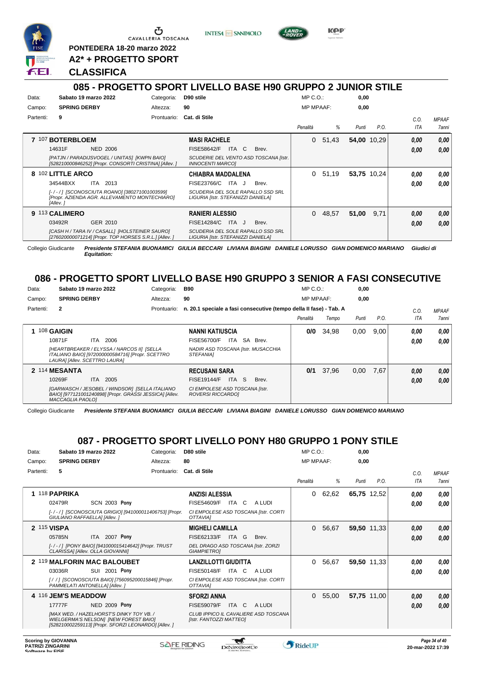

Ⴠ CAVALLERIA TOSCANA

**PONTEDERA 18-20 marzo 2022**

**A2\* + PROGETTO SPORT**

#### **CLASSIFICA**

**INTESA M** SANPAOLO

#### **085 - PROGETTO SPORT LIVELLO BASE H90 GRUPPO 2 JUNIOR STILE**

| Data:<br>Campo: | Sabato 19 marzo 2022<br><b>SPRING DERBY</b>                                                               | Categoria:<br>Altezza: | D90 stile<br>90                                                         | $MP C. O.$ :<br><b>MP MPAAF:</b> |       | 0,00<br>0,00 |      |      |                     |
|-----------------|-----------------------------------------------------------------------------------------------------------|------------------------|-------------------------------------------------------------------------|----------------------------------|-------|--------------|------|------|---------------------|
| Partenti:       | 9                                                                                                         | Prontuario:            | Cat. di Stile                                                           |                                  |       |              |      | C.0. | <b>MPAAF</b>        |
|                 |                                                                                                           |                        |                                                                         | Penalità                         | %     | Punti        | P.O. | ITA  | <i><b>7anni</b></i> |
|                 | 7 107 BOTERBLOEM                                                                                          |                        | <b>MASI RACHELE</b>                                                     | 0                                | 51,43 | 54,00 10,29  |      | 0,00 | 0,00                |
|                 | 14631F<br><b>NED 2006</b>                                                                                 |                        | ITA C<br><b>FISE58642/F</b><br>Brev.                                    |                                  |       |              |      | 0.00 | 0.00                |
|                 | [PATJN / PARADIJSVOGEL / UNITAS] [KWPN BAIO]<br>[528210000846252] [Propr. CONSORTI CRISTINA] [Allev. ]    |                        | SCUDERIE DEL VENTO ASD TOSCANA [Istr.<br><i><b>INNOCENTI MARCOI</b></i> |                                  |       |              |      |      |                     |
|                 | 8 102 LITTLE ARCO                                                                                         |                        | <b>CHIABRA MADDALENA</b>                                                | 0                                | 51,19 | 53,75 10,24  |      | 0.00 | 0,00                |
|                 | 34544BXX<br><b>ITA 2013</b>                                                                               |                        | FISE23766/C<br>ITA J<br>Brev.                                           |                                  |       |              |      | 0.00 | 0.00                |
|                 | [-/-/] [SCONOSCIUTA ROANO] [380271001003599]<br>[Propr. AZIENDA AGR. ALLEVAMENTO MONTECHIARO]<br>[Allev.] |                        | SCUDERIA DEL SOLE RAPALLO SSD SRL<br>LIGURIA [Istr. STEFANIZZI DANIELA] |                                  |       |              |      |      |                     |
|                 | 9 113 CALIMERO                                                                                            |                        | <b>RANIERI ALESSIO</b>                                                  | 0                                | 48,57 | 51,00        | 9,71 | 0,00 | 0,00                |
|                 | 03492R<br>GER 2010                                                                                        |                        | FISE14284/C<br>ITA J<br>Brev.                                           |                                  |       |              |      | 0.00 | 0.00                |
|                 | [CASH H / TARA IV / CASALL] [HOLSTEINER SAURO]<br>[276020000071214] [Propr. TOP HORSES S.R.L.] [Allev.]   |                        | SCUDERIA DEL SOLE RAPALLO SSD SRL<br>LIGURIA [Istr. STEFANIZZI DANIELA] |                                  |       |              |      |      |                     |

Collegio Giudicante *Presidente STEFANIA BUONAMICI GIULIA BECCARI LIVIANA BIAGINI DANIELE LORUSSO GIAN DOMENICO MARIANO Giudici di Equitation:*

#### **086 - PROGETTO SPORT LIVELLO BASE H90 GRUPPO 3 SENIOR A FASI CONSECUTIVE**

| Data:     | Sabato 19 marzo 2022          |                                                                                                           | Categoria:  | <b>B90</b>                                                         | $MP C. O.$ :     |       | 0,00  |      |      |                     |
|-----------|-------------------------------|-----------------------------------------------------------------------------------------------------------|-------------|--------------------------------------------------------------------|------------------|-------|-------|------|------|---------------------|
| Campo:    | <b>SPRING DERBY</b>           |                                                                                                           | Altezza:    | 90                                                                 | <b>MP MPAAF:</b> |       | 0,00  |      |      |                     |
| Partenti: | $\mathbf{2}$                  |                                                                                                           | Prontuario: | n. 20.1 speciale a fasi consecutive (tempo della II fase) - Tab. A |                  |       |       |      | C.0  | <b>MPAAF</b>        |
|           |                               |                                                                                                           |             |                                                                    | Penalità         | Tempo | Punti | P.O. | ITA  | <i><b>7anni</b></i> |
|           | 108 GAIGIN                    |                                                                                                           |             | <b>NANNI KATIUSCIA</b>                                             | 0/0              | 34.98 | 0,00  | 9,00 | 0,00 | 0,00                |
|           | 10871F                        | 2006<br>ITA.                                                                                              |             | SA<br>FISE56700/F<br>ITA<br>Brev.                                  |                  |       |       |      | 0,00 | 0.00                |
|           | LAURAI [Allev. SCETTRO LAURA] | [HEARTBREAKER / ELYSSA / NARCOS II] [SELLA<br>ITALIANO BAIO] [972000000584716] [Propr. SCETTRO            |             | NADIR ASD TOSCANA [Istr. MUSACCHIA<br><i><b>STEFANIAI</b></i>      |                  |       |       |      |      |                     |
|           | 2 114 MESANTA                 |                                                                                                           |             | <b>RECUSANI SARA</b>                                               | 0/1              | 37,96 | 0,00  | 7,67 | 0,00 | 0.00                |
|           | 10269F                        | 2005<br>ITA.                                                                                              |             | <b>FISE19144/F</b><br>ITA S<br>Brev.                               |                  |       |       |      | 0,00 | 0.00                |
|           | <b>MACCAGLIA PAOLO1</b>       | [GARWASCH / JESOBEL / WINDSOR] [SELLA ITALIANO<br>BAIO] [977121001240898] [Propr. GRASSI JESSICA] [Allev. |             | CI EMPOLESE ASD TOSCANA [Istr.<br>ROVERSI RICCARDO]                |                  |       |       |      |      |                     |

Collegio Giudicante *Presidente STEFANIA BUONAMICI GIULIA BECCARI LIVIANA BIAGINI DANIELE LORUSSO GIAN DOMENICO MARIANO*

#### **087 - PROGETTO SPORT LIVELLO PONY H80 GRUPPO 1 PONY STILE**

| Data:     | Sabato 19 marzo 2022                                                                                                                             | Categoria:  | D80 stile                                                       | $MP C. O.$ :     |       | 0,00        |             |                    |                              |
|-----------|--------------------------------------------------------------------------------------------------------------------------------------------------|-------------|-----------------------------------------------------------------|------------------|-------|-------------|-------------|--------------------|------------------------------|
| Campo:    | <b>SPRING DERBY</b>                                                                                                                              | Altezza:    | 80                                                              | <b>MP MPAAF:</b> |       | 0,00        |             |                    |                              |
| Partenti: | 5                                                                                                                                                | Prontuario: | Cat. di Stile                                                   | Penalità         | %     | Punti       | P.O.        | C.O.<br><b>ITA</b> | <b>MPAAF</b><br><b>7anni</b> |
|           | 1 118 PAPRIKA<br><b>SCN 2003 Pony</b><br>02479R                                                                                                  |             | <b>ANZISI ALESSIA</b><br>C<br>FISE54609/F<br>ITA<br>A LUDI      | 0                | 62,62 | 65,75 12,52 |             | 0.00               | 0,00                         |
|           | [-/-/] [SCONOSCIUTA GRIGIO] [941000011406753] [Propr.<br>GIULIANO RAFFAELLA] [Allev.]                                                            |             | CI EMPOLESE ASD TOSCANA [Istr. CORTI<br><b>OTTAVIAI</b>         |                  |       |             |             | 0.00               | 0.00                         |
|           | 2 115 VISPA                                                                                                                                      |             | <b>MIGHELI CAMILLA</b>                                          | $\Omega$         | 56,67 |             | 59,50 11,33 | 0,00               | 0,00                         |
|           | ITA 2007 Pony<br>05785N                                                                                                                          |             | FISE62133/F<br>ITA G<br>Brev.                                   |                  |       |             |             | 0,00               | 0,00                         |
|           | [-/-/] [PONY BAIO] [941000015414642] [Propr. TRUST<br>CLARISSA] [Allev. OLLA GIOVANNI]                                                           |             | DEL DRAGO ASD TOSCANA [Istr. ZORZI<br><b>GIAMPIETROI</b>        |                  |       |             |             |                    |                              |
|           | 2 119 MALFORIN MAC BALOUBET                                                                                                                      |             | <b>LANZILLOTTI GIUDITTA</b>                                     | $\Omega$         | 56,67 |             | 59,50 11,33 | 0.00               | 0,00                         |
|           | SUI 2001 Pony<br>03036R                                                                                                                          |             | <b>FISE50148/F</b><br>ITA C<br>A LUDI                           |                  |       |             |             | 0,00               | 0,00                         |
|           | [/ /] [SCONOSCIUTA BAIO] [756095200015846] [Propr.<br>PAMMELATI ANTONELLAI [Allev.]                                                              |             | CI EMPOLESE ASD TOSCANA [Istr. CORTI<br>OTTAVIAI                |                  |       |             |             |                    |                              |
|           | 4 116 JEM'S MEADDOW                                                                                                                              |             | <b>SFORZI ANNA</b>                                              | $\Omega$         | 55,00 |             | 57,75 11,00 | 0,00               | 0,00                         |
|           | 17777F<br>NED 2009 Pony                                                                                                                          |             | <b>FISE59079/F</b><br>A LUDI<br>ITA C                           |                  |       |             |             | 0,00               | 0,00                         |
|           | <b>IMAX WED. / HAZELHORST'S DINKY TOY VB. /</b><br>WIELGERMA'S NELSONI [NEW FOREST BAIO]<br>[528210002259113] [Propr. SFORZI LEONARDO] [Allev. ] |             | CLUB IPPICO IL CAVALIERE ASD TOSCANA<br>[Istr. FANTOZZI MATTEO] |                  |       |             |             |                    |                              |

 $\blacktriangledown$ 



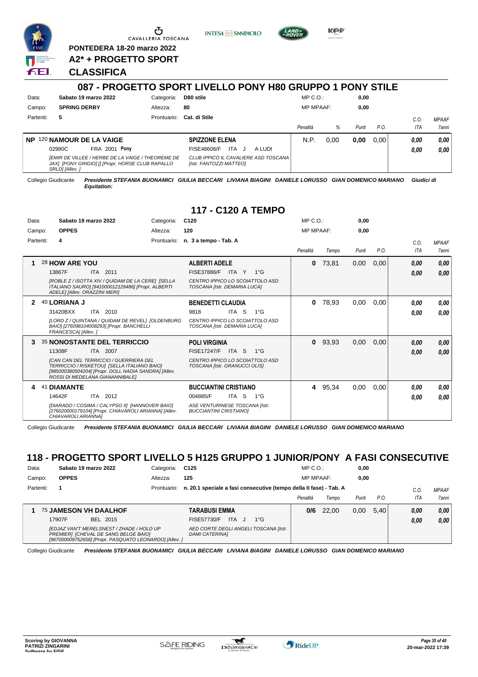

G CAVALLERIA TOSCANA

**PONTEDERA 18-20 marzo 2022 A2\* + PROGETTO SPORT** **INTESA M** SANPAOLO



**KPP** 

#### **CLASSIFICA**

|           |                                                                                                                         |             | 087 - PROGETTO SPORT LIVELLO PONY H80 GRUPPO 1 PONY STILE       |                  |      |       |      |                   |                       |
|-----------|-------------------------------------------------------------------------------------------------------------------------|-------------|-----------------------------------------------------------------|------------------|------|-------|------|-------------------|-----------------------|
| Data:     | Sabato 19 marzo 2022                                                                                                    | Categoria:  | D80 stile                                                       | $MP C. O.$ :     |      | 0.00  |      |                   |                       |
| Campo:    | <b>SPRING DERBY</b>                                                                                                     | Altezza:    | 80                                                              | <b>MP MPAAF:</b> |      | 0.00  |      |                   |                       |
| Partenti: | 5                                                                                                                       | Prontuario: | Cat. di Stile                                                   | Penalità         | %    | Punti | P.O. | C.0<br><b>ITA</b> | <b>MPAAF</b><br>7anni |
| <b>NP</b> | 120 NAMOUR DE LA VAIGE                                                                                                  |             | <b>SPIZZONE ELENA</b>                                           | N.P.             | 0.00 | 0,00  | 0.00 | 0,00              | 0,00                  |
|           | FRA 2001 Pony<br>02980C                                                                                                 |             | <b>ITA</b><br>FISE48606/F<br>A LUDI<br>J                        |                  |      |       |      | 0,00              | 0,00                  |
|           | IEMIR DE VILLEE / HERBE DE LA VAIGE / THEOREME DE<br>JAX] [PONY GRIGIO] [] [Propr. HORSE CLUB RAPALLO<br>SRLDI [Allev.] |             | CLUB IPPICO IL CAVALIERE ASD TOSCANA<br>[Istr. FANTOZZI MATTEO] |                  |      |       |      |                   |                       |

Collegio Giudicante *Presidente STEFANIA BUONAMICI GIULIA BECCARI LIVIANA BIAGINI DANIELE LORUSSO GIAN DOMENICO MARIANO Giudici di Equitation:*

#### **117 - C120 A TEMPO**

| Data:     | Sabato 19 marzo 2022                                                                                                                                                                                                                                | C <sub>120</sub><br>Categoria:                                                                              |                                                          | $MP C. O.$ :     |       | 0,00  |      |                    |                              |
|-----------|-----------------------------------------------------------------------------------------------------------------------------------------------------------------------------------------------------------------------------------------------------|-------------------------------------------------------------------------------------------------------------|----------------------------------------------------------|------------------|-------|-------|------|--------------------|------------------------------|
| Campo:    | <b>OPPES</b>                                                                                                                                                                                                                                        | 120<br>Altezza:                                                                                             |                                                          | <b>MP MPAAF:</b> |       | 0,00  |      |                    |                              |
| Partenti: | 4                                                                                                                                                                                                                                                   | Prontuario: n. 3 a tempo - Tab. A                                                                           |                                                          | Penalità         | Tempo | Punti | P.O. | C.0.<br><b>ITA</b> | <b>MPAAF</b><br><b>7anni</b> |
| 1         | 28 HOW ARE YOU<br>13867F<br>ITA 2011<br>[ROBLE Z / ISOTTA XIV / QUIDAM DE LA CERE] [SELLA<br>ITALIANO SAURO] [941000012129486] [Propr. ALBERTI<br>ADELE] [Allev. ORAZZINI MERI]                                                                     | <b>ALBERTI ADELE</b><br><b>FISE37886/F</b><br>TOSCANA [Istr. DEMARIA LUCA]                                  | $1^{\circ}G$<br>ITA Y<br>CENTRO IPPICO LO SCOIATTOLO ASD | 0                | 73,81 | 0.00  | 0,00 | 0.00<br>0,00       | 0,00<br>0,00                 |
|           | 40 LORIANA J<br>31420BXX<br>ITA 2010<br>ILORD Z / QUINTANA / QUIDAM DE REVEL] [OLDENBURG<br>BAIO] [276098104008293] [Propr. BANCHELLI<br>FRANCESCAI [Allev.]                                                                                        | <b>BENEDETTI CLAUDIA</b><br>9818<br>TOSCANA [Istr. DEMARIA LUCA]                                            | ITA S<br>$1^{\circ}G$<br>CENTRO IPPICO LO SCOIATTOLO ASD | 0                | 78,93 | 0,00  | 0,00 | 0.00<br>0.00       | 0,00<br>0.00                 |
| З.        | <b>35 NONOSTANTE DEL TERRICCIO</b><br>11308F<br>ITA 2007<br><b>ICAN CAN DEL TERRICCIO / GUERRIERA DEL</b><br>TERRICCIO / RISKETOU] [SELLA ITALIANO BAIO]<br>[985000380504204] [Propr. DOLL NADIA SANDRA] [Allev.<br>ROSSI DI MEDELANA GIANANNIBALE] | <b>POLI VIRGINIA</b><br><b>FISE17247/F</b><br>TOSCANA [Istr. GRANUCCI OLIS]                                 | ITA S<br>$1^{\circ}G$<br>CENTRO IPPICO LO SCOIATTOLO ASD | $\mathbf{0}$     | 93,93 | 0,00  | 0,00 | 0.00<br>0,00       | 0,00<br>0.00                 |
| 4         | <b>DIAMANTE</b><br>41<br>14642F<br>ITA 2012<br>[DIARADO / COSIMA / CALYPSO II] [HANNOVER BAIO]<br>[276020000179104] [Propr. CHIAVAROLI ARIANNA] [Allev.<br>CHIAVAROLI ARIANNAI                                                                      | <b>BUCCIANTINI CRISTIANO</b><br>004885/F<br>ASE VENTURINESE TOSCANA [Istr.<br><b>BUCCIANTINI CRISTIANOI</b> | ITA S<br>$1^{\circ}G$                                    | 4                | 95,34 | 0.00  | 0,00 | 0.00<br>0.00       | 0,00<br>0.00                 |

Collegio Giudicante *Presidente STEFANIA BUONAMICI GIULIA BECCARI LIVIANA BIAGINI DANIELE LORUSSO GIAN DOMENICO MARIANO*

### **118 - PROGETTO SPORT LIVELLO 5 H125 GRUPPO 1 JUNIOR/PONY A FASI CONSECUTIVE**

| Data:     | Sabato 19 marzo 2022                                                                                                                        | Categoria:  | C <sub>125</sub>                                                   | $MP C. O.$ :     |       | 0,00  |      |      |              |
|-----------|---------------------------------------------------------------------------------------------------------------------------------------------|-------------|--------------------------------------------------------------------|------------------|-------|-------|------|------|--------------|
| Campo:    | <b>OPPES</b>                                                                                                                                | Altezza:    | 125                                                                | <b>MP MPAAF:</b> |       | 0.00  |      |      |              |
| Partenti: |                                                                                                                                             | Prontuario: | n. 20.1 speciale a fasi consecutive (tempo della Il fase) - Tab. A |                  |       |       |      | C.O  | <b>MPAAF</b> |
|           |                                                                                                                                             |             |                                                                    | Penalità         | Tempo | Punti | P.O. | ITA  | 7anni        |
|           | <b>75 JAMESON VH DAALHOF</b>                                                                                                                |             | TARABUSI EMMA                                                      | 0/6              | 22.00 | 0,00  | 5.40 | 0,00 | 0,00         |
|           | BEL 2015<br>17907F                                                                                                                          |             | <b>ITA</b><br>FISE57730/F<br>$1^{\circ}G$                          |                  |       |       |      | 0.00 | 0,00         |
|           | IEDJAZ VAN'T MERELSNEST / ZHADE / HOLD UP<br>PREMIERI [CHEVAL DE SANG BELGE BAIO]<br>[967000009752656] [Propr. PASQUATO LEONARDO] [Allev. ] |             | AED CORTE DEGLI ANGELI TOSCANA [Istr.<br><b>DAMI CATERINAI</b>     |                  |       |       |      |      |              |

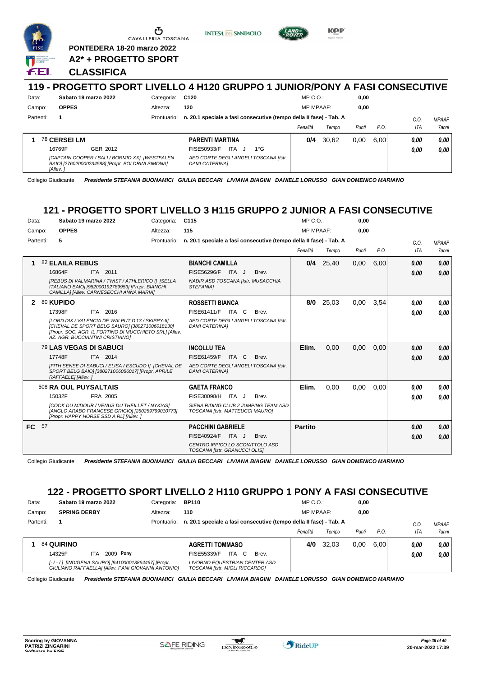

|           |                                                                                                                                |             | 119 - PROGETTO SPORT LIVELLO 4 H120 GRUPPO 1 JUNIOR/PONY A FASI CONSECUTIVE |                  |       |       |      |      |              |
|-----------|--------------------------------------------------------------------------------------------------------------------------------|-------------|-----------------------------------------------------------------------------|------------------|-------|-------|------|------|--------------|
| Data:     | Sabato 19 marzo 2022                                                                                                           | Categoria:  | C120                                                                        | $MP C. O.$ :     |       | 0,00  |      |      |              |
| Campo:    | <b>OPPES</b>                                                                                                                   | Altezza:    | 120                                                                         | <b>MP MPAAF:</b> |       | 0,00  |      |      |              |
| Partenti: |                                                                                                                                | Prontuario: | n. 20.1 speciale a fasi consecutive (tempo della II fase) - Tab. A          |                  |       |       |      | C.O. | <b>MPAAF</b> |
|           |                                                                                                                                |             |                                                                             | Penalità         | Tempo | Punti | P.O. | ITA  | <b>7anni</b> |
|           | 78 CERSEI LM                                                                                                                   |             | <b>PARENTI MARTINA</b>                                                      | 0/4              | 30.62 | 0.00  | 6.00 | 0.00 | 0.00         |
|           | 16769F<br>GER 2012                                                                                                             |             | ITA.<br>$1^{\circ}G$<br>FISE50933/F                                         |                  |       |       |      | 0.00 | 0.00         |
|           | [CAPTAIN COOPER / BALI / BORMIO XX]  [WESTFALEN<br>BAIO] [276020000234588] [Propr. BOLDRINI SIMONA]<br><i><b>IAllev.</b></i> i |             | AED CORTE DEGLI ANGELI TOSCANA Ilstr.<br><b>DAMI CATERINAI</b>              |                  |       |       |      |      |              |

Collegio Giudicante *Presidente STEFANIA BUONAMICI GIULIA BECCARI LIVIANA BIAGINI DANIELE LORUSSO GIAN DOMENICO MARIANO*

### **121 - PROGETTO SPORT LIVELLO 3 H115 GRUPPO 2 JUNIOR A FASI CONSECUTIVE**

| Data:<br>Campo:<br>Partenti: |    | Sabato 19 marzo 2022<br><b>OPPES</b><br>5                                                                                                                                                                                          | Categoria:<br>Altezza:<br>Prontuario: | C <sub>115</sub><br>115<br>n. 20.1 speciale a fasi consecutive (tempo della II fase) - Tab. A                               |       | MP C.O.<br><b>MP MPAAF:</b><br>Penalità | Tempo | 0,00<br>0.00<br>Punti | P.O. | C.O.<br><b>ITA</b> | <b>MPAAF</b><br><b>7anni</b> |
|------------------------------|----|------------------------------------------------------------------------------------------------------------------------------------------------------------------------------------------------------------------------------------|---------------------------------------|-----------------------------------------------------------------------------------------------------------------------------|-------|-----------------------------------------|-------|-----------------------|------|--------------------|------------------------------|
| 1                            |    | 82 ELAILA REBUS<br>16864F<br>ITA 2011<br>[REBUS DI VALMARINA / TWIST / ATHLERICO I] [SELLA<br>ITALIANO BAIO] [982000192789953] [Propr. BIANCHI<br>CAMILLA] [Allev. CARNESECCHI ANNA MARIA]                                         |                                       | <b>BIANCHI CAMILLA</b><br>FISE56296/F ITA J<br>NADIR ASD TOSCANA [Istr. MUSACCHIA<br>STEFANIA]                              | Brev. | 0/4                                     | 25,40 | 0,00                  | 6,00 | 0,00<br>0,00       | 0.00<br>0.00                 |
| 2                            |    | 80 KUPIDO<br>ITA 2016<br>17398F<br>ILORD DIX / VALENCIA DE WALPUT D'13 / SKIPPY-III<br>[CHEVAL DE SPORT BELG SAURO] [380271006018130]<br>[Propr. SOC. AGR. IL FORTINO DI MUCCHIETO SRL] [Allev.<br>AZ. AGR. BUCCIANTINI CRISTIANO] |                                       | <b>ROSSETTI BIANCA</b><br>FISE61411/F ITA C<br>AED CORTE DEGLI ANGELI TOSCANA [Istr.<br><b>DAMI CATERINAI</b>               | Brev. | 8/0                                     | 25,03 | 0.00                  | 3,54 | 0.00<br>0.00       | 0.00<br>0.00                 |
|                              |    | 79 LAS VEGAS DI SABUCI<br>17748F<br>ITA 2014<br>[FITH SENSE DI SABUCI / ELISA / ESCUDO I] [CHEVAL DE<br>SPORT BELG BAIO] [380271006056017] [Propr. APRILE<br>RAFFAELE] [Allev.]                                                    |                                       | <b>INCOLLU TEA</b><br><b>FISE61459/F</b><br>ITA C<br>AED CORTE DEGLI ANGELI TOSCANA [Istr.<br><b>DAMI CATERINAI</b>         | Brev. | Elim.                                   | 0,00  | 0,00                  | 0,00 | 0,00<br>0.00       | 0,00<br>0.00                 |
|                              |    | 508 RA OUL PUYSALTAIS<br>15032F<br>FRA 2005<br>[COOK DU MIDOUR / VENUS DU THEILLET / NYKIAS]<br>[ANGLO ARABO FRANCESE GRIGIO] [250259799010773]<br>[Propr. HAPPY HORSE SSD A RL] [Allev. ]                                         |                                       | <b>GAETA FRANCO</b><br>FISE30098/H ITA J<br>SIENA RIDING CLUB 2 JUMPING TEAM ASD<br>TOSCANA [Istr. MATTEUCCI MAURO]         | Brev. | Elim.                                   | 0,00  | 0,00                  | 0,00 | 0.00<br>0.00       | 0.00<br>0.00                 |
| FC.                          | 57 |                                                                                                                                                                                                                                    |                                       | <b>PACCHINI GABRIELE</b><br><b>FISE40924/F</b><br>ITA J<br>CENTRO IPPICO LO SCOIATTOLO ASD<br>TOSCANA [Istr. GRANUCCI OLIS] | Brev. | <b>Partito</b>                          |       |                       |      | 0,00<br>0,00       | 0,00<br>0.00                 |

Collegio Giudicante *Presidente STEFANIA BUONAMICI GIULIA BECCARI LIVIANA BIAGINI DANIELE LORUSSO GIAN DOMENICO MARIANO*

#### **122 - PROGETTO SPORT LIVELLO 2 H110 GRUPPO 1 PONY A FASI CONSECUTIVE**

|                               | Data:<br>Sabato 19 marzo 2022                                                                           |                   | Categoria:                                                             | <b>BP110</b> |                                                                    | $MP C. O.$ :     |                        | 0,00      |       |          |       |              |      |      |       |
|-------------------------------|---------------------------------------------------------------------------------------------------------|-------------------|------------------------------------------------------------------------|--------------|--------------------------------------------------------------------|------------------|------------------------|-----------|-------|----------|-------|--------------|------|------|-------|
| <b>SPRING DERBY</b><br>Campo: |                                                                                                         |                   | Altezza:                                                               | 110          |                                                                    | <b>MP MPAAF:</b> |                        | 0.00      |       |          |       |              |      |      |       |
| Partenti:                     |                                                                                                         |                   |                                                                        | Prontuario:  | n. 20.1 speciale a fasi consecutive (tempo della Il fase) - Tab. A |                  |                        |           |       |          | C.O   | <b>MPAAF</b> |      |      |       |
|                               |                                                                                                         |                   |                                                                        |              |                                                                    |                  |                        |           |       | Penalità | Tempo | Punti        | P.O. | ITA  | 7anni |
|                               |                                                                                                         | <b>84 QUIRINO</b> |                                                                        |              |                                                                    |                  | <b>AGRETTI TOMMASO</b> |           |       | 4/0      | 32.03 | 0.00         | 6.00 | 0.00 | 0.00  |
|                               |                                                                                                         | 14325F            | ITA                                                                    | 2009 Pony    |                                                                    |                  | FISE55339/F            | ITA<br>C. | Brev. |          |       |              |      | 0.00 | 0.00  |
|                               | [-/-/] [INDIGENA SAURO] [941000013864467] [Propr.<br>GIULIANO RAFFAELLA] [Allev. PANI GIOVANNI ANTONIO] |                   | <b>LIVORNO EQUESTRIAN CENTER ASD</b><br>TOSCANA [Istr. MIGLI RICCARDO] |              |                                                                    |                  |                        |           |       |          |       |              |      |      |       |

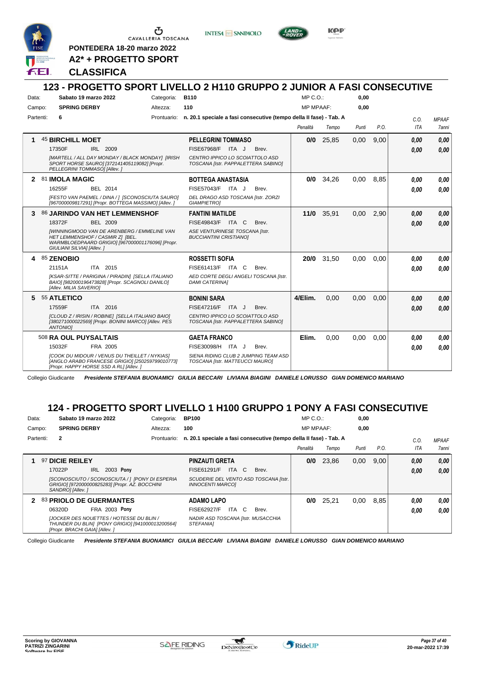

CAVALLERIA TOSCANA

**PONTEDERA 18-20 marzo 2022**

**INTESA** M SANPAOLO



KOP

#### **123 - PROGETTO SPORT LIVELLO 2 H110 GRUPPO 2 JUNIOR A FASI CONSECUTIVE** Data: Sabato 19 marzo 2022 **Categoria: B110** Prontuario: **n. 20.1 speciale a fasi consecutive (tempo della II fase) - Tab. A** Campo: **SPRING DERBY** Partenti: **6** Altezza: **110**  $MP \cap \bigcap$ MP MPAAF: **0,00 0,00** *Penalità Tempo Punti P.O. C.O. ITA MPAAF 7anni* **1** 45 **BIRCHILL MOET** IRL 2009 **PELLEGRINI TOMMASO** *[MARTELL / ALL DAY MONDAY / BLACK MONDAY] [IRISH SPORT HORSE SAURO] [372141405119082] [Propr. PELLEGRINI TOMMASO] [Allev. ] CENTRO IPPICO LO SCOIATTOLO ASD TOSCANA [Istr. PAPPALETTERA SABINO]* 17350F IRL 2009 FISE67968/F ITA J Brev. **0,00 0,00 0/0** 25,85 0,00 9,00 *0,00 0,00 0,00* **2** 81 **IMOLA MAGIC** BEL 2014 **BOTTEGA ANASTASIA** *[FESTO VAN PAEMEL / DINA / ] [SCONOSCIUTA SAURO] [967000009817291] [Propr. BOTTEGA MASSIMO] [Allev. ] DEL DRAGO ASD TOSCANA [Istr. ZORZI GIAMPIETRO]* FISE57043/E ITA J Brev. **0/0** 34,26 0,00 8,85 *0,00 0,00 0,00* 16255F BEL 2014 FISE57043/F ITA J Brev. **0,00 0,00 3** 86 **JARINDO VAN HET LEMMENSHOF** BEL 2009 **FANTINI MATILDE** *[WINNINGMOOD VAN DE ARENBERG / EMMELINE VAN HET LEMMENSHOF / CASMIR Z] [BEL. WARMBLOEDPAARD GRIGIO] [967000001176096] [Propr. GIULIANI SILVIA] [Allev. ] ASE VENTURINESE TOSCANA [Istr. BUCCIANTINI CRISTIANO]* 18372F BEL 2009 FISE49843/F ITA C Brev. **0,00 0,00 11/0** 35,91 0,00 2,90 *0,00 0,00 0,00* **4** 85 **ZENOBIO** ITA 2015 **ROSSETTI SOFIA** *[KSAR-SITTE / PARIGINA / PIRADIN] [SELLA ITALIANO BAIO] [982000196473828] [Propr. SCAGNOLI DANILO] [Allev. MILIA SAVERIO] AED CORTE DEGLI ANGELI TOSCANA [Istr. DAMI CATERINA]* 21151A ITA 2015 FISE61413/F ITA C Brev. **0,00 0,00 20/0** 31,50 0,00 0,00 *0,00 0,00 0,00* **5** 55 **ATLETICO** ITA 2016 **BONINI SARA** *[CLOUD Z / IRISIN / ROBINE] [SELLA ITALIANO BAIO] [380271000022569] [Propr. BONINI MARCO] [Allev. PES ANTONIO] CENTRO IPPICO LO SCOIATTOLO ASD TOSCANA [Istr. PAPPALETTERA SABINO]* 17559F ITA 2016 FISE47216/F ITA J Brev. <mark>0,00 0,00</mark> **4/Elim.** 0,00 0,00 0,00 *0,00 0,00 0,00* 508 **RA OUL PUYSALTAIS** FRA 2005 **GAETA FRANCO** *[COOK DU MIDOUR / VENUS DU THEILLET / NYKIAS] [ANGLO ARABO FRANCESE GRIGIO] [250259799010773] SIENA RIDING CLUB 2 JUMPING TEAM ASD* ITA J Brev. 15032F FISE30098/H *0,00* **Elim.** 0,00 0,00 0,00 *0,00 0,00 0,00* **A2\* + PROGETTO SPORT CLASSIFICA**

Collegio Giudicante *Presidente STEFANIA BUONAMICI GIULIA BECCARI LIVIANA BIAGINI DANIELE LORUSSO GIAN DOMENICO MARIANO*

#### **124 - PROGETTO SPORT LIVELLO 1 H100 GRUPPO 1 PONY A FASI CONSECUTIVE**

*TOSCANA [Istr. MATTEUCCI MAURO]*

| Sabato 19 marzo 2022<br>Data: |                                | Categoria:                                                                                          | <b>BP100</b> |                                                                         | $MP C. O.$ :                                                       |          | 0,00  |       |      |      |              |
|-------------------------------|--------------------------------|-----------------------------------------------------------------------------------------------------|--------------|-------------------------------------------------------------------------|--------------------------------------------------------------------|----------|-------|-------|------|------|--------------|
| <b>SPRING DERBY</b><br>Campo: |                                | Altezza:                                                                                            | 100          |                                                                         | <b>MP MPAAF:</b>                                                   |          | 0,00  |       |      |      |              |
| Partenti:                     | $\mathbf{2}$                   |                                                                                                     | Prontuario:  |                                                                         | n. 20.1 speciale a fasi consecutive (tempo della Il fase) - Tab. A |          |       |       |      | C.0  | <b>MPAAF</b> |
|                               |                                |                                                                                                     |              |                                                                         |                                                                    | Penalità | Tempo | Punti | P.O. | ITA  | <b>7anni</b> |
|                               | 97 DICIE REILEY                |                                                                                                     |              | <b>PINZAUTI GRETA</b>                                                   |                                                                    | 0/0      | 23.86 | 0,00  | 9,00 | 0.00 | 0,00         |
|                               | 17022P                         | 2003 Pony<br>IRL                                                                                    |              | ITA C<br>FISE61291/F                                                    | Brev.                                                              |          |       |       |      | 0.00 | 0.00         |
|                               | SANDROI [Allev.]               | [SCONOSCIUTO / SCONOSCIUTA / ] [PONY DI ESPERIA<br>GRIGIO] [972000000825283] [Propr. AZ. BOCCHINI   |              | SCUDERIE DEL VENTO ASD TOSCANA [Istr.<br><i><b>INNOCENTI MARCOI</b></i> |                                                                    |          |       |       |      |      |              |
|                               |                                | 2 83 PRIOLO DE GUERMANTES                                                                           |              | <b>ADAMO LAPO</b>                                                       |                                                                    | 0/0      | 25.21 | 0.00  | 8.85 | 0.00 | 0.00         |
|                               | 06320D                         | <b>FRA 2003 Pony</b>                                                                                |              | FISE62927/F<br>C.<br>ITA                                                | Brev.                                                              |          |       |       |      | 0.00 | 0.00         |
|                               | [Propr. BRACHI GAIA] [Allev. ] | <b>JJOCKER DES NOUETTES / HOTESSE DU BLIN /</b><br>THUNDER DU BLIN] [PONY GRIGIO] [941000013200564] |              | NADIR ASD TOSCANA [Istr. MUSACCHIA<br><b>STEFANIAI</b>                  |                                                                    |          |       |       |      |      |              |

Collegio Giudicante *Presidente STEFANIA BUONAMICI GIULIA BECCARI LIVIANA BIAGINI DANIELE LORUSSO GIAN DOMENICO MARIANO*

*[Propr. HAPPY HORSE SSD A RL] [Allev. ]*

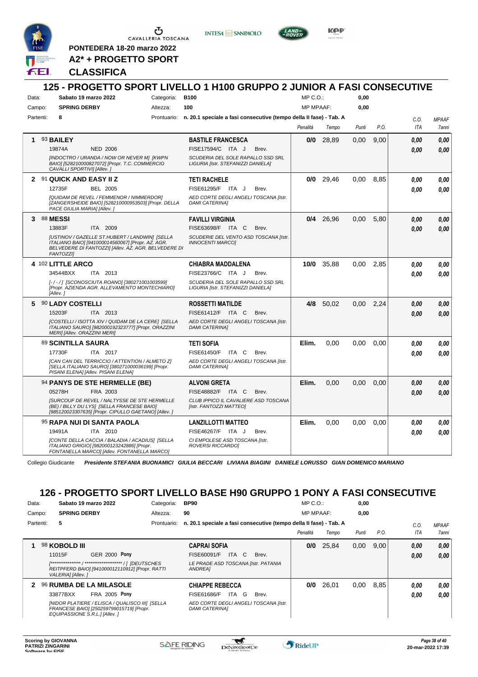

CAVALLERIA TOSCANA

**PONTEDERA 18-20 marzo 2022 A2\* + PROGETTO SPORT** **INTES4 M SANPAOLO** 



KOP

#### **CLASSIFICA**

#### **125 - PROGETTO SPORT LIVELLO 1 H100 GRUPPO 2 JUNIOR A FASI CONSECUTIVE** Data: Sabato 19 marzo 2022 Categoria: B100 Prontuario: **n. 20.1 speciale a fasi consecutive (tempo della II fase) - Tab. A** Campo: **SPRING DERBY** Partenti: **8** Altezza: **100**  $MP \cap \bigcap$ MP MPAAF: **0,00 0,00** *Penalità Tempo Punti P.O. C.O. ITA MPAAF 7anni* **1** 93 **BAILEY** NED 2006 **BASTILE FRANCESCA** *[INDOCTRO / URANDA / NOW OR NEVER M] [KWPN BAIO] [528210000827072] [Propr. T.C. COMMERCIO CAVALLI SPORTIVI] [Allev. ] SCUDERIA DEL SOLE RAPALLO SSD SRL LIGURIA [Istr. STEFANIZZI DANIELA]* 19874A NED 2006 FISE17594/C ITA J Brev. **0,00 0,00 0/0** 28,89 0,00 9,00 *0,00 0,00 0,00* **2** 91 **QUICK AND EASY II Z** BEL 2005 **TETI RACHELE** *[QUIDAM DE REVEL / FEMMENOR / NIMMERDOR] [ZANGERSHEIDE BAIO] [528210000953503] [Propr. DELLA PACE GIULIA MARIA] [Allev. ] AED CORTE DEGLI ANGELI TOSCANA [Istr. DAMI CATERINA]* ITA J Brev. 12735F FISE61295/F *0,00* **0/0** 29,46 0,00 8,85 *0,00 0,00 0,00* **3** 88 **MESSI** ITA 2009 **FAVILLI VIRGINIA** *[USTINOV / GAZELLE ST.HUBERT / LANDWIN] [SELLA ITALIANO BAIO] [941000014560067] [Propr. AZ. AGR. BELVEDERE DI FANTOZZI] [Allev. AZ. AGR. BELVEDERE DI FANTOZZI] SCUDERIE DEL VENTO ASD TOSCANA [Istr. INNOCENTI MARCO]* 13883F ITA 2009 FISE63698/F ITA C Brev. <mark>0,00 0,00</mark> **0/4** 26,96 0,00 5,80 *0,00 0,00 0,00* **4** 102 **LITTLE ARCO** ITA 2013 **CHIABRA MADDALENA** *[- / - / ] [SCONOSCIUTA ROANO] [380271001003599] [Propr. AZIENDA AGR. ALLEVAMENTO MONTECHIARO] [Allev. ] SCUDERIA DEL SOLE RAPALLO SSD SRL LIGURIA [Istr. STEFANIZZI DANIELA]* 34544BXX ITA 2013 FISE23766/C ITA J Brev. **0,00 0,00 10/0** 35,88 0,00 2,85 *0,00 0,00 0,00* **5** 90 **LADY COSTELLI** ITA 2013 **ROSSETTI MATILDE** *[COSTELLI / ISOTTA XIV / QUIDAM DE LA CERE] [SELLA ITALIANO SAURO] [982000192323777] [Propr. ORAZZINI MERI] [Allev. ORAZZINI MERI] AED CORTE DEGLI ANGELI TOSCANA [Istr. DAMI CATERINA]* 15203F ITA 2013 FISE61412/F ITA C Brev. **0,00 0,00 4/8** 50,02 0,00 2,24 *0,00 0,00 0,00* 89 **SCINTILLA SAURA** ITA 2017 **TETI SOFIA** *[CAN CAN DEL TERRICCIO / ATTENTION / ALMETO Z] [SELLA ITALIANO SAURO] [380271000036199] [Propr. PISANI ELENA] [Allev. PISANI ELENA] AED CORTE DEGLI ANGELI TOSCANA [Istr. DAMI CATERINA]* ITA C Brev. **Elim.** 0,00 0,00 0,00 *0,00 0,00 0,00* 17730F ITA 2017 FISE61450/F ITA C Brev. <mark> 0,00 0,00</mark> 94 **PANYS DE STE HERMELLE (BE)** FRA 2003 **ALVONI GRETA** *[SURCOUF DE REVEL / NALTYSSE DE STE HERMELLE (BE) / BILLY DU LYS] [SELLA FRANCESE BAIO] [985120023307635] [Propr. CIPULLO GAETANO] [Allev. ] CLUB IPPICO IL CAVALIERE ASD TOSCANA [Istr. FANTOZZI MATTEO]* ITA C Brev. 05278H FISE48882/F *0,00* **Elim.** 0,00 0,00 0,00 *0,00 0,00 0,00* 95 **RAPA NUI DI SANTA PAOLA** ITA 2010 **LANZILLOTTI MATTEO** *[CONTE DELLA CACCIA / BALADIA / ACADIUS] [SELLA ITALIANO GRIGIO] [982000123242886] [Propr. FONTANELLA MARCO] [Allev. FONTANELLA MARCO] CI EMPOLESE ASD TOSCANA [Istr. ROVERSI RICCARDO]* ITA J Brev. 19491A FISE46267/F *0,00* **Elim.** 0,00 0,00 0,00 *0,00 0,00 0,00*

Collegio Giudicante *Presidente STEFANIA BUONAMICI GIULIA BECCARI LIVIANA BIAGINI DANIELE LORUSSO GIAN DOMENICO MARIANO*

### **126 - PROGETTO SPORT LIVELLO BASE H90 GRUPPO 1 PONY A FASI CONSECUTIVE**

| Data: |                               | Sabato 19 marzo 2022 |                                                                                                                              | Categoria:                                                         | <b>BP90</b>                                                    |          | MP C. O.         |       | 0,00 |              |              |
|-------|-------------------------------|----------------------|------------------------------------------------------------------------------------------------------------------------------|--------------------------------------------------------------------|----------------------------------------------------------------|----------|------------------|-------|------|--------------|--------------|
|       | <b>SPRING DERBY</b><br>Campo: |                      |                                                                                                                              | Altezza:                                                           | 90                                                             |          | <b>MP MPAAF:</b> |       | 0,00 |              |              |
|       | 5<br>Partenti:                |                      | Prontuario:                                                                                                                  | n. 20.1 speciale a fasi consecutive (tempo della Il fase) - Tab. A |                                                                |          |                  |       | C.0  | <b>MPAAF</b> |              |
|       |                               |                      |                                                                                                                              |                                                                    |                                                                | Penalità | Tempo            | Punti | P.O. | <b>ITA</b>   | <b>7anni</b> |
|       |                               | 98 KOBOLD III        |                                                                                                                              |                                                                    | <b>CAPRAI SOFIA</b>                                            | 0/0      | 25.84            | 0,00  | 9.00 | 0,00         | 0.00         |
|       |                               | 11015F               | <b>GER 2000 Pony</b>                                                                                                         |                                                                    | ITA C<br>FISE60091/F<br>Brev.                                  |          |                  |       |      | 0,00         | 0.00         |
|       |                               | VALERIA] [Allev. ]   | REITPFERD BAIO] [941000012110912] [Propr. RATTI                                                                              |                                                                    | LE PRADE ASD TOSCANA [Istr. PATANIA<br><b>ANDREA1</b>          |          |                  |       |      |              |              |
| 2     |                               |                      | 96 RUMBA DE LA MILASOLE                                                                                                      |                                                                    | <b>CHIAPPE REBECCA</b>                                         | 0/0      | 26.01            | 0.00  | 8.85 | 0,00         | 0,00         |
|       |                               | 33877BXX             | <b>FRA 2005 Pony</b>                                                                                                         |                                                                    | ITA<br>FISE61686/F<br>G<br>Brev.                               |          |                  |       |      | 0,00         | 0.00         |
|       |                               |                      | [NIDOR PLATIERE / ELISCA / QUALISCO III] [SELLA<br>FRANCESE BAIO] [250259799015719] [Propr.<br>EQUIPASSIONE S.R.L.] [Allev.] |                                                                    | AED CORTE DEGLI ANGELI TOSCANA [Istr.<br><b>DAMI CATERINAI</b> |          |                  |       |      |              |              |

w

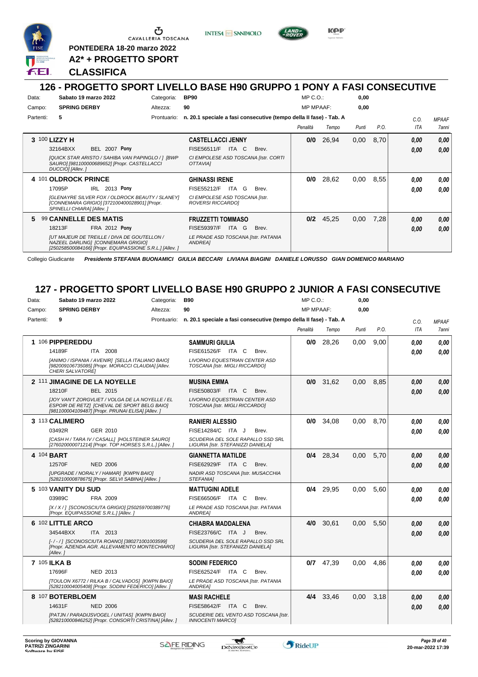

Ⴠ CAVALLERIA TOSCANA

**PONTEDERA 18-20 marzo 2022**

**A2\* + PROGETTO SPORT**

#### **CLASSIFICA**

#### **126 - PROGETTO SPORT LIVELLO BASE H90 GRUPPO 1 PONY A FASI CONSECUTIVE**

**INTESA** M SANPAOLO

**Kep** 

| Data:                                                                                                                 | Sabato 19 marzo 2022                                                                                                                                 | Categoria:               | <b>BP90</b>                                                        | $MP C. O.$ :     |       | 0,00  |      |            |              |
|-----------------------------------------------------------------------------------------------------------------------|------------------------------------------------------------------------------------------------------------------------------------------------------|--------------------------|--------------------------------------------------------------------|------------------|-------|-------|------|------------|--------------|
| Campo:                                                                                                                | <b>SPRING DERBY</b>                                                                                                                                  | Altezza:                 | 90                                                                 | <b>MP MPAAF:</b> |       | 0,00  |      |            |              |
| Partenti:                                                                                                             | 5                                                                                                                                                    | Prontuario:              | n. 20.1 speciale a fasi consecutive (tempo della II fase) - Tab. A |                  |       |       |      | C.O.       | <b>MPAAF</b> |
|                                                                                                                       |                                                                                                                                                      |                          |                                                                    | Penalità         | Tempo | Punti | P.O. | <b>ITA</b> | 7anni        |
|                                                                                                                       | 3 100 LIZZY H                                                                                                                                        | <b>CASTELLACCI JENNY</b> | 0/0                                                                | 26,94            | 0,00  | 8,70  | 0,00 | 0,00       |              |
|                                                                                                                       | <b>BEL 2007 Pony</b><br>32164BXX                                                                                                                     |                          | <b>FISE56511/F</b><br>ITA C<br>Brev.                               |                  |       |       |      | 0.00       | 0.00         |
| [QUICK STAR ARISTO / SAHIBA VAN PAPINGLO / ] [BWP<br>SAURO] [981100000689652] [Propr. CASTELLACCI<br>DUCCIO] [Allev.] |                                                                                                                                                      |                          | CI EMPOLESE ASD TOSCANA [Istr. CORTI<br>OTTAVIAI                   |                  |       |       |      |            |              |
|                                                                                                                       | 4 101 OLDROCK PRINCE                                                                                                                                 |                          | <b>GHINASSI IRENE</b>                                              | 0/0              | 28,62 | 0,00  | 8,55 | 0.00       | 0.00         |
|                                                                                                                       | IRL 2013 Pony<br>17095P                                                                                                                              |                          | <b>FISE55212/F</b><br>ITA G<br>Brev.                               |                  |       |       |      | 0.00       | 0.00         |
|                                                                                                                       | [GLENAYRE SILVER FOX / OLDROCK BEAUTY / SLANEY]<br>[CONNEMARA GRIGIO] [372100400028901] [Propr.<br>SPINELLI CHIARA] [Allev. ]                        |                          | CI EMPOLESE ASD TOSCANA [Istr.<br>ROVERSI RICCARDO]                |                  |       |       |      |            |              |
| 5.                                                                                                                    | 99 CANNELLE DES MATIS                                                                                                                                |                          | <b>FRUZZETTI TOMMASO</b>                                           | 0/2              | 45,25 | 0,00  | 7,28 | 0,00       | 0,00         |
|                                                                                                                       | FRA 2012 Pony<br>18213F                                                                                                                              |                          | <b>FISE59397/F</b><br>ITA G<br>Brev.                               |                  |       |       |      | 0.00       | 0.00         |
|                                                                                                                       | <b>JUT MAJEUR DE TREILLE / DIVA DE GOUTELLON /</b><br>NAZEEL DARLING1 [CONNEMARA GRIGIO]<br>[250258500084166] [Propr. EQUIPASSIONE S.R.L.] [Allev. ] |                          | LE PRADE ASD TOSCANA [Istr. PATANIA<br>ANDREA1                     |                  |       |       |      |            |              |

Collegio Giudicante *Presidente STEFANIA BUONAMICI GIULIA BECCARI LIVIANA BIAGINI DANIELE LORUSSO GIAN DOMENICO MARIANO*

#### **127 - PROGETTO SPORT LIVELLO BASE H90 GRUPPO 2 JUNIOR A FASI CONSECUTIVE**

| Data:               | Sabato 19 marzo 2022                                                                                                                                | Categoria: | <b>B90</b>                                                                     | MP C.O.:         |             | 0,00  |      |      |              |
|---------------------|-----------------------------------------------------------------------------------------------------------------------------------------------------|------------|--------------------------------------------------------------------------------|------------------|-------------|-------|------|------|--------------|
| Campo:              | <b>SPRING DERBY</b>                                                                                                                                 | Altezza:   | 90                                                                             | <b>MP MPAAF:</b> |             | 0,00  |      |      |              |
| Partenti:           | 9                                                                                                                                                   |            | Prontuario: n. 20.1 speciale a fasi consecutive (tempo della II fase) - Tab. A |                  |             |       |      | C.O. | <b>MPAAF</b> |
|                     |                                                                                                                                                     |            |                                                                                | Penalità         | Tempo       | Punti | P.O. | ITA  | 7anni        |
|                     | 1 106 PIPPEREDDU                                                                                                                                    |            | <b>SAMMURI GIULIA</b>                                                          | 0/0              | 28,26       | 0.00  | 9.00 | 0.00 | 0.00         |
|                     | 14189F<br>ITA 2008                                                                                                                                  |            | FISE61526/F ITA C<br>Brev.                                                     |                  |             |       |      | 0.00 | 0.00         |
|                     | [ANIMO / ISPANIA / AVENIR] [SELLA ITALIANO BAIO]<br>[982009106735085] [Propr. MORACCI CLAUDIA] [Allev.<br>CHERI SALVATORE]                          |            | <b>LIVORNO EQUESTRIAN CENTER ASD</b><br>TOSCANA [Istr. MIGLI RICCARDO]         |                  |             |       |      |      |              |
|                     | 2 111 JIMAGINE DE LA NOYELLE                                                                                                                        |            | <b>MUSINA EMMA</b>                                                             | 0/0              | 31,62       | 0.00  | 8.85 | 0.00 | 0.00         |
|                     | 18210F<br>BEL 2015                                                                                                                                  |            | FISE50803/F ITA C<br>Brev.                                                     |                  |             |       |      | 0.00 | 0.00         |
|                     | JJOY VAN'T ZORGVLIET / VOLGA DE LA NOYELLE / EL<br>ESPOIR DE RETZI [CHEVAL DE SPORT BELG BAIO]<br>[981100004109487] [Propr. PRUNAI ELISA] [Allev. ] |            | <b>LIVORNO EQUESTRIAN CENTER ASD</b><br>TOSCANA [Istr. MIGLI RICCARDO]         |                  |             |       |      |      |              |
|                     | 3 113 CALIMERO                                                                                                                                      |            | <b>RANIERI ALESSIO</b>                                                         | 0/0              | 34,08       | 0,00  | 8.70 | 0.00 | 0,00         |
|                     | GER 2010<br>03492R                                                                                                                                  |            | FISE14284/C ITA J<br>Brev.                                                     |                  |             |       |      | 0.00 | 0.00         |
|                     | [CASH H / TARA IV / CASALL] [HOLSTEINER SAURO]<br>[276020000071214] [Propr. TOP HORSES S.R.L.] [Allev.]                                             |            | SCUDERIA DEL SOLE RAPALLO SSD SRL<br>LIGURIA [Istr. STEFANIZZI DANIELA]        |                  |             |       |      |      |              |
| 4 104 BART          |                                                                                                                                                     |            | <b>GIANNETTA MATILDE</b>                                                       |                  | $0/4$ 28,34 | 0,00  | 5,70 | 0,00 | 0,00         |
|                     | 12570F<br><b>NED 2006</b>                                                                                                                           |            | FISE62929/F ITA C<br>Brev.                                                     |                  |             |       |      | 0.00 | 0.00         |
|                     | [UPGRADE / NORALY / HAMAR] [KWPN BAIO]<br>[528210000878675] [Propr. SELVI SABINA] [Allev. ]                                                         |            | NADIR ASD TOSCANA [Istr. MUSACCHIA<br>STEFANIA1                                |                  |             |       |      |      |              |
|                     | 5 103 VANITY DU SUD                                                                                                                                 |            | <b>MATTUGINI ADELE</b>                                                         | 0/4              | 29,95       | 0.00  | 5.60 | 0,00 | 0,00         |
|                     | 03989C<br>FRA 2009                                                                                                                                  |            | FISE66506/F ITA C<br>Brev.                                                     |                  |             |       |      | 0.00 | 0.00         |
|                     | [X / X / 1 [SCONOSCIUTA GRIGIO] [250259700389776]<br>[Propr. EQUIPASSIONE S.R.L.] [Allev. ]                                                         |            | LE PRADE ASD TOSCANA [Istr. PATANIA<br><b>ANDREA</b>                           |                  |             |       |      |      |              |
|                     | 6 102 LITTLE ARCO                                                                                                                                   |            | CHIABRA MADDALENA                                                              | 4/0              | 30,61       | 0,00  | 5,50 | 0.00 | 0,00         |
|                     | 34544BXX<br>ITA 2013                                                                                                                                |            | FISE23766/C ITA J<br>Brev.                                                     |                  |             |       |      | 0.00 | 0.00         |
|                     | [-/-/] [SCONOSCIUTA ROANO] [380271001003599]<br>[Propr. AZIENDA AGR. ALLEVAMENTO MONTECHIARO]<br>[Allev.]                                           |            | SCUDERIA DEL SOLE RAPALLO SSD SRL<br>LIGURIA [Istr. STEFANIZZI DANIELA]        |                  |             |       |      |      |              |
| <b>7 105 ILKA B</b> |                                                                                                                                                     |            | <b>SODINI FEDERICO</b>                                                         |                  | $0/7$ 47,39 | 0.00  | 4.86 | 0.00 | 0.00         |
|                     | <b>NED 2013</b><br>17696F                                                                                                                           |            | FISE62524/F ITA C<br>Brev.                                                     |                  |             |       |      | 0.00 | 0.00         |
|                     | [TOULON X6772 / RILKA B / CALVADOS] [KWPN BAIO]<br>[528210004005408] [Propr. SODINI FEDERICO] [Allev. ]                                             |            | LE PRADE ASD TOSCANA [Istr. PATANIA<br><b>ANDREA]</b>                          |                  |             |       |      |      |              |
|                     | 8 107 BOTERBLOEM                                                                                                                                    |            | <b>MASI RACHELE</b>                                                            |                  | 4/4 33.46   | 0.00  | 3.18 | 0.00 | 0.00         |
|                     | 14631F<br><b>NED 2006</b>                                                                                                                           |            | <b>FISE58642/F ITA C</b><br>Brev.                                              |                  |             |       |      | 0.00 | 0.00         |
|                     | [PATJN / PARADIJSVOGEL / UNITAS] [KWPN BAIO]<br>[528210000846252] [Propr. CONSORTI CRISTINA] [Allev. ]                                              |            | SCUDERIE DEL VENTO ASD TOSCANA [Istr.<br><b>INNOCENTI MARCOI</b>               |                  |             |       |      |      |              |
|                     |                                                                                                                                                     |            |                                                                                |                  |             |       |      |      |              |